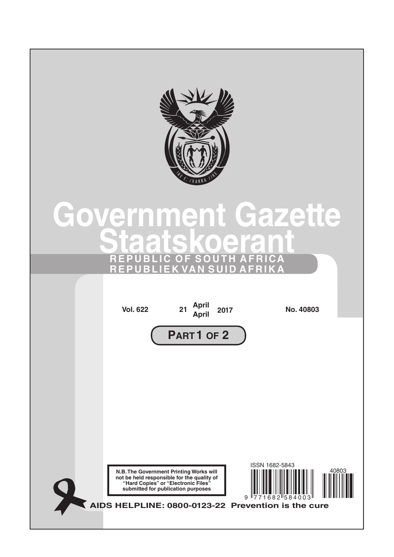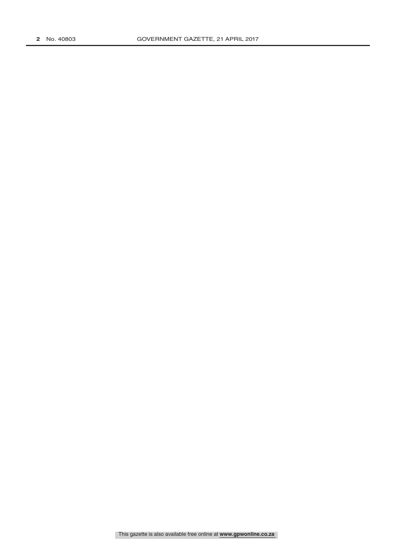This gazette is also available free online at **www.gpwonline.co.za**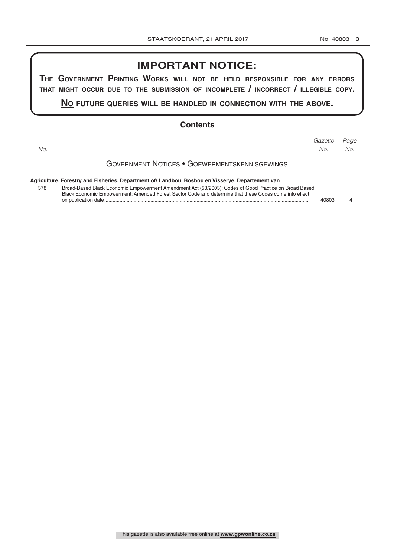## **IMPORTANT NOTICE:**

**The GovernmenT PrinTinG Works Will noT be held resPonsible for any errors ThaT miGhT occur due To The submission of incomPleTe / incorrecT / illeGible coPy.**

**no fuTure queries Will be handled in connecTion WiTh The above.**

#### **Contents**

*Page Gazette No. No. No.*

## Government Notices • Goewermentskennisgewings

|     | Agriculture, Forestry and Fisheries, Department of/ Landbou, Bosbou en Visserye, Departement van       |       |                |
|-----|--------------------------------------------------------------------------------------------------------|-------|----------------|
| 378 | Broad-Based Black Economic Empowerment Amendment Act (53/2003): Codes of Good Practice on Broad Based  |       |                |
|     | Black Economic Empowerment: Amended Forest Sector Code and determine that these Codes come into effect |       |                |
|     |                                                                                                        | 40803 | $\overline{4}$ |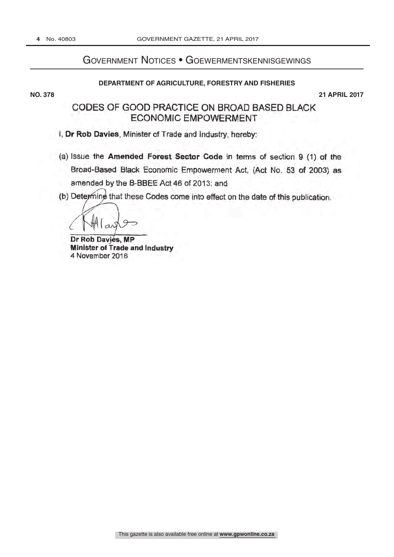## GOVERNMENT NOTICES • GOEWERMENTSKENNISGEWINGS

NOTICE OF 2016 OF 2016 OF 2016 OF 2016 OF 2016

#### **DEPARTMENT OF AGRICULTURE, FORESTRY AND FISHERIES**

**NO. 378 21 APRIL 2017**

## CODES OF GOOD PRACTICE ON BROAD BASED BLACK ECONOMIC EMPOWERMENT

1, Dr Rob Davies, Minister of Trade and Industry, hereby:

(a) Issue the Amended Forest Sector Code in terms of section 9 (1) of the Broad -Based Black Economic Empowerment Act, (Act No. 53 of 2003) as amended by the B-BBEE Act 46 of 2013; and

(b) Determine that these Codes come into effect on the date of this publication.

Dr Rob Davies, MP Minister of Trade and Industry 4 November 2016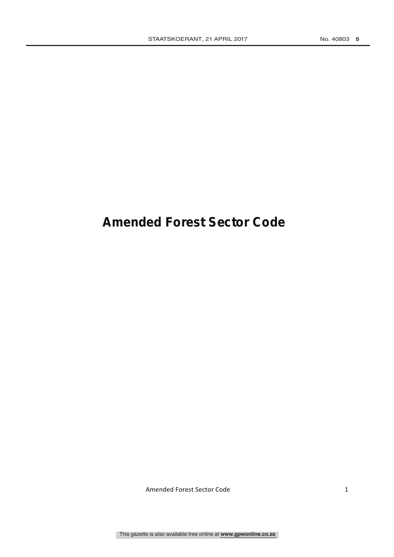# **Amended Forest Sector Code**

Amended Forest Sector Code and the sector of the sector of the sector  $1$ 

This gazette is also available free online at **www.gpwonline.co.za**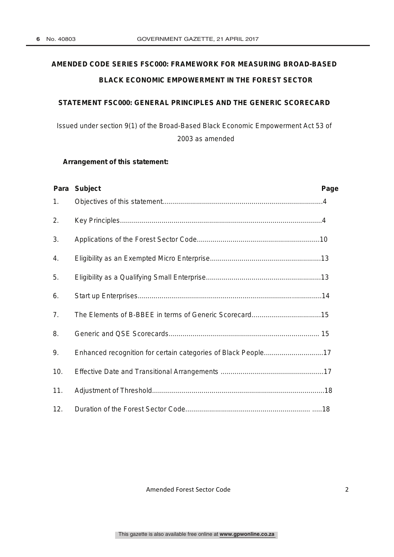## **AMENDED CODE SERIES FSC000: FRAMEWORK FOR MEASURING BROAD-BASED BLACK ECONOMIC EMPOWERMENT IN THE FOREST SECTOR**

### **STATEMENT FSC000: GENERAL PRINCIPLES AND THE GENERIC SCORECARD**

Issued under section 9(1) of the Broad-Based Black Economic Empowerment Act 53 of 2003 as amended

#### **Arrangement of this statement:**

|     | Para Subject                                                  | Page |
|-----|---------------------------------------------------------------|------|
| 1.  |                                                               |      |
| 2.  |                                                               |      |
| 3.  |                                                               |      |
| 4.  |                                                               |      |
| 5.  |                                                               |      |
| 6.  |                                                               |      |
| 7.  | The Elements of B-BBEE in terms of Generic Scorecard15        |      |
| 8.  |                                                               |      |
| 9.  | Enhanced recognition for certain categories of Black People17 |      |
| 10. |                                                               |      |
| 11. |                                                               |      |
| 12. |                                                               |      |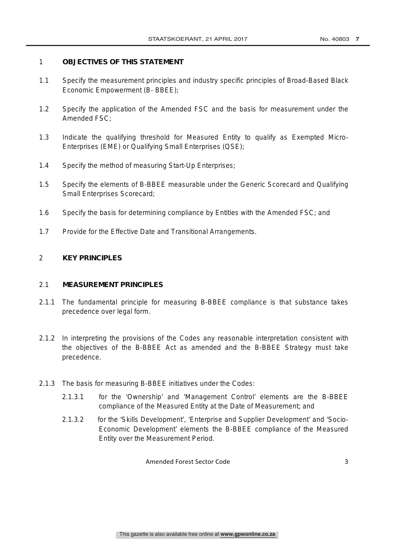#### 1 **OBJECTIVES OF THIS STATEMENT**

- 1.1 Specify the measurement principles and industry specific principles of Broad-Based Black Economic Empowerment (B- BBEE);
- 1.2 Specify the application of the Amended FSC and the basis for measurement under the Amended FSC;
- 1.3 Indicate the qualifying threshold for Measured Entity to qualify as Exempted Micro-Enterprises (EME) or Qualifying Small Enterprises (QSE);
- 1.4 Specify the method of measuring Start-Up Enterprises;
- 1.5 Specify the elements of B-BBEE measurable under the Generic Scorecard and Qualifying Small Enterprises Scorecard;
- 1.6 Specify the basis for determining compliance by Entities with the Amended FSC; and
- 1.7 Provide for the Effective Date and Transitional Arrangements.

#### 2 **KEY PRINCIPLES**

#### 2.1 **MEASUREMENT PRINCIPLES**

- 2.1.1 The fundamental principle for measuring B-BBEE compliance is that substance takes precedence over legal form.
- 2.1.2 In interpreting the provisions of the Codes any reasonable interpretation consistent with the objectives of the B-BBEE Act as amended and the B-BBEE Strategy must take precedence.
- 2.1.3 The basis for measuring B-BBEE initiatives under the Codes:
	- 2.1.3.1 for the 'Ownership' and 'Management Control' elements are the B-BBEE compliance of the Measured Entity at the Date of Measurement; and
	- 2.1.3.2 for the 'Skills Development', 'Enterprise and Supplier Development' and 'Socio-Economic Development' elements the B-BBEE compliance of the Measured Entity over the Measurement Period.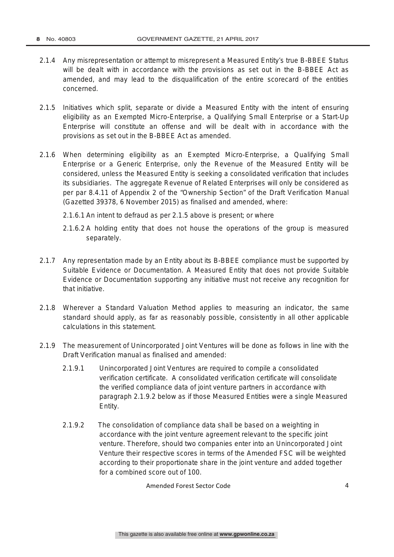- 2.1.4 Any misrepresentation or attempt to misrepresent a Measured Entity's true B-BBEE Status will be dealt with in accordance with the provisions as set out in the B-BBEE Act as amended, and may lead to the disqualification of the entire scorecard of the entities concerned.
- 2.1.5 Initiatives which split, separate or divide a Measured Entity with the intent of ensuring eligibility as an Exempted Micro-Enterprise, a Qualifying Small Enterprise or a Start-Up Enterprise will constitute an offense and will be dealt with in accordance with the provisions as set out in the B-BBEE Act as amended.
- 2.1.6 When determining eligibility as an Exempted Micro-Enterprise, a Qualifying Small Enterprise or a Generic Enterprise, only the Revenue of the Measured Entity will be considered, unless the Measured Entity is seeking a consolidated verification that includes its subsidiaries. The aggregate Revenue of Related Enterprises will only be considered as per par 8.4.11 of Appendix 2 of the "Ownership Section" of the Draft Verification Manual (Gazetted 39378, 6 November 2015) as finalised and amended, where:
	- 2.1.6.1 An intent to defraud as per 2.1.5 above is present; or where
	- 2.1.6.2 A holding entity that does not house the operations of the group is measured separately.
- 2.1.7 Any representation made by an Entity about its B-BBEE compliance must be supported by Suitable Evidence or Documentation. A Measured Entity that does not provide Suitable Evidence or Documentation supporting any initiative must not receive any recognition for that initiative.
- 2.1.8 Wherever a Standard Valuation Method applies to measuring an indicator, the same standard should apply, as far as reasonably possible, consistently in all other applicable calculations in this statement.
- 2.1.9 The measurement of Unincorporated Joint Ventures will be done as follows in line with the Draft Verification manual as finalised and amended:
	- 2.1.9.1 Unincorporated Joint Ventures are required to compile a consolidated verification certificate. A consolidated verification certificate will consolidate the verified compliance data of joint venture partners in accordance with paragraph 2.1.9.2 below as if those Measured Entities were a single Measured Entity.
	- 2.1.9.2 The consolidation of compliance data shall be based on a weighting in accordance with the joint venture agreement relevant to the specific joint venture. Therefore, should two companies enter into an Unincorporated Joint Venture their respective scores in terms of the Amended FSC will be weighted according to their proportionate share in the joint venture and added together for a combined score out of 100.

Amended Forest Sector Code and the sector of the sector of the sector of the sector of the sector of the sector of the sector of the sector of the sector of the sector of the sector of the sector of the sector of the secto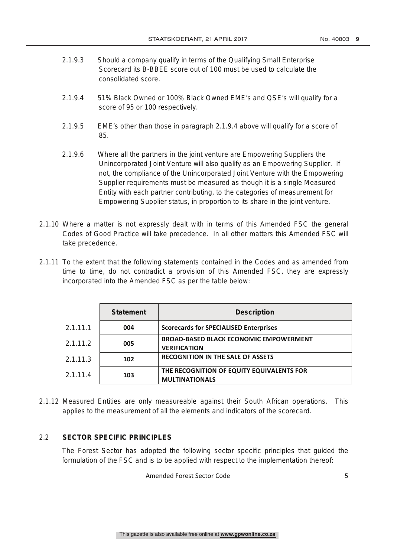- 2.1.9.3 Should a company qualify in terms of the Qualifying Small Enterprise Scorecard its B-BBEE score out of 100 must be used to calculate the consolidated score.
- 2.1.9.4 51% Black Owned or 100% Black Owned EME's and QSE's will qualify for a score of 95 or 100 respectively.
- 2.1.9.5 EME's other than those in paragraph 2.1.9.4 above will qualify for a score of 85.
- 2.1.9.6 Where all the partners in the joint venture are Empowering Suppliers the Unincorporated Joint Venture will also qualify as an Empowering Supplier. If not, the compliance of the Unincorporated Joint Venture with the Empowering Supplier requirements must be measured as though it is a single Measured Entity with each partner contributing, to the categories of measurement for Empowering Supplier status, in proportion to its share in the joint venture.
- 2.1.10 Where a matter is not expressly dealt with in terms of this Amended FSC the general Codes of Good Practice will take precedence. In all other matters this Amended FSC will take precedence.
- 2.1.11 To the extent that the following statements contained in the Codes and as amended from time to time, do not contradict a provision of this Amended FSC, they are expressly incorporated into the Amended FSC as per the table below:

|          | <b>Statement</b> | <b>Description</b>                                                   |
|----------|------------------|----------------------------------------------------------------------|
| 2.1.11.1 | 004              | <b>Scorecards for SPECIALISED Enterprises</b>                        |
| 2.1.11.2 | 005              | <b>BROAD-BASED BLACK ECONOMIC EMPOWERMENT</b><br><b>VERIFICATION</b> |
| 2.1.11.3 | 102              | <b>RECOGNITION IN THE SALE OF ASSETS</b>                             |
| 2.1.11.4 | 103              | THE RECOGNITION OF EQUITY EQUIVALENTS FOR<br><b>MULTINATIONALS</b>   |

2.1.12 Measured Entities are only measureable against their South African operations. This applies to the measurement of all the elements and indicators of the scorecard.

#### 2.2 **SECTOR SPECIFIC PRINCIPLES**

The Forest Sector has adopted the following sector specific principles that guided the formulation of the FSC and is to be applied with respect to the implementation thereof: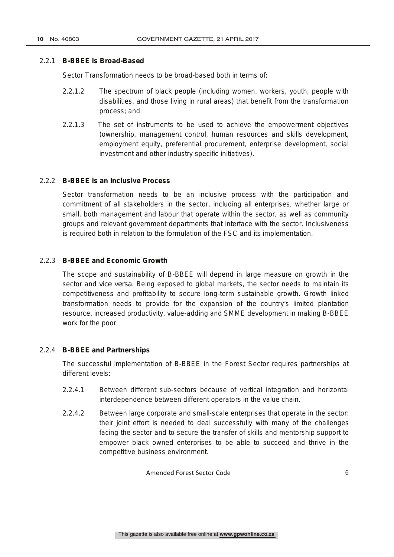#### 2.2.1 **B-BBEE is Broad-Based**

Sector Transformation needs to be broad-based both in terms of:

- 2.2.1.2 The spectrum of black people (including women, workers, youth, people with disabilities, and those living in rural areas) that benefit from the transformation process; and
- 2.2.1.3 The set of instruments to be used to achieve the empowerment objectives (ownership, management control, human resources and skills development, employment equity, preferential procurement, enterprise development, social investment and other industry specific initiatives).

#### 2.2.2 **B-BBEE is an Inclusive Process**

Sector transformation needs to be an inclusive process with the participation and commitment of all stakeholders in the sector, including all enterprises, whether large or small, both management and labour that operate within the sector, as well as community groups and relevant government departments that interface with the sector. Inclusiveness is required both in relation to the formulation of the FSC and its implementation.

#### 2.2.3 **B-BBEE and Economic Growth**

The scope and sustainability of B-BBEE will depend in large measure on growth in the sector and *vice versa*. Being exposed to global markets, the sector needs to maintain its competitiveness and profitability to secure long-term sustainable growth. Growth linked transformation needs to provide for the expansion of the country's limited plantation resource, increased productivity, value-adding and SMME development in making B-BBEE work for the poor.

#### 2.2.4 **B-BBEE and Partnerships**

The successful implementation of B-BBEE in the Forest Sector requires partnerships at different levels:

- 2.2.4.1 Between different sub-sectors because of vertical integration and horizontal interdependence between different operators in the value chain.
- 2.2.4.2 Between large corporate and small-scale enterprises that operate in the sector: their joint effort is needed to deal successfully with many of the challenges facing the sector and to secure the transfer of skills and mentorship support to empower black owned enterprises to be able to succeed and thrive in the competitive business environment.

Amended Forest Sector Code **Communication** Content of the Sector Code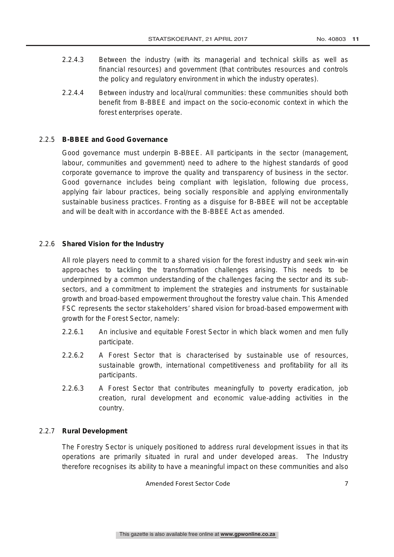- 2.2.4.3 Between the industry (with its managerial and technical skills as well as financial resources) and government (that contributes resources and controls the policy and regulatory environment in which the industry operates).
- 2.2.4.4 Between industry and local/rural communities: these communities should both benefit from B-BBEE and impact on the socio-economic context in which the forest enterprises operate.

#### 2.2.5 **B-BBEE and Good Governance**

Good governance must underpin B-BBEE. All participants in the sector (management, labour, communities and government) need to adhere to the highest standards of good corporate governance to improve the quality and transparency of business in the sector. Good governance includes being compliant with legislation, following due process, applying fair labour practices, being socially responsible and applying environmentally sustainable business practices. Fronting as a disguise for B-BBEE will not be acceptable and will be dealt with in accordance with the B-BBEE Act as amended.

#### 2.2.6 **Shared Vision for the Industry**

All role players need to commit to a shared vision for the forest industry and seek win-win approaches to tackling the transformation challenges arising. This needs to be underpinned by a common understanding of the challenges facing the sector and its subsectors, and a commitment to implement the strategies and instruments for sustainable growth and broad-based empowerment throughout the forestry value chain. This Amended FSC represents the sector stakeholders' shared vision for broad-based empowerment with growth for the Forest Sector, namely:

- 2.2.6.1 An inclusive and equitable Forest Sector in which black women and men fully participate.
- 2.2.6.2 A Forest Sector that is characterised by sustainable use of resources, sustainable growth, international competitiveness and profitability for all its participants.
- 2.2.6.3 A Forest Sector that contributes meaningfully to poverty eradication, job creation, rural development and economic value-adding activities in the country.

#### 2.2.7 **Rural Development**

The Forestry Sector is uniquely positioned to address rural development issues in that its operations are primarily situated in rural and under developed areas. The Industry therefore recognises its ability to have a meaningful impact on these communities and also

Amended Forest Sector Code **The Community of Community Community** 7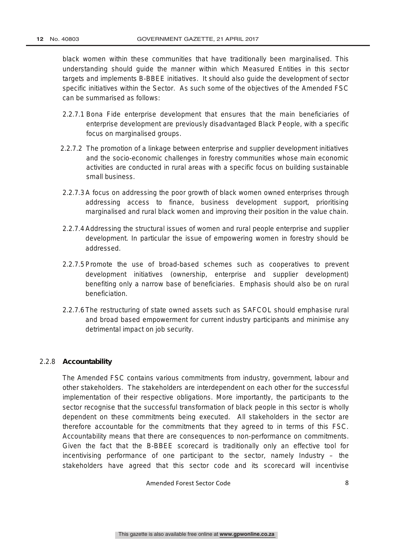black women within these communities that have traditionally been marginalised. This understanding should guide the manner within which Measured Entities in this sector targets and implements B-BBEE initiatives. It should also guide the development of sector specific initiatives within the Sector. As such some of the objectives of the Amended FSC can be summarised as follows:

- 2.2.7.1 Bona Fide enterprise development that ensures that the main beneficiaries of enterprise development are previously disadvantaged Black People, with a specific focus on marginalised groups.
- 2.2.7.2 The promotion of a linkage between enterprise and supplier development initiatives and the socio-economic challenges in forestry communities whose main economic activities are conducted in rural areas with a specific focus on building sustainable small business.
- 2.2.7.3 A focus on addressing the poor growth of black women owned enterprises through addressing access to finance, business development support, prioritising marginalised and rural black women and improving their position in the value chain.
- 2.2.7.4 Addressing the structural issues of women and rural people enterprise and supplier development. In particular the issue of empowering women in forestry should be addressed.
- 2.2.7.5 Promote the use of broad-based schemes such as cooperatives to prevent development initiatives (ownership, enterprise and supplier development) benefiting only a narrow base of beneficiaries. Emphasis should also be on rural beneficiation.
- 2.2.7.6 The restructuring of state owned assets such as SAFCOL should emphasise rural and broad based empowerment for current industry participants and minimise any detrimental impact on job security.

#### 2.2.8 **Accountability**

The Amended FSC contains various commitments from industry, government, labour and other stakeholders. The stakeholders are interdependent on each other for the successful implementation of their respective obligations. More importantly, the participants to the sector recognise that the successful transformation of black people in this sector is wholly dependent on these commitments being executed. All stakeholders in the sector are therefore accountable for the commitments that they agreed to in terms of this FSC. Accountability means that there are consequences to non-performance on commitments. Given the fact that the B-BBEE scorecard is traditionally only an effective tool for incentivising performance of one participant to the sector, namely Industry – the stakeholders have agreed that this sector code and its scorecard will incentivise

Amended Forest Sector Code and the sector of the sector of the sector of the sector of the sector of the sector of the sector of the sector of the sector of the sector of the sector of the sector of the sector of the secto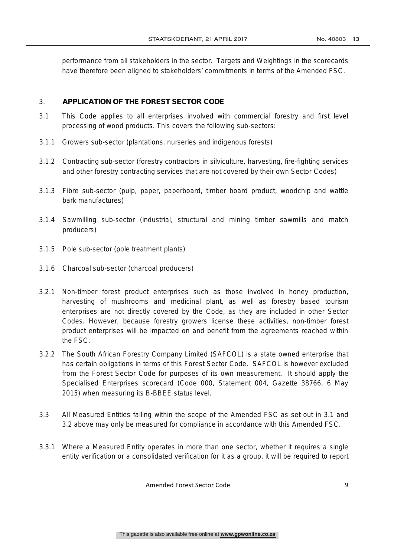performance from all stakeholders in the sector. Targets and Weightings in the scorecards have therefore been aligned to stakeholders' commitments in terms of the Amended FSC.

#### 3. **APPLICATION OF THE FOREST SECTOR CODE**

- 3.1 This Code applies to all enterprises involved with commercial forestry and first level processing of wood products. This covers the following sub-sectors:
- 3.1.1 Growers sub-sector (plantations, nurseries and indigenous forests)
- 3.1.2 Contracting sub-sector (forestry contractors in silviculture, harvesting, fire-fighting services and other forestry contracting services that are not covered by their own Sector Codes)
- 3.1.3 Fibre sub-sector (pulp, paper, paperboard, timber board product, woodchip and wattle bark manufactures)
- 3.1.4 Sawmilling sub-sector (industrial, structural and mining timber sawmills and match producers)
- 3.1.5 Pole sub-sector (pole treatment plants)
- 3.1.6 Charcoal sub-sector (charcoal producers)
- 3.2.1 Non-timber forest product enterprises such as those involved in honey production, harvesting of mushrooms and medicinal plant, as well as forestry based tourism enterprises are not directly covered by the Code, as they are included in other Sector Codes. However, because forestry growers license these activities, non-timber forest product enterprises will be impacted on and benefit from the agreements reached within the FSC.
- 3.2.2 The South African Forestry Company Limited (SAFCOL) is a state owned enterprise that has certain obligations in terms of this Forest Sector Code. SAFCOL is however excluded from the Forest Sector Code for purposes of its own measurement. It should apply the Specialised Enterprises scorecard (Code 000, Statement 004, Gazette 38766, 6 May 2015) when measuring its B-BBEE status level.
- 3.3 All Measured Entities falling within the scope of the Amended FSC as set out in 3.1 and 3.2 above may only be measured for compliance in accordance with this Amended FSC.
- 3.3.1 Where a Measured Entity operates in more than one sector, whether it requires a single entity verification or a consolidated verification for it as a group, it will be required to report

Amended Forest Sector Code and the sector of the sector of the sector of the sector of the sector of the sector of the sector of the sector of the sector of the sector of the sector of the sector of the sector of the secto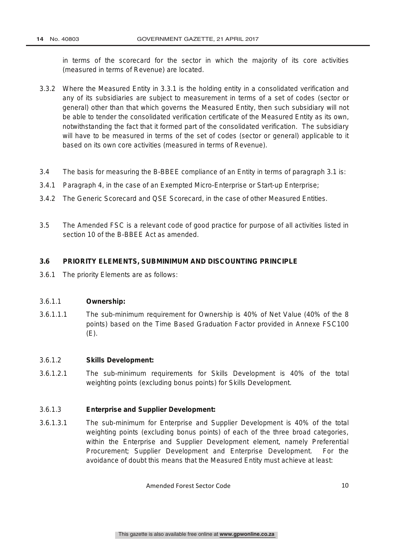in terms of the scorecard for the sector in which the majority of its core activities (measured in terms of Revenue) are located.

- 3.3.2 Where the Measured Entity in 3.3.1 is the holding entity in a consolidated verification and any of its subsidiaries are subject to measurement in terms of a set of codes (sector or general) other than that which governs the Measured Entity, then such subsidiary will not be able to tender the consolidated verification certificate of the Measured Entity as its own, notwithstanding the fact that it formed part of the consolidated verification. The subsidiary will have to be measured in terms of the set of codes (sector or general) applicable to it based on its own core activities (measured in terms of Revenue).
- 3.4 The basis for measuring the B-BBEE compliance of an Entity in terms of paragraph 3.1 is:
- 3.4.1 Paragraph 4, in the case of an Exempted Micro-Enterprise or Start-up Enterprise:
- 3.4.2 The Generic Scorecard and QSE Scorecard, in the case of other Measured Entities.
- 3.5 The Amended FSC is a relevant code of good practice for purpose of all activities listed in section 10 of the B-BBEE Act as amended.

#### **3.6 PRIORITY ELEMENTS, SUBMINIMUM AND DISCOUNTING PRINCIPLE**

3.6.1 The priority Elements are as follows:

#### 3.6.1.1 **Ownership:**

3.6.1.1.1 The sub-minimum requirement for Ownership is 40% of Net Value (40% of the 8 points) based on the Time Based Graduation Factor provided in Annexe FSC100 (E).

#### 3.6.1.2 **Skills Development:**

3.6.1.2.1 The sub-minimum requirements for Skills Development is 40% of the total weighting points (excluding bonus points) for Skills Development.

#### 3.6.1.3 **Enterprise and Supplier Development:**

3.6.1.3.1 The sub-minimum for Enterprise and Supplier Development is 40% of the total weighting points (excluding bonus points) of each of the three broad categories, within the Enterprise and Supplier Development element, namely Preferential Procurement; Supplier Development and Enterprise Development. For the avoidance of doubt this means that the Measured Entity must achieve at least:

Amended Forest Sector Code **Communist Communist Communist Communist Communist Communist Communist Communist Co**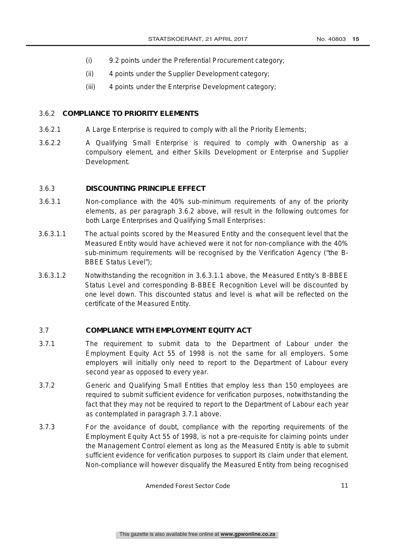- (i) 9.2 points under the Preferential Procurement category;
- (ii) 4 points under the Supplier Development category;
- (iii) 4 points under the Enterprise Development category;

#### 3.6.2 **COMPLIANCE TO PRIORITY ELEMENTS**

- 3.6.2.1 A Large Enterprise is required to comply with all the Priority Elements;
- 3.6.2.2 A Qualifying Small Enterprise is required to comply with Ownership as a compulsory element, and either Skills Development or Enterprise and Supplier Development.

#### 3.6.3 **DISCOUNTING PRINCIPLE EFFECT**

- 3.6.3.1 Non-compliance with the 40% sub-minimum requirements of any of the priority elements, as per paragraph 3.6.2 above, will result in the following outcomes for both Large Enterprises and Qualifying Small Enterprises:
- 3.6.3.1.1 The actual points scored by the Measured Entity and the consequent level that the Measured Entity would have achieved were it not for non-compliance with the 40% sub-minimum requirements will be recognised by the Verification Agency ("the B-BBEE Status Level");
- 3.6.3.1.2 Notwithstanding the recognition in 3.6.3.1.1 above, the Measured Entity's B-BBEE Status Level and corresponding B-BBEE Recognition Level will be discounted by one level down. This discounted status and level is what will be reflected on the certificate of the Measured Entity.

#### 3.7 **COMPLIANCE WITH EMPLOYMENT EQUITY ACT**

- 3.7.1 The requirement to submit data to the Department of Labour under the Employment Equity Act 55 of 1998 is not the same for all employers. Some employers will initially only need to report to the Department of Labour every second year as opposed to every year.
- 3.7.2 Generic and Qualifying Small Entities that employ less than 150 employees are required to submit sufficient evidence for verification purposes, notwithstanding the fact that they may not be required to report to the Department of Labour each year as contemplated in paragraph 3.7.1 above.
- 3.7.3 For the avoidance of doubt, compliance with the reporting requirements of the Employment Equity Act 55 of 1998, is not a pre-requisite for claiming points under the Management Control element as long as the Measured Entity is able to submit sufficient evidence for verification purposes to support its claim under that element. Non-compliance will however disqualify the Measured Entity from being recognised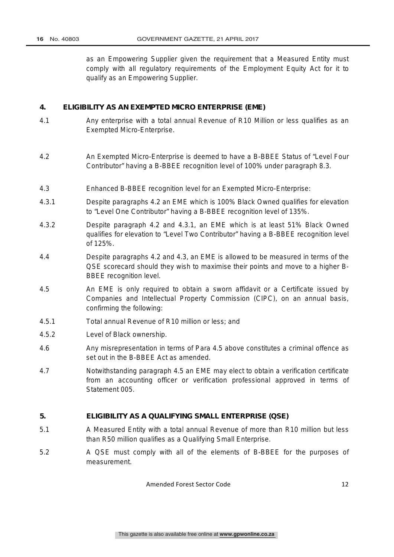as an Empowering Supplier given the requirement that a Measured Entity must comply with all regulatory requirements of the Employment Equity Act for it to qualify as an Empowering Supplier.

#### **4. ELIGIBILITY AS AN EXEMPTED MICRO ENTERPRISE (EME)**

- 4.1 Any enterprise with a total annual Revenue of R10 Million or less qualifies as an Exempted Micro-Enterprise.
- 4.2 An Exempted Micro-Enterprise is deemed to have a B-BBEE Status of "Level Four Contributor" having a B-BBEE recognition level of 100% under paragraph 8.3.
- 4.3 Enhanced B-BBEE recognition level for an Exempted Micro-Enterprise:
- 4.3.1 Despite paragraphs 4.2 an EME which is 100% Black Owned qualifies for elevation to "Level One Contributor" having a B-BBEE recognition level of 135%.
- 4.3.2 Despite paragraph 4.2 and 4.3.1, an EME which is at least 51% Black Owned qualifies for elevation to "Level Two Contributor" having a B-BBEE recognition level of 125%.
- 4.4 Despite paragraphs 4.2 and 4.3, an EME is allowed to be measured in terms of the QSE scorecard should they wish to maximise their points and move to a higher B-BBEE recognition level.
- 4.5 An EME is only required to obtain a sworn affidavit or a Certificate issued by Companies and Intellectual Property Commission (CIPC), on an annual basis, confirming the following:
- 4.5.1 Total annual Revenue of R10 million or less; and
- 4.5.2 Level of Black ownership.
- 4.6 Any misrepresentation in terms of Para 4.5 above constitutes a criminal offence as set out in the B-BBEE Act as amended.
- 4.7 Notwithstanding paragraph 4.5 an EME may elect to obtain a verification certificate from an accounting officer or verification professional approved in terms of Statement 005.

#### **5. ELIGIBILITY AS A QUALIFYING SMALL ENTERPRISE (QSE)**

- 5.1 A Measured Entity with a total annual Revenue of more than R10 million but less than R50 million qualifies as a Qualifying Small Enterprise.
- 5.2 A QSE must comply with all of the elements of B-BBEE for the purposes of measurement.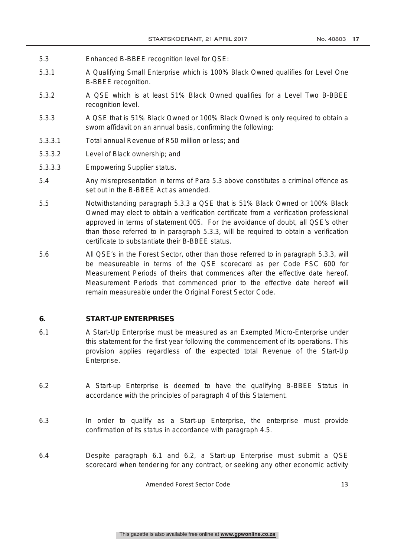- 5.3 Enhanced B-BBEE recognition level for QSE:
- 5.3.1 A Qualifying Small Enterprise which is 100% Black Owned qualifies for Level One B-BBEE recognition.
- 5.3.2 A QSE which is at least 51% Black Owned qualifies for a Level Two B-BBEE recognition level.
- 5.3.3 A QSE that is 51% Black Owned or 100% Black Owned is only required to obtain a sworn affidavit on an annual basis, confirming the following:
- 5.3.3.1 Total annual Revenue of R50 million or less; and
- 5.3.3.2 Level of Black ownership; and
- 5.3.3.3 Empowering Supplier status.
- 5.4 Any misrepresentation in terms of Para 5.3 above constitutes a criminal offence as set out in the B-BBEE Act as amended.
- 5.5 Notwithstanding paragraph 5.3.3 a QSE that is 51% Black Owned or 100% Black Owned may elect to obtain a verification certificate from a verification professional approved in terms of statement 005. For the avoidance of doubt, all QSE's other than those referred to in paragraph 5.3.3, will be required to obtain a verification certificate to substantiate their B-BBEE status.
- 5.6 All QSE's in the Forest Sector, other than those referred to in paragraph 5.3.3, will be measureable in terms of the QSE scorecard as per Code FSC 600 for Measurement Periods of theirs that commences after the effective date hereof. Measurement Periods that commenced prior to the effective date hereof will remain measureable under the Original Forest Sector Code.

#### **6. START-UP ENTERPRISES**

- 6.1 A Start-Up Enterprise must be measured as an Exempted Micro-Enterprise under this statement for the first year following the commencement of its operations. This provision applies regardless of the expected total Revenue of the Start-Up Enterprise.
- 6.2 A Start-up Enterprise is deemed to have the qualifying B-BBEE Status in accordance with the principles of paragraph 4 of this Statement.
- 6.3 In order to qualify as a Start-up Enterprise, the enterprise must provide confirmation of its status in accordance with paragraph 4.5.
- 6.4 Despite paragraph 6.1 and 6.2, a Start-up Enterprise must submit a QSE scorecard when tendering for any contract, or seeking any other economic activity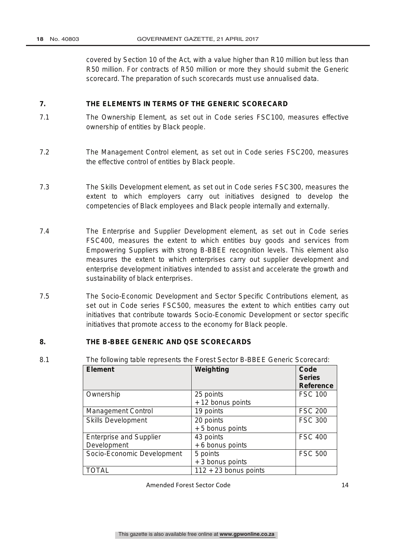covered by Section 10 of the Act, with a value higher than R10 million but less than R50 million. For contracts of R50 million or more they should submit the Generic scorecard. The preparation of such scorecards must use annualised data.

#### **7. THE ELEMENTS IN TERMS OF THE GENERIC SCORECARD**

- 7.1 The Ownership Element, as set out in Code series FSC100, measures effective ownership of entities by Black people.
- 7.2 The Management Control element, as set out in Code series FSC200, measures the effective control of entities by Black people.
- 7.3 The Skills Development element, as set out in Code series FSC300, measures the extent to which employers carry out initiatives designed to develop the competencies of Black employees and Black people internally and externally.
- 7.4 The Enterprise and Supplier Development element, as set out in Code series FSC400, measures the extent to which entities buy goods and services from Empowering Suppliers with strong B-BBEE recognition levels. This element also measures the extent to which enterprises carry out supplier development and enterprise development initiatives intended to assist and accelerate the growth and sustainability of black enterprises.
- 7.5 The Socio-Economic Development and Sector Specific Contributions element, as set out in Code series FSC500, measures the extent to which entities carry out initiatives that contribute towards Socio-Economic Development or sector specific initiatives that promote access to the economy for Black people.

#### **8. THE B-BBEE GENERIC AND QSE SCORECARDS**

8.1 The following table represents the Forest Sector B-BBEE Generic Scorecard:

| <b>Element</b>                 | Weighting               | Code<br><b>Series</b><br><b>Reference</b> |
|--------------------------------|-------------------------|-------------------------------------------|
| Ownership                      | 25 points               | <b>FSC 100</b>                            |
|                                | + 12 bonus points       |                                           |
| <b>Management Control</b>      | 19 points               | <b>FSC 200</b>                            |
| <b>Skills Development</b>      | 20 points               | <b>FSC 300</b>                            |
|                                | + 5 bonus points        |                                           |
| <b>Enterprise and Supplier</b> | 43 points               | <b>FSC 400</b>                            |
| Development                    | + 6 bonus points        |                                           |
| Socio-Economic Development     | 5 points                | <b>FSC 500</b>                            |
|                                | + 3 bonus points        |                                           |
| <b>TOTAL</b>                   | $112 + 23$ bonus points |                                           |

Amended Forest Sector Code **Communist Communist Communist Communist Communist Communist Communist Communist Co**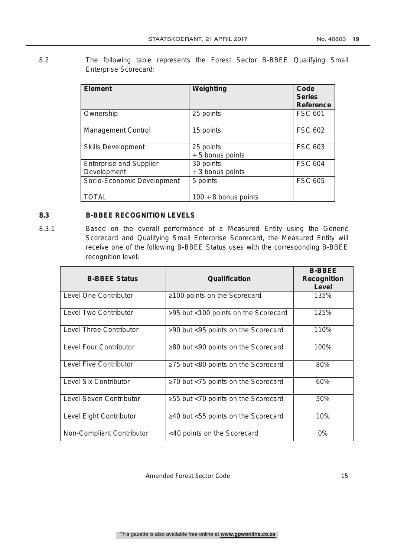8.2 The following table represents the Forest Sector B-BBEE Qualifying Small Enterprise Scorecard:

| <b>Element</b>                 | Weighting                     | Code<br><b>Series</b><br><b>Reference</b> |
|--------------------------------|-------------------------------|-------------------------------------------|
| Ownership                      | 25 points                     | <b>FSC 601</b>                            |
| <b>Management Control</b>      | 15 points                     | <b>FSC 602</b>                            |
| <b>Skills Development</b>      | 25 points<br>+ 5 bonus points | <b>FSC 603</b>                            |
| <b>Enterprise and Supplier</b> | 30 points                     | <b>FSC 604</b>                            |
| Development                    | + 3 bonus points              |                                           |
| Socio-Economic Development     | 5 points                      | <b>FSC 605</b>                            |
| <b>TOTAL</b>                   | $100 + 8$ bonus points        |                                           |

## **8.3 B-BBEE RECOGNITION LEVELS**

8.3.1 Based on the overall performance of a Measured Entity using the Generic Scorecard and Qualifying Small Enterprise Scorecard, the Measured Entity will receive one of the following B-BBEE Status uses with the corresponding B-BBEE recognition level:

| <b>B-BBEE Status</b>           | Qualification                             | <b>B-BBEE</b><br><b>Recognition</b><br>Level |
|--------------------------------|-------------------------------------------|----------------------------------------------|
| Level One Contributor          | $\geq$ 100 points on the Scorecard        | 135%                                         |
| Level Two Contributor          | ≥95 but <100 points on the Scorecard      | 125%                                         |
| <b>Level Three Contributor</b> | $\geq$ 90 but <95 points on the Scorecard | 110%                                         |
| <b>Level Four Contributor</b>  | $\geq$ 80 but <90 points on the Scorecard | 100%                                         |
| <b>Level Five Contributor</b>  | $\ge$ 75 but <80 points on the Scorecard  | 80%                                          |
| <b>Level Six Contributor</b>   | $\geq$ 70 but <75 points on the Scorecard | 60%                                          |
| Level Seven Contributor        | $\geq$ 55 but <70 points on the Scorecard | 50%                                          |
| Level Eight Contributor        | $\geq$ 40 but <55 points on the Scorecard | 10%                                          |
| Non-Compliant Contributor      | <40 points on the Scorecard               | $0\%$                                        |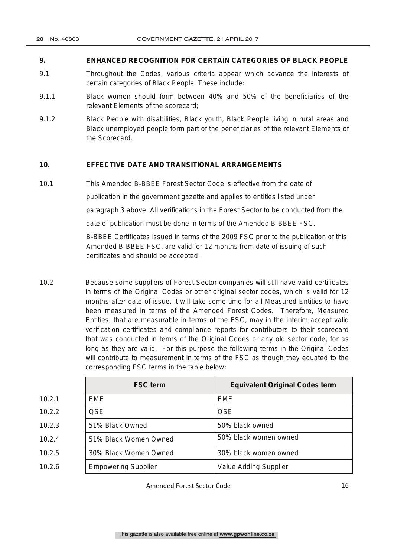#### **9. ENHANCED RECOGNITION FOR CERTAIN CATEGORIES OF BLACK PEOPLE**

- 9.1 Throughout the Codes, various criteria appear which advance the interests of certain categories of Black People. These include:
- 9.1.1 Black women should form between 40% and 50% of the beneficiaries of the relevant Elements of the scorecard;
- 9.1.2 Black People with disabilities, Black youth, Black People living in rural areas and Black unemployed people form part of the beneficiaries of the relevant Elements of the Scorecard.

#### **10. EFFECTIVE DATE AND TRANSITIONAL ARRANGEMENTS**

10.1 This Amended B-BBEE Forest Sector Code is effective from the date of

publication in the government gazette and applies to entities listed under paragraph 3 above. All verifications in the Forest Sector to be conducted from the

date of publication must be done in terms of the Amended B-BBEE FSC.

B-BBEE Certificates issued in terms of the 2009 FSC prior to the publication of this Amended B-BBEE FSC, are valid for 12 months from date of issuing of such certificates and should be accepted.

10.2 Because some suppliers of Forest Sector companies will still have valid certificates in terms of the Original Codes or other original sector codes, which is valid for 12 months after date of issue, it will take some time for all Measured Entities to have been measured in terms of the Amended Forest Codes. Therefore, Measured Entities, that are measurable in terms of the FSC, may in the interim accept valid verification certificates and compliance reports for contributors to their scorecard that was conducted in terms of the Original Codes or any old sector code, for as long as they are valid. For this purpose the following terms in the Original Codes will contribute to measurement in terms of the FSC as though they equated to the corresponding FSC terms in the table below:

|        | <b>FSC term</b>            | <b>Equivalent Original Codes term</b> |
|--------|----------------------------|---------------------------------------|
| 10.2.1 | EME                        | EME                                   |
| 10.2.2 | QSE                        | QSE                                   |
| 10.2.3 | 51% Black Owned            | 50% black owned                       |
| 10.2.4 | 51% Black Women Owned      | 50% black women owned                 |
| 10.2.5 | 30% Black Women Owned      | 30% black women owned                 |
| 10.2.6 | <b>Empowering Supplier</b> | Value Adding Supplier                 |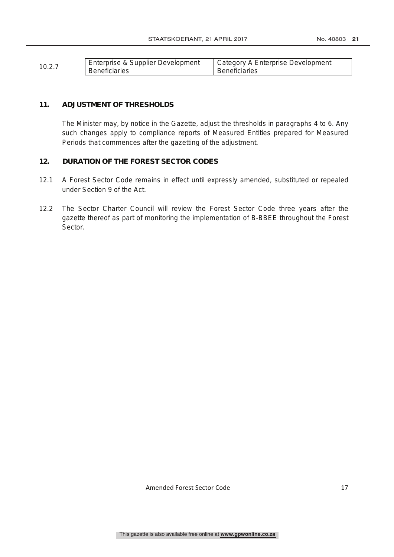| 10.2.7 | Enterprise & Supplier Development | Category A Enterprise Development |
|--------|-----------------------------------|-----------------------------------|
|        | <b>Beneficiaries</b>              | <b>Beneficiaries</b>              |

#### **11. ADJUSTMENT OF THRESHOLDS**

The Minister may, by notice in the Gazette, adjust the thresholds in paragraphs 4 to 6. Any such changes apply to compliance reports of Measured Entities prepared for Measured Periods that commences after the gazetting of the adjustment.

#### **12. DURATION OF THE FOREST SECTOR CODES**

- 12.1 A Forest Sector Code remains in effect until expressly amended, substituted or repealed under Section 9 of the Act.
- 12.2 The Sector Charter Council will review the Forest Sector Code three years after the gazette thereof as part of monitoring the implementation of B-BBEE throughout the Forest Sector.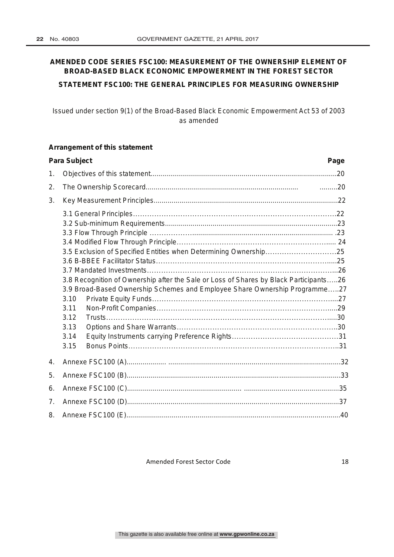## **AMENDED CODE SERIES FSC100: MEASUREMENT OF THE OWNERSHIP ELEMENT OF BROAD-BASED BLACK ECONOMIC EMPOWERMENT IN THE FOREST SECTOR**

## **STATEMENT FSC100: THE GENERAL PRINCIPLES FOR MEASURING OWNERSHIP**

Issued under section 9(1) of the Broad-Based Black Economic Empowerment Act 53 of 2003 as amended

#### **Arrangement of this statement**

|    | <b>Para Subject</b><br>Page                                                                                                                                                                                                                                                             |  |
|----|-----------------------------------------------------------------------------------------------------------------------------------------------------------------------------------------------------------------------------------------------------------------------------------------|--|
| 1. |                                                                                                                                                                                                                                                                                         |  |
| 2. |                                                                                                                                                                                                                                                                                         |  |
| 3. |                                                                                                                                                                                                                                                                                         |  |
|    | 3.5 Exclusion of Specified Entities when Determining Ownership25<br>3.8 Recognition of Ownership after the Sale or Loss of Shares by Black Participants26<br>3.9 Broad-Based Ownership Schemes and Employee Share Ownership Programme27<br>3.10<br>3.11<br>3.12<br>3.13<br>3.14<br>3.15 |  |
| 4. |                                                                                                                                                                                                                                                                                         |  |
| 5. |                                                                                                                                                                                                                                                                                         |  |
| 6. |                                                                                                                                                                                                                                                                                         |  |
| 7. |                                                                                                                                                                                                                                                                                         |  |
| 8. |                                                                                                                                                                                                                                                                                         |  |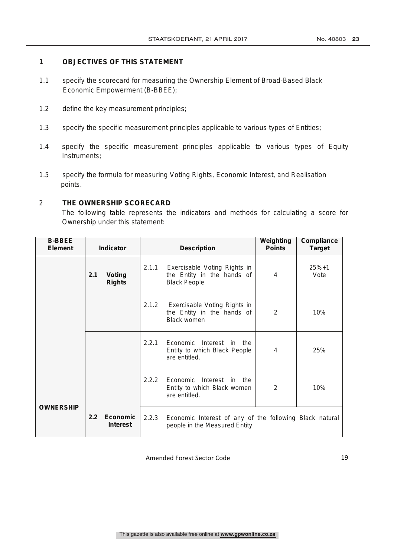## **1 OBJECTIVES OF THIS STATEMENT**

- 1.1 specify the scorecard for measuring the Ownership Element of Broad-Based Black Economic Empowerment (B-BBEE);
- 1.2 define the key measurement principles;
- 1.3 specify the specific measurement principles applicable to various types of Entities;
- 1.4 specify the specific measurement principles applicable to various types of Equity Instruments;
- 1.5 specify the formula for measuring Voting Rights, Economic Interest, and Realisation points.

#### 2 **THE OWNERSHIP SCORECARD**

The following table represents the indicators and methods for calculating a score for Ownership under this statement:

| <b>B-BBEE</b><br><b>Element</b> | <b>Indicator</b>                      |                                    | <b>Description</b> |                                                                                          | Weighting<br><b>Points</b> | Compliance<br><b>Target</b> |
|---------------------------------|---------------------------------------|------------------------------------|--------------------|------------------------------------------------------------------------------------------|----------------------------|-----------------------------|
|                                 | 2.1<br><b>Voting</b><br><b>Rights</b> |                                    | 2.1.1              | Exercisable Voting Rights in<br>the Entity in the hands of<br><b>Black People</b>        | 4                          | $25%+1$<br>Vote             |
|                                 |                                       |                                    | 2.1.2              | Exercisable Voting Rights in<br>the Entity in the hands of<br>Black women                | 2                          | 10%                         |
|                                 |                                       |                                    | 2.2.1              | Economic<br>Interest in the<br>Entity to which Black People<br>are entitled.             | 4                          | 25%                         |
|                                 |                                       |                                    | 2.2.2              | Economic<br>Interest in the<br>Entity to which Black women<br>are entitled.              | $\overline{2}$             | 10%                         |
| <b>OWNERSHIP</b>                | 2.2                                   | <b>Economic</b><br><b>Interest</b> | 2.2.3              | Economic Interest of any of the following Black natural<br>people in the Measured Entity |                            |                             |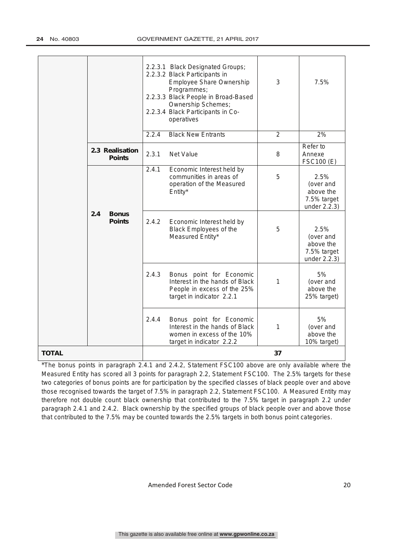|              |                                      |       | 2.2.3.1 Black Designated Groups;<br>2.2.3.2 Black Participants in<br><b>Employee Share Ownership</b><br>Programmes;<br>2.2.3.3 Black People in Broad-Based<br><b>Ownership Schemes;</b><br>2.2.3.4 Black Participants in Co-<br>operatives | 3              | 7.5%                                                          |
|--------------|--------------------------------------|-------|--------------------------------------------------------------------------------------------------------------------------------------------------------------------------------------------------------------------------------------------|----------------|---------------------------------------------------------------|
|              |                                      | 2.2.4 | <b>Black New Entrants</b>                                                                                                                                                                                                                  | $\overline{2}$ | 2%                                                            |
|              | 2.3 Realisation<br><b>Points</b>     | 2.3.1 | <b>Net Value</b>                                                                                                                                                                                                                           | 8              | Refer to<br>Annexe<br>FSC100 (E)                              |
|              |                                      | 2.4.1 | Economic Interest held by<br>communities in areas of<br>operation of the Measured<br>Entity*                                                                                                                                               | 5              | 2.5%<br>(over and<br>above the<br>7.5% target<br>under 2.2.3) |
|              | 2.4<br><b>Bonus</b><br><b>Points</b> | 2.4.2 | Economic Interest held by<br>Black Employees of the<br>Measured Entity*                                                                                                                                                                    | 5              | 2.5%<br>(over and<br>above the<br>7.5% target<br>under 2.2.3) |
|              |                                      | 2.4.3 | Bonus point for Economic<br>Interest in the hands of Black<br>People in excess of the 25%<br>target in indicator 2.2.1                                                                                                                     | 1              | 5%<br>(over and<br>above the<br>25% target)                   |
|              |                                      | 2.4.4 | Bonus point for Economic<br>Interest in the hands of Black<br>women in excess of the 10%<br>target in indicator 2.2.2                                                                                                                      | 1              | 5%<br>(over and<br>above the<br>10% target)                   |
| <b>TOTAL</b> |                                      |       |                                                                                                                                                                                                                                            | 37             |                                                               |

\**The bonus points in paragraph 2.4.1 and 2.4.2, Statement FSC100 above are only available where the Measured Entity has scored all 3 points for paragraph 2.2, Statement FSC100. The 2.5% targets for these two categories of bonus points are for participation by the specified classes of black people over and above those recognised towards the target of 7.5% in paragraph 2.2, Statement FSC100. A Measured Entity may therefore not double count black ownership that contributed to the 7.5% target in paragraph 2.2 under paragraph 2.4.1 and 2.4.2. Black ownership by the specified groups of black people over and above those that contributed to the 7.5% may be counted towards the 2.5% targets in both bonus point categories.*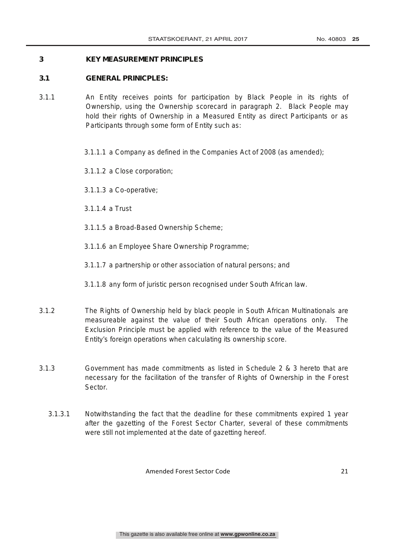#### **3 KEY MEASUREMENT PRINCIPLES**

#### **3.1 GENERAL PRINICPLES:**

- 3.1.1 An Entity receives points for participation by Black People in its rights of Ownership, using the Ownership scorecard in paragraph 2. Black People may hold their rights of Ownership in a Measured Entity as direct Participants or as Participants through some form of Entity such as:
	- 3.1.1.1 a Company as defined in the Companies Act of 2008 (as amended);
	- 3.1.1.2 a Close corporation;
	- 3.1.1.3 a Co-operative;
	- 3.1.1.4 a Trust
	- 3.1.1.5 a Broad-Based Ownership Scheme;
	- 3.1.1.6 an Employee Share Ownership Programme;
	- 3.1.1.7 a partnership or other association of natural persons; and
	- 3.1.1.8 any form of juristic person recognised under South African law.
- 3.1.2 The Rights of Ownership held by black people in South African Multinationals are measureable against the value of their South African operations only. The Exclusion Principle must be applied with reference to the value of the Measured Entity's foreign operations when calculating its ownership score.
- 3.1.3 Government has made commitments as listed in Schedule 2 & 3 hereto that are necessary for the facilitation of the transfer of Rights of Ownership in the Forest Sector.
	- 3.1.3.1 Notwithstanding the fact that the deadline for these commitments expired 1 year after the gazetting of the Forest Sector Charter, several of these commitments were still not implemented at the date of gazetting hereof.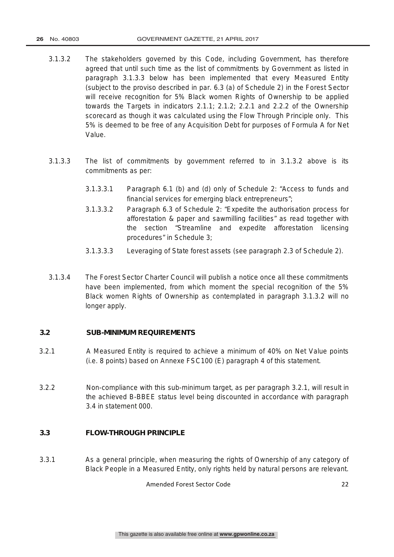- 3.1.3.2 The stakeholders governed by this Code, including Government, has therefore agreed that until such time as the list of commitments by Government as listed in paragraph 3.1.3.3 below has been implemented that every Measured Entity (subject to the proviso described in par. 6.3 (a) of Schedule 2) in the Forest Sector will receive recognition for 5% Black women Rights of Ownership to be applied towards the Targets in indicators 2.1.1; 2.1.2; 2.2.1 and 2.2.2 of the Ownership scorecard as though it was calculated using the Flow Through Principle only. This 5% is deemed to be free of any Acquisition Debt for purposes of Formula A for Net Value.
- 3.1.3.3 The list of commitments by government referred to in 3.1.3.2 above is its commitments as per:
	- 3.1.3.3.1 Paragraph 6.1 (b) and (d) only of Schedule 2: "*Access to funds and financial services for emerging black entrepreneurs*";
	- 3.1.3.3.2 Paragraph 6.3 of Schedule 2: "*Expedite the authorisation process for afforestation & paper and sawmilling facilities*" as read together with the section "*Streamline and expedite afforestation licensing procedures*" in Schedule 3;
	- 3.1.3.3.3 Leveraging of State forest assets (see paragraph 2.3 of Schedule 2).
- 3.1.3.4 The Forest Sector Charter Council will publish a notice once all these commitments have been implemented, from which moment the special recognition of the 5% Black women Rights of Ownership as contemplated in paragraph 3.1.3.2 will no longer apply.

#### **3.2 SUB-MINIMUM REQUIREMENTS**

- 3.2.1 A Measured Entity is required to achieve a minimum of 40% on Net Value points (i.e. 8 points) based on Annexe FSC100 (E) paragraph 4 of this statement.
- 3.2.2 Non-compliance with this sub-minimum target, as per paragraph 3.2.1, will result in the achieved B-BBEE status level being discounted in accordance with paragraph 3.4 in statement 000.

## **3.3 FLOW-THROUGH PRINCIPLE**

3.3.1 As a general principle, when measuring the rights of Ownership of any category of Black People in a Measured Entity, only rights held by natural persons are relevant.

Amended Forest Sector Code **8.22 Sector** Code 22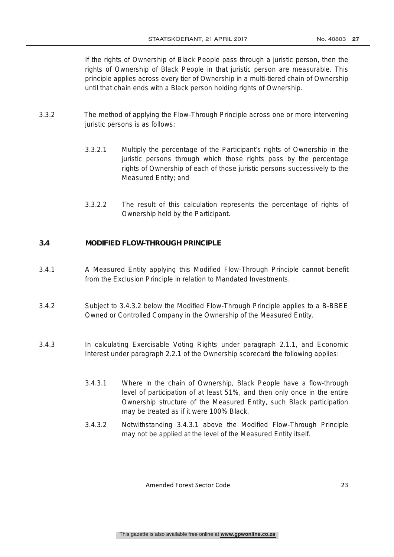If the rights of Ownership of Black People pass through a juristic person, then the rights of Ownership of Black People in that juristic person are measurable. This principle applies across every tier of Ownership in a multi-tiered chain of Ownership until that chain ends with a Black person holding rights of Ownership.

- 3.3.2 The method of applying the Flow-Through Principle across one or more intervening juristic persons is as follows:
	- 3.3.2.1 Multiply the percentage of the Participant's rights of Ownership in the juristic persons through which those rights pass by the percentage rights of Ownership of each of those juristic persons successively to the Measured Entity; and
	- 3.3.2.2 The result of this calculation represents the percentage of rights of Ownership held by the Participant.

### **3.4 MODIFIED FLOW-THROUGH PRINCIPLE**

- 3.4.1 A Measured Entity applying this Modified Flow-Through Principle cannot benefit from the Exclusion Principle in relation to Mandated Investments.
- 3.4.2 Subject to 3.4.3.2 below the Modified Flow-Through Principle applies to a B-BBEE Owned or Controlled Company in the Ownership of the Measured Entity.
- 3.4.3 In calculating Exercisable Voting Rights under paragraph 2.1.1, and Economic Interest under paragraph 2.2.1 of the Ownership scorecard the following applies:
	- 3.4.3.1 Where in the chain of Ownership, Black People have a flow-through level of participation of at least 51%, and then only once in the entire Ownership structure of the Measured Entity, such Black participation may be treated as if it were 100% Black.
	- 3.4.3.2 Notwithstanding 3.4.3.1 above the Modified Flow-Through Principle may not be applied at the level of the Measured Entity itself.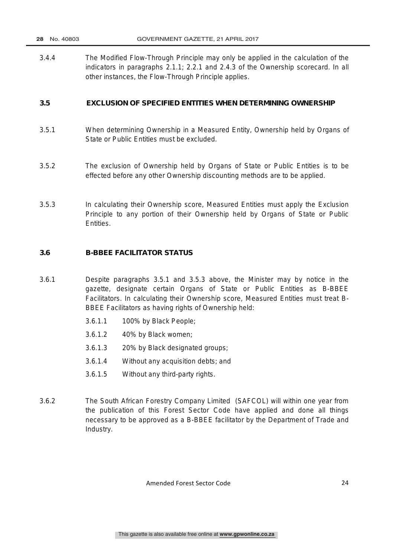3.4.4 The Modified Flow-Through Principle may only be applied in the calculation of the indicators in paragraphs 2.1.1; 2.2.1 and 2.4.3 of the Ownership scorecard. In all other instances, the Flow-Through Principle applies.

#### **3.5 EXCLUSION OF SPECIFIED ENTITIES WHEN DETERMINING OWNERSHIP**

- 3.5.1 When determining Ownership in a Measured Entity, Ownership held by Organs of State or Public Entities must be excluded.
- 3.5.2 The exclusion of Ownership held by Organs of State or Public Entities is to be effected before any other Ownership discounting methods are to be applied.
- 3.5.3 In calculating their Ownership score, Measured Entities must apply the Exclusion Principle to any portion of their Ownership held by Organs of State or Public Entities.

#### **3.6 B-BBEE FACILITATOR STATUS**

- 3.6.1 Despite paragraphs 3.5.1 and 3.5.3 above, the Minister may by notice in the gazette, designate certain Organs of State or Public Entities as B-BBEE Facilitators. In calculating their Ownership score, Measured Entities must treat B-BBEE Facilitators as having rights of Ownership held:
	- 3.6.1.1 100% by Black People;
	- 3.6.1.2 40% by Black women;
	- 3.6.1.3 20% by Black designated groups;
	- 3.6.1.4 Without any acquisition debts; and
	- 3.6.1.5 Without any third-party rights.
- 3.6.2 The South African Forestry Company Limited (SAFCOL) will within one year from the publication of this Forest Sector Code have applied and done all things necessary to be approved as a B-BBEE facilitator by the Department of Trade and Industry.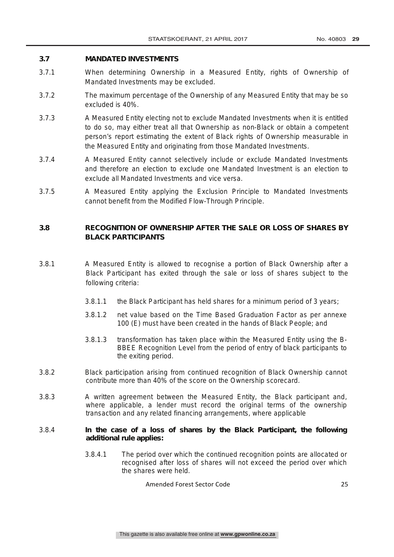#### **3.7 MANDATED INVESTMENTS**

- 3.7.1 When determining Ownership in a Measured Entity, rights of Ownership of Mandated Investments may be excluded.
- 3.7.2 The maximum percentage of the Ownership of any Measured Entity that may be so excluded is 40%.
- 3.7.3 A Measured Entity electing not to exclude Mandated Investments when it is entitled to do so, may either treat all that Ownership as non-Black or obtain a competent person's report estimating the extent of Black rights of Ownership measurable in the Measured Entity and originating from those Mandated Investments.
- 3.7.4 A Measured Entity cannot selectively include or exclude Mandated Investments and therefore an election to exclude one Mandated Investment is an election to exclude all Mandated Investments and vice versa.
- 3.7.5 A Measured Entity applying the Exclusion Principle to Mandated Investments cannot benefit from the Modified Flow-Through Principle.

## **3.8 RECOGNITION OF OWNERSHIP AFTER THE SALE OR LOSS OF SHARES BY BLACK PARTICIPANTS**

- 3.8.1 A Measured Entity is allowed to recognise a portion of Black Ownership after a Black Participant has exited through the sale or loss of shares subject to the following criteria:
	- 3.8.1.1 the Black Participant has held shares for a minimum period of 3 years;
	- 3.8.1.2 net value based on the Time Based Graduation Factor as per annexe 100 (E) must have been created in the hands of Black People; and
	- 3.8.1.3 transformation has taken place within the Measured Entity using the B-BBEE Recognition Level from the period of entry of black participants to the exiting period.
- 3.8.2 Black participation arising from continued recognition of Black Ownership cannot contribute more than 40% of the score on the Ownership scorecard.
- 3.8.3 A written agreement between the Measured Entity, the Black participant and, where applicable, a lender must record the original terms of the ownership transaction and any related financing arrangements, where applicable
- 3.8.4 **In the case of a loss of shares by the Black Participant, the following additional rule applies:**
	- 3.8.4.1 The period over which the continued recognition points are allocated or recognised after loss of shares will not exceed the period over which the shares were held.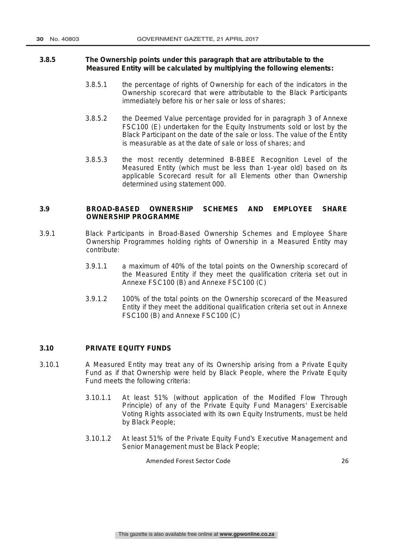#### **3.8.5 The Ownership points under this paragraph that are attributable to the Measured Entity will be calculated by multiplying the following elements:**

- 3.8.5.1 the percentage of rights of Ownership for each of the indicators in the Ownership scorecard that were attributable to the Black Participants immediately before his or her sale or loss of shares;
- 3.8.5.2 the Deemed Value percentage provided for in paragraph 3 of Annexe FSC100 (E) undertaken for the Equity Instruments sold or lost by the Black Participant on the date of the sale or loss. The value of the Entity is measurable as at the date of sale or loss of shares; and
- 3.8.5.3 the most recently determined B-BBEE Recognition Level of the Measured Entity (which must be less than 1-year old) based on its applicable Scorecard result for all Elements other than Ownership determined using statement 000.

#### **3.9 BROAD-BASED OWNERSHIP SCHEMES AND EMPLOYEE SHARE OWNERSHIP PROGRAMME**

- 3.9.1 Black Participants in Broad-Based Ownership Schemes and Employee Share Ownership Programmes holding rights of Ownership in a Measured Entity may contribute:
	- 3.9.1.1 a maximum of 40% of the total points on the Ownership scorecard of the Measured Entity if they meet the qualification criteria set out in Annexe FSC100 (B) and Annexe FSC100 (C)
	- 3.9.1.2 100% of the total points on the Ownership scorecard of the Measured Entity if they meet the additional qualification criteria set out in Annexe FSC100 (B) and Annexe FSC100 (C)

#### **3.10 PRIVATE EQUITY FUNDS**

- 3.10.1 A Measured Entity may treat any of its Ownership arising from a Private Equity Fund as if that Ownership were held by Black People, where the Private Equity Fund meets the following criteria:
	- 3.10.1.1 At least 51% (without application of the Modified Flow Through Principle) of any of the Private Equity Fund Managers' Exercisable Voting Rights associated with its own Equity Instruments, must be held by Black People;
	- 3.10.1.2 At least 51% of the Private Equity Fund's Executive Management and Senior Management must be Black People;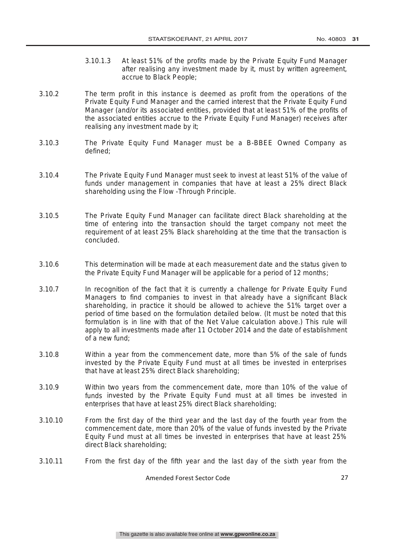- 3.10.1.3 At least 51% of the profits made by the Private Equity Fund Manager after realising any investment made by it, must by written agreement, accrue to Black People;
- 3.10.2 The term profit in this instance is deemed as profit from the operations of the Private Equity Fund Manager and the carried interest that the Private Equity Fund Manager (and/or its associated entities, provided that at least 51% of the profits of the associated entities accrue to the Private Equity Fund Manager) receives after realising any investment made by it;
- 3.10.3 The Private Equity Fund Manager must be a B-BBEE Owned Company as defined;
- 3.10.4 The Private Equity Fund Manager must seek to invest at least 51% of the value of funds under management in companies that have at least a 25% direct Black shareholding using the Flow -Through Principle.
- 3.10.5 The Private Equity Fund Manager can facilitate direct Black shareholding at the time of entering into the transaction should the target company not meet the requirement of at least 25% Black shareholding at the time that the transaction is concluded.
- 3.10.6 This determination will be made at each measurement date and the status given to the Private Equity Fund Manager will be applicable for a period of 12 months;
- 3.10.7 In recognition of the fact that it is currently a challenge for Private Equity Fund Managers to find companies to invest in that already have a significant Black shareholding, in practice it should be allowed to achieve the 51% target over a period of time based on the formulation detailed below. (It must be noted that this formulation is in line with that of the Net Value calculation above.) This rule will apply to all investments made after 11 October 2014 and the date of establishment of a new fund;
- 3.10.8 Within a year from the commencement date, more than 5% of the sale of funds invested by the Private Equity Fund must at all times be invested in enterprises that have at least 25% direct Black shareholding;
- 3.10.9 Within two years from the commencement date, more than 10% of the value of funds invested by the Private Equity Fund must at all times be invested in enterprises that have at least 25% direct Black shareholding;
- 3.10.10 From the first day of the third year and the last day of the fourth year from the commencement date, more than 20% of the value of funds invested by the Private Equity Fund must at all times be invested in enterprises that have at least 25% direct Black shareholding;
- 3.10.11 From the first day of the fifth year and the last day of the sixth year from the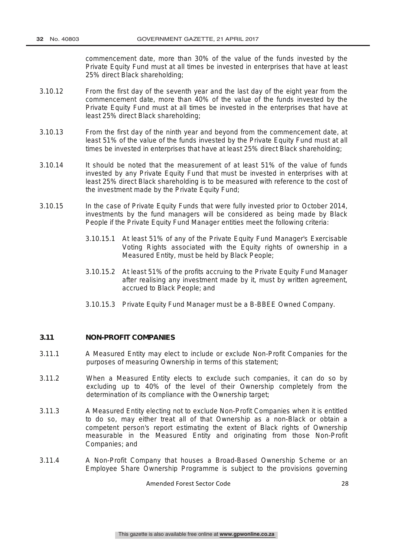commencement date, more than 30% of the value of the funds invested by the Private Equity Fund must at all times be invested in enterprises that have at least 25% direct Black shareholding;

- 3.10.12 From the first day of the seventh year and the last day of the eight year from the commencement date, more than 40% of the value of the funds invested by the Private Equity Fund must at all times be invested in the enterprises that have at least 25% direct Black shareholding;
- 3.10.13 From the first day of the ninth year and beyond from the commencement date, at least 51% of the value of the funds invested by the Private Equity Fund must at all times be invested in enterprises that have at least 25% direct Black shareholding;
- 3.10.14 It should be noted that the measurement of at least 51% of the value of funds invested by any Private Equity Fund that must be invested in enterprises with at least 25% direct Black shareholding is to be measured with reference to the cost of the investment made by the Private Equity Fund;
- 3.10.15 In the case of Private Equity Funds that were fully invested prior to October 2014, investments by the fund managers will be considered as being made by Black People if the Private Equity Fund Manager entities meet the following criteria:
	- 3.10.15.1 At least 51% of any of the Private Equity Fund Manager's Exercisable Voting Rights associated with the Equity rights of ownership in a Measured Entity, must be held by Black People;
	- 3.10.15.2 At least 51% of the profits accruing to the Private Equity Fund Manager after realising any investment made by it, must by written agreement, accrued to Black People; and
	- 3.10.15.3 Private Equity Fund Manager must be a B-BBEE Owned Company.

## **3.11 NON-PROFIT COMPANIES**

- 3.11.1 A Measured Entity may elect to include or exclude Non-Profit Companies for the purposes of measuring Ownership in terms of this statement;
- 3.11.2 When a Measured Entity elects to exclude such companies, it can do so by excluding up to 40% of the level of their Ownership completely from the determination of its compliance with the Ownership target;
- 3.11.3 A Measured Entity electing not to exclude Non-Profit Companies when it is entitled to do so, may either treat all of that Ownership as a non-Black or obtain a competent person's report estimating the extent of Black rights of Ownership measurable in the Measured Entity and originating from those Non-Profit Companies; and
- 3.11.4 A Non-Profit Company that houses a Broad-Based Ownership Scheme or an Employee Share Ownership Programme is subject to the provisions governing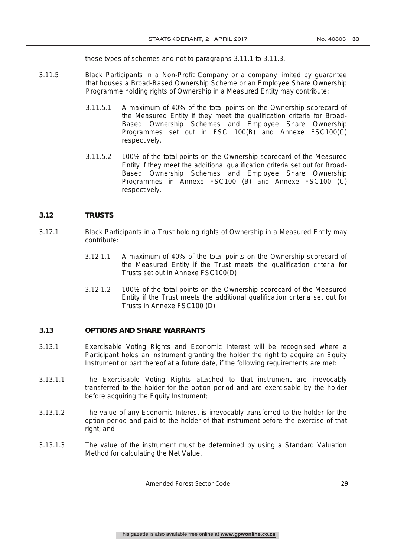those types of schemes and not to paragraphs 3.11.1 to 3.11.3.

- 3.11.5 Black Participants in a Non-Profit Company or a company limited by guarantee that houses a Broad-Based Ownership Scheme or an Employee Share Ownership Programme holding rights of Ownership in a Measured Entity may contribute:
	- 3.11.5.1 A maximum of 40% of the total points on the Ownership scorecard of the Measured Entity if they meet the qualification criteria for Broad-Based Ownership Schemes and Employee Share Ownership Programmes set out in FSC 100(B) and Annexe FSC100(C) respectively.
	- 3.11.5.2 100% of the total points on the Ownership scorecard of the Measured Entity if they meet the additional qualification criteria set out for Broad-Based Ownership Schemes and Employee Share Ownership Programmes in Annexe FSC100 (B) and Annexe FSC100 (C) respectively.

#### **3.12 TRUSTS**

- 3.12.1 Black Participants in a Trust holding rights of Ownership in a Measured Entity may contribute:
	- 3.12.1.1 A maximum of 40% of the total points on the Ownership scorecard of the Measured Entity if the Trust meets the qualification criteria for Trusts set out in Annexe FSC100(D)
	- 3.12.1.2 100% of the total points on the Ownership scorecard of the Measured Entity if the Trust meets the additional qualification criteria set out for Trusts in Annexe FSC100 (D)

#### **3.13 OPTIONS AND SHARE WARRANTS**

- 3.13.1 Exercisable Voting Rights and Economic Interest will be recognised where a Participant holds an instrument granting the holder the right to acquire an Equity Instrument or part thereof at a future date, if the following requirements are met:
- 3.13.1.1 The Exercisable Voting Rights attached to that instrument are irrevocably transferred to the holder for the option period and are exercisable by the holder before acquiring the Equity Instrument:
- 3.13.1.2 The value of any Economic Interest is irrevocably transferred to the holder for the option period and paid to the holder of that instrument before the exercise of that right; and
- 3.13.1.3 The value of the instrument must be determined by using a Standard Valuation Method for calculating the Net Value.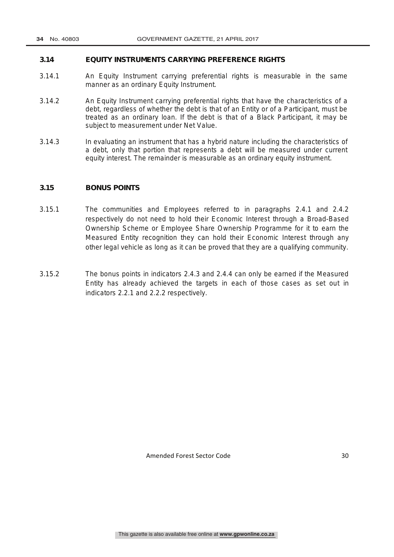#### **3.14 EQUITY INSTRUMENTS CARRYING PREFERENCE RIGHTS**

- 3.14.1 An Equity Instrument carrying preferential rights is measurable in the same manner as an ordinary Equity Instrument.
- 3.14.2 An Equity Instrument carrying preferential rights that have the characteristics of a debt, regardless of whether the debt is that of an Entity or of a Participant, must be treated as an ordinary loan. If the debt is that of a Black Participant, it may be subject to measurement under Net Value.
- 3.14.3 In evaluating an instrument that has a hybrid nature including the characteristics of a debt, only that portion that represents a debt will be measured under current equity interest. The remainder is measurable as an ordinary equity instrument.

#### **3.15 BONUS POINTS**

- 3.15.1 The communities and Employees referred to in paragraphs 2.4.1 and 2.4.2 respectively do not need to hold their Economic Interest through a Broad-Based Ownership Scheme or Employee Share Ownership Programme for it to earn the Measured Entity recognition they can hold their Economic Interest through any other legal vehicle as long as it can be proved that they are a qualifying community.
- 3.15.2 The bonus points in indicators 2.4.3 and 2.4.4 can only be earned if the Measured Entity has already achieved the targets in each of those cases as set out in indicators 2.2.1 and 2.2.2 respectively.

Amended Forest Sector Code and the sector of the sector of the sector  $30$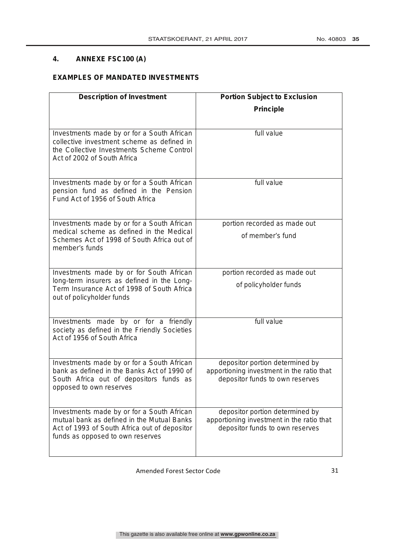## **4. ANNEXE FSC100 (A)**

## **EXAMPLES OF MANDATED INVESTMENTS**

| <b>Description of Investment</b>                                                                                                                                             | <b>Portion Subject to Exclusion</b>                                                                             |
|------------------------------------------------------------------------------------------------------------------------------------------------------------------------------|-----------------------------------------------------------------------------------------------------------------|
|                                                                                                                                                                              | <b>Principle</b>                                                                                                |
| Investments made by or for a South African<br>collective investment scheme as defined in<br>the Collective Investments Scheme Control<br>Act of 2002 of South Africa         | full value                                                                                                      |
| Investments made by or for a South African<br>pension fund as defined in the Pension<br>Fund Act of 1956 of South Africa                                                     | full value                                                                                                      |
| Investments made by or for a South African                                                                                                                                   | portion recorded as made out                                                                                    |
| medical scheme as defined in the Medical<br>Schemes Act of 1998 of South Africa out of<br>member's funds                                                                     | of member's fund                                                                                                |
| Investments made by or for South African                                                                                                                                     | portion recorded as made out                                                                                    |
| long-term insurers as defined in the Long-<br>Term Insurance Act of 1998 of South Africa<br>out of policyholder funds                                                        | of policyholder funds                                                                                           |
| Investments made by or for a friendly<br>society as defined in the Friendly Societies<br>Act of 1956 of South Africa                                                         | full value                                                                                                      |
| Investments made by or for a South African<br>bank as defined in the Banks Act of 1990 of<br>South Africa out of depositors funds as<br>opposed to own reserves              | depositor portion determined by<br>apportioning investment in the ratio that<br>depositor funds to own reserves |
| Investments made by or for a South African<br>mutual bank as defined in the Mutual Banks<br>Act of 1993 of South Africa out of depositor<br>funds as opposed to own reserves | depositor portion determined by<br>apportioning investment in the ratio that<br>depositor funds to own reserves |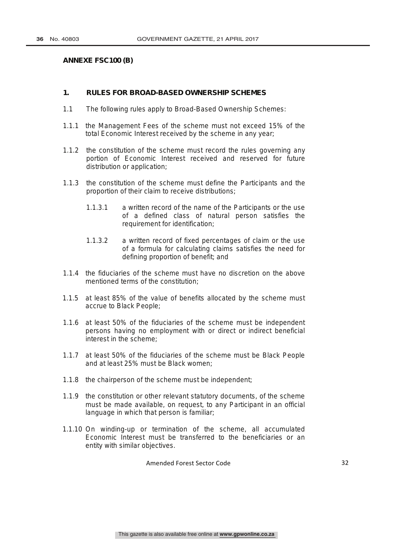#### **ANNEXE FSC100 (B)**

#### **1. RULES FOR BROAD-BASED OWNERSHIP SCHEMES**

- 1.1 The following rules apply to Broad-Based Ownership Schemes:
- 1.1.1 the Management Fees of the scheme must not exceed 15% of the total Economic Interest received by the scheme in any year;
- 1.1.2 the constitution of the scheme must record the rules governing any portion of Economic Interest received and reserved for future distribution or application;
- 1.1.3 the constitution of the scheme must define the Participants and the proportion of their claim to receive distributions;
	- 1.1.3.1 a written record of the name of the Participants or the use of a defined class of natural person satisfies the requirement for identification;
	- 1.1.3.2 a written record of fixed percentages of claim or the use of a formula for calculating claims satisfies the need for defining proportion of benefit; and
- 1.1.4 the fiduciaries of the scheme must have no discretion on the above mentioned terms of the constitution;
- 1.1.5 at least 85% of the value of benefits allocated by the scheme must accrue to Black People;
- 1.1.6 at least 50% of the fiduciaries of the scheme must be independent persons having no employment with or direct or indirect beneficial interest in the scheme;
- 1.1.7 at least 50% of the fiduciaries of the scheme must be Black People and at least 25% must be Black women;
- 1.1.8 the chairperson of the scheme must be independent;
- 1.1.9 the constitution or other relevant statutory documents, of the scheme must be made available, on request, to any Participant in an official language in which that person is familiar;
- 1.1.10 On winding-up or termination of the scheme, all accumulated Economic Interest must be transferred to the beneficiaries or an entity with similar objectives.

Amended Forest Sector Code and the state of the state of the state of the state of the state of the state of the state of the state of the state of the state of the state of the state of the state of the state of the state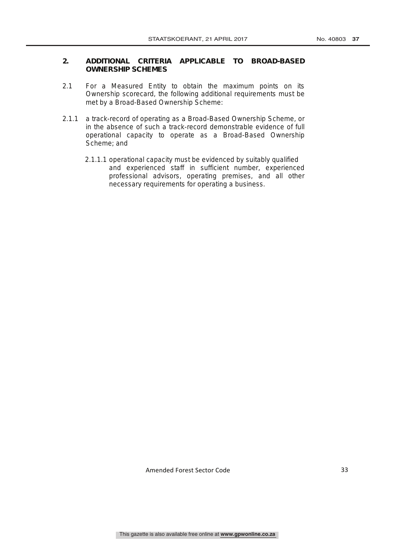### **2. ADDITIONAL CRITERIA APPLICABLE TO BROAD-BASED OWNERSHIP SCHEMES**

- 2.1 For a Measured Entity to obtain the maximum points on its Ownership scorecard, the following additional requirements must be met by a Broad-Based Ownership Scheme:
- 2.1.1 a track-record of operating as a Broad-Based Ownership Scheme, or in the absence of such a track-record demonstrable evidence of full operational capacity to operate as a Broad-Based Ownership Scheme; and
	- 2.1.1.1 operational capacity must be evidenced by suitably qualified and experienced staff in sufficient number, experienced professional advisors, operating premises, and all other necessary requirements for operating a business.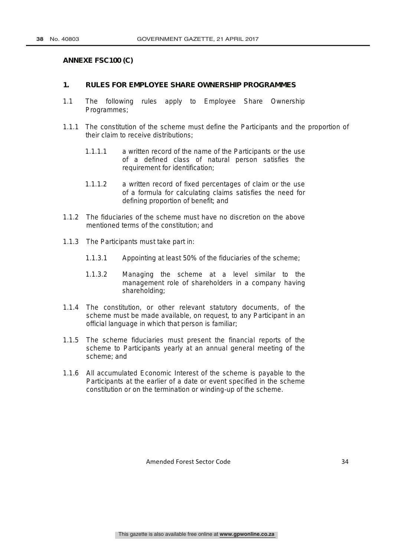#### **ANNEXE FSC100 (C)**

#### **1. RULES FOR EMPLOYEE SHARE OWNERSHIP PROGRAMMES**

- 1.1 The following rules apply to Employee Share Ownership Programmes;
- 1.1.1 The constitution of the scheme must define the Participants and the proportion of their claim to receive distributions;
	- 1.1.1.1 a written record of the name of the Participants or the use of a defined class of natural person satisfies the requirement for identification;
	- 1.1.1.2 a written record of fixed percentages of claim or the use of a formula for calculating claims satisfies the need for defining proportion of benefit; and
- 1.1.2 The fiduciaries of the scheme must have no discretion on the above mentioned terms of the constitution; and
- 1.1.3 The Participants must take part in:
	- 1.1.3.1 Appointing at least 50% of the fiduciaries of the scheme;
	- 1.1.3.2 Managing the scheme at a level similar to the management role of shareholders in a company having shareholding;
- 1.1.4 The constitution, or other relevant statutory documents, of the scheme must be made available, on request, to any Participant in an official language in which that person is familiar;
- 1.1.5 The scheme fiduciaries must present the financial reports of the scheme to Participants yearly at an annual general meeting of the scheme; and
- 1.1.6 All accumulated Economic Interest of the scheme is payable to the Participants at the earlier of a date or event specified in the scheme constitution or on the termination or winding-up of the scheme.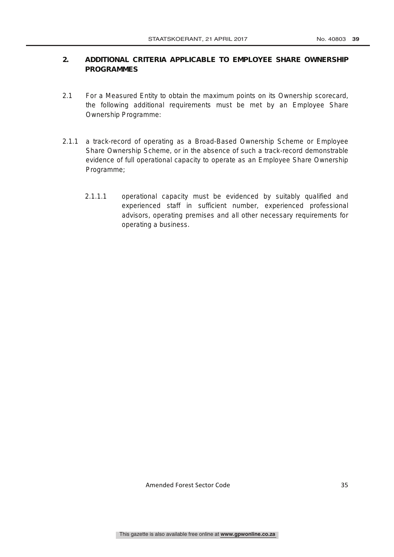# **2. ADDITIONAL CRITERIA APPLICABLE TO EMPLOYEE SHARE OWNERSHIP PROGRAMMES**

- 2.1 For a Measured Entity to obtain the maximum points on its Ownership scorecard, the following additional requirements must be met by an Employee Share Ownership Programme:
- 2.1.1 a track-record of operating as a Broad-Based Ownership Scheme or Employee Share Ownership Scheme, or in the absence of such a track-record demonstrable evidence of full operational capacity to operate as an Employee Share Ownership Programme;
	- 2.1.1.1 operational capacity must be evidenced by suitably qualified and experienced staff in sufficient number, experienced professional advisors, operating premises and all other necessary requirements for operating a business.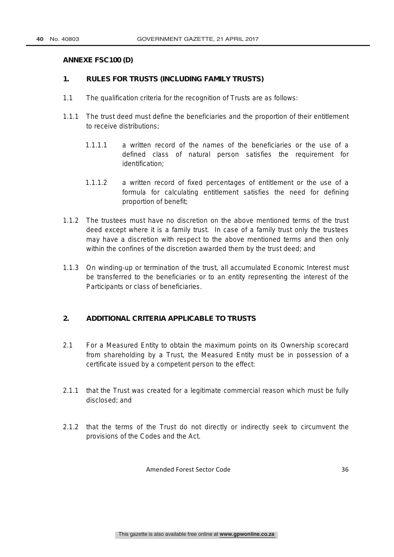### **ANNEXE FSC100 (D)**

### **1. RULES FOR TRUSTS (INCLUDING FAMILY TRUSTS)**

- 1.1 The qualification criteria for the recognition of Trusts are as follows:
- 1.1.1 The trust deed must define the beneficiaries and the proportion of their entitlement to receive distributions;
	- 1.1.1.1 a written record of the names of the beneficiaries or the use of a defined class of natural person satisfies the requirement for identification;
	- 1.1.1.2 a written record of fixed percentages of entitlement or the use of a formula for calculating entitlement satisfies the need for defining proportion of benefit;
- 1.1.2 The trustees must have no discretion on the above mentioned terms of the trust deed except where it is a family trust. In case of a family trust only the trustees may have a discretion with respect to the above mentioned terms and then only within the confines of the discretion awarded them by the trust deed; and
- 1.1.3 On winding-up or termination of the trust, all accumulated Economic Interest must be transferred to the beneficiaries or to an entity representing the interest of the Participants or class of beneficiaries.

### **2. ADDITIONAL CRITERIA APPLICABLE TO TRUSTS**

- 2.1 For a Measured Entity to obtain the maximum points on its Ownership scorecard from shareholding by a Trust, the Measured Entity must be in possession of a certificate issued by a competent person to the effect:
- 2.1.1 that the Trust was created for a legitimate commercial reason which must be fully disclosed; and
- 2.1.2 that the terms of the Trust do not directly or indirectly seek to circumvent the provisions of the Codes and the Act.

Amended Forest Sector Code **Communist Sector** Code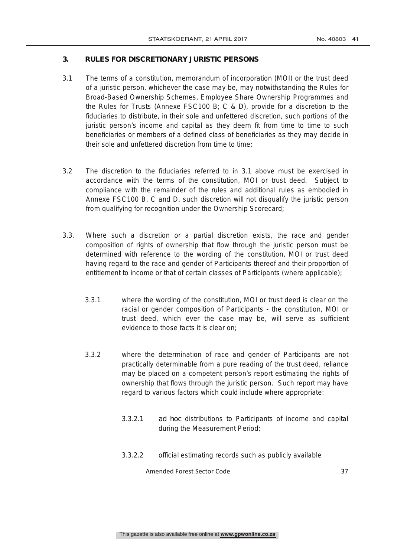### **3. RULES FOR DISCRETIONARY JURISTIC PERSONS**

- 3.1 The terms of a constitution, memorandum of incorporation (MOI) or the trust deed of a juristic person, whichever the case may be, may notwithstanding the Rules for Broad-Based Ownership Schemes, Employee Share Ownership Programmes and the Rules for Trusts (Annexe FSC100 B; C & D), provide for a discretion to the fiduciaries to distribute, in their sole and unfettered discretion, such portions of the juristic person's income and capital as they deem fit from time to time to such beneficiaries or members of a defined class of beneficiaries as they may decide in their sole and unfettered discretion from time to time;
- 3.2 The discretion to the fiduciaries referred to in 3.1 above must be exercised in accordance with the terms of the constitution, MOI or trust deed. Subject to compliance with the remainder of the rules and additional rules as embodied in Annexe FSC100 B, C and D, such discretion will not disqualify the juristic person from qualifying for recognition under the Ownership Scorecard;
- 3.3. Where such a discretion or a partial discretion exists, the race and gender composition of rights of ownership that flow through the juristic person must be determined with reference to the wording of the constitution, MOI or trust deed having regard to the race and gender of Participants thereof and their proportion of entitlement to income or that of certain classes of Participants (where applicable);
	- 3.3.1 where the wording of the constitution, MOI or trust deed is clear on the racial or gender composition of Participants - the constitution, MOI or trust deed, which ever the case may be, will serve as sufficient evidence to those facts it is clear on;
	- 3.3.2 where the determination of race and gender of Participants are not practically determinable from a pure reading of the trust deed, reliance may be placed on a competent person's report estimating the rights of ownership that flows through the juristic person. Such report may have regard to various factors which could include where appropriate:
		- 3.3.2.1 *ad hoc* distributions to Participants of income and capital during the Measurement Period;
		- 3.3.2.2 official estimating records such as publicly available

Amended Forest Sector Code **Communist Sector** Code 37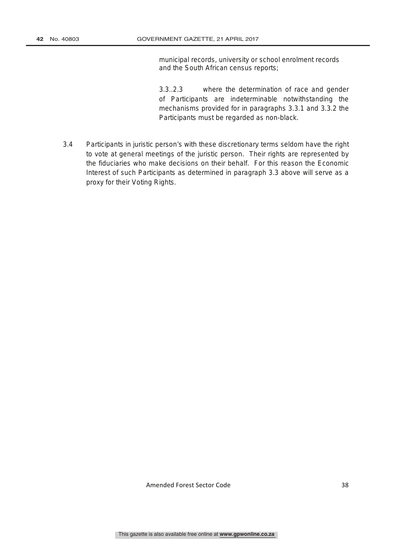municipal records, university or school enrolment records and the South African census reports;

3.3..2.3 where the determination of race and gender of Participants are indeterminable notwithstanding the mechanisms provided for in paragraphs 3.3.1 and 3.3.2 the Participants must be regarded as non-black.

3.4 Participants in juristic person's with these discretionary terms seldom have the right to vote at general meetings of the juristic person. Their rights are represented by the fiduciaries who make decisions on their behalf. For this reason the Economic Interest of such Participants as determined in paragraph 3.3 above will serve as a proxy for their Voting Rights.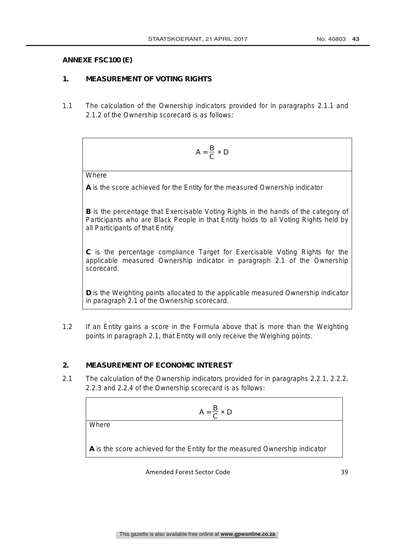### **ANNEXE FSC100 (E)**

# **1. MEASUREMENT OF VOTING RIGHTS**

1.1 The calculation of the Ownership indicators provided for in paragraphs 2.1.1 and 2.1.2 of the Ownership scorecard is as follows:

$$
A = \frac{B}{C} \times D
$$

**Where** 

**A** is the score achieved for the Entity for the measured Ownership indicator

**B** is the percentage that Exercisable Voting Rights in the hands of the category of Participants who are Black People in that Entity holds to all Voting Rights held by all Participants of that Entity

**C** is the percentage compliance Target for Exercisable Voting Rights for the applicable measured Ownership indicator in paragraph 2.1 of the Ownership scorecard.

**D** is the Weighting points allocated to the applicable measured Ownership indicator in paragraph 2.1 of the Ownership scorecard.

1.2 If an Entity gains a score in the Formula above that is more than the Weighting points in paragraph 2.1, that Entity will only receive the Weighing points.

# **2. MEASUREMENT OF ECONOMIC INTEREST**

2.1 The calculation of the Ownership indicators provided for in paragraphs 2.2.1, 2.2.2, 2.2.3 and 2.2.4 of the Ownership scorecard is as follows:

$$
A = \frac{B}{C} \times D
$$

**Where** 

**A** is the score achieved for the Entity for the measured Ownership indicator

Amended Forest Sector Code and the sector of the sector of the sector of the sector of the sector of the sector of the sector of the sector of the sector of the sector of the sector of the sector of the sector of the secto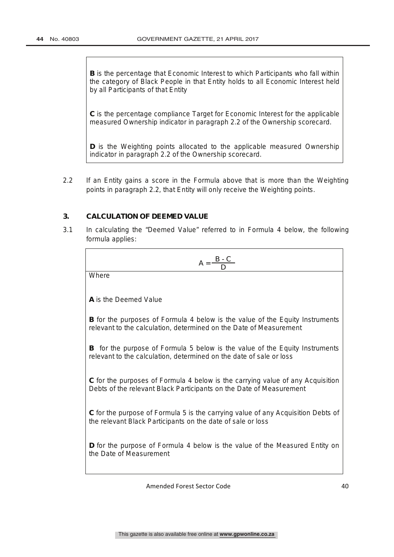**B** is the percentage that Economic Interest to which Participants who fall within the category of Black People in that Entity holds to all Economic Interest held by all Participants of that Entity

**C** is the percentage compliance Target for Economic Interest for the applicable measured Ownership indicator in paragraph 2.2 of the Ownership scorecard.

**D** is the Weighting points allocated to the applicable measured Ownership indicator in paragraph 2.2 of the Ownership scorecard.

2.2 If an Entity gains a score in the Formula above that is more than the Weighting points in paragraph 2.2, that Entity will only receive the Weighting points.

### **3. CALCULATION OF DEEMED VALUE**

3.1 In calculating the "Deemed Value" referred to in Formula 4 below, the following formula applies:

 $A = \frac{B \cdot C}{D}$ **Where A** is the Deemed Value **B** for the purposes of Formula 4 below is the value of the Equity Instruments relevant to the calculation, determined on the Date of Measurement **B** for the purpose of Formula 5 below is the value of the Equity Instruments relevant to the calculation, determined on the date of sale or loss **C** for the purposes of Formula 4 below is the carrying value of any Acquisition Debts of the relevant Black Participants on the Date of Measurement **C** for the purpose of Formula 5 is the carrying value of any Acquisition Debts of the relevant Black Participants on the date of sale or loss **D** for the purpose of Formula 4 below is the value of the Measured Entity on the Date of Measurement

Amended Forest Sector Code and the sector of the sector of the sector of the sector of the sector of the sector of the sector of the sector of the sector of the sector of the sector of the sector of the sector of the secto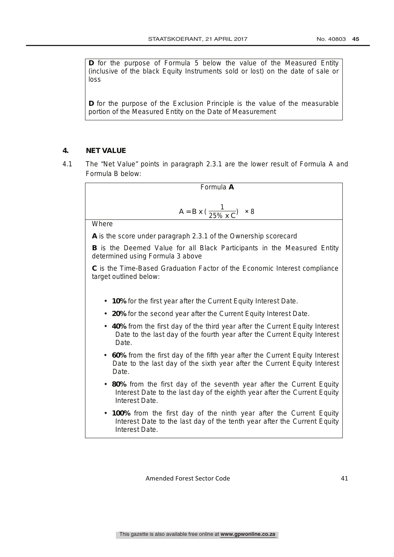**D** for the purpose of Formula 5 below the value of the Measured Entity (inclusive of the black Equity Instruments sold or lost) on the date of sale or loss

**D** for the purpose of the Exclusion Principle is the value of the measurable portion of the Measured Entity on the Date of Measurement

### **4. NET VALUE**

4.1 The "Net Value" points in paragraph 2.3.1 are the lower result of Formula A and Formula B below:

| Formula A                                                                                                                                                            |  |  |  |  |  |
|----------------------------------------------------------------------------------------------------------------------------------------------------------------------|--|--|--|--|--|
| $A = B x (\frac{1}{25\% \times C}) \times 8$                                                                                                                         |  |  |  |  |  |
| Where                                                                                                                                                                |  |  |  |  |  |
| A is the score under paragraph 2.3.1 of the Ownership scorecard                                                                                                      |  |  |  |  |  |
| <b>B</b> is the Deemed Value for all Black Participants in the Measured Entity<br>determined using Formula 3 above                                                   |  |  |  |  |  |
| C is the Time-Based Graduation Factor of the Economic Interest compliance<br>target outlined below:                                                                  |  |  |  |  |  |
| • 10% for the first year after the Current Equity Interest Date.                                                                                                     |  |  |  |  |  |
| • 20% for the second year after the Current Equity Interest Date.                                                                                                    |  |  |  |  |  |
| • 40% from the first day of the third year after the Current Equity Interest<br>Date to the last day of the fourth year after the Current Equity Interest<br>Date.   |  |  |  |  |  |
| • 60% from the first day of the fifth year after the Current Equity Interest<br>Date to the last day of the sixth year after the Current Equity Interest<br>Date.    |  |  |  |  |  |
| • 80% from the first day of the seventh year after the Current Equity<br>Interest Date to the last day of the eighth year after the Current Equity<br>Interest Date. |  |  |  |  |  |
| • 100% from the first day of the ninth year after the Current Equity<br>Interest Date to the last day of the tenth year after the Current Equity<br>Interest Date.   |  |  |  |  |  |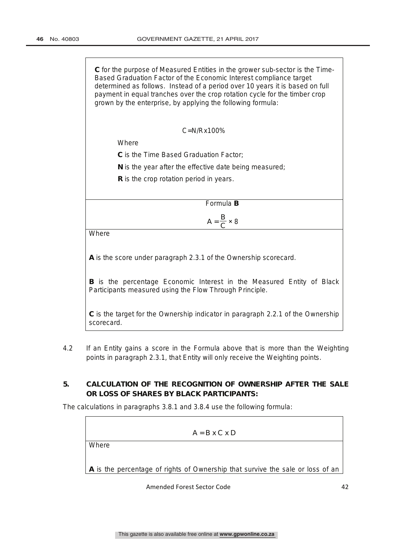**C** for the purpose of Measured Entities in the grower sub-sector is the Time-Based Graduation Factor of the Economic Interest compliance target determined as follows. Instead of a period over 10 years it is based on full payment in equal tranches over the crop rotation cycle for the timber crop grown by the enterprise, by applying the following formula:

#### C=N/Rx100%

**Where** 

**C** is the Time Based Graduation Factor;

**N** is the year after the effective date being measured;

**R** is the crop rotation period in years.

Formula **B** 

 $A = \frac{B}{C} \times 8$ 

Where

**A** is the score under paragraph 2.3.1 of the Ownership scorecard.

**B** is the percentage Economic Interest in the Measured Entity of Black Participants measured using the Flow Through Principle.

**C** is the target for the Ownership indicator in paragraph 2.2.1 of the Ownership scorecard.

4.2 If an Entity gains a score in the Formula above that is more than the Weighting points in paragraph 2.3.1, that Entity will only receive the Weighting points.

### **5. CALCULATION OF THE RECOGNITION OF OWNERSHIP AFTER THE SALE OR LOSS OF SHARES BY BLACK PARTICIPANTS:**

The calculations in paragraphs 3.8.1 and 3.8.4 use the following formula:

$$
A = B \times C \times D
$$

Where

**A** is the percentage of rights of Ownership that survive the sale or loss of an

Amended Forest Sector Code **Communist Communist Communist Communist Communist Communist Communist Communist Co**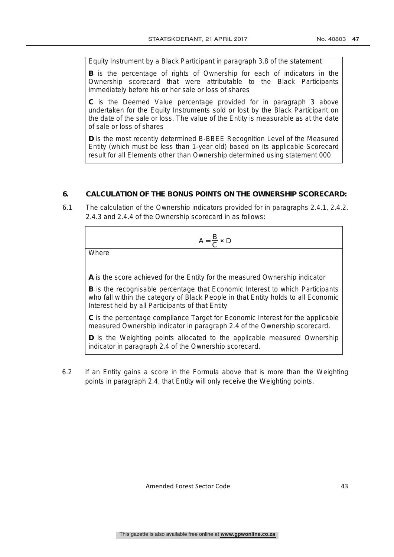Equity Instrument by a Black Participant in paragraph 3.8 of the statement

**B** is the percentage of rights of Ownership for each of indicators in the Ownership scorecard that were attributable to the Black Participants immediately before his or her sale or loss of shares

**C** is the Deemed Value percentage provided for in paragraph 3 above undertaken for the Equity Instruments sold or lost by the Black Participant on the date of the sale or loss. The value of the Entity is measurable as at the date of sale or loss of shares

**D** is the most recently determined B-BBEE Recognition Level of the Measured Entity (which must be less than 1-year old) based on its applicable Scorecard result for all Elements other than Ownership determined using statement 000

### **6. CALCULATION OF THE BONUS POINTS ON THE OWNERSHIP SCORECARD:**

6.1 The calculation of the Ownership indicators provided for in paragraphs 2.4.1, 2.4.2, 2.4.3 and 2.4.4 of the Ownership scorecard in as follows:

**Where** 

**A** is the score achieved for the Entity for the measured Ownership indicator

**B** is the recognisable percentage that Economic Interest to which Participants who fall within the category of Black People in that Entity holds to all Economic Interest held by all Participants of that Entity

 $A = \frac{B}{C} \times D$ 

**C** is the percentage compliance Target for Economic Interest for the applicable measured Ownership indicator in paragraph 2.4 of the Ownership scorecard.

**D** is the Weighting points allocated to the applicable measured Ownership indicator in paragraph 2.4 of the Ownership scorecard.

6.2 If an Entity gains a score in the Formula above that is more than the Weighting points in paragraph 2.4, that Entity will only receive the Weighting points.

Amended 
Forest 
Sector 
Code 
 43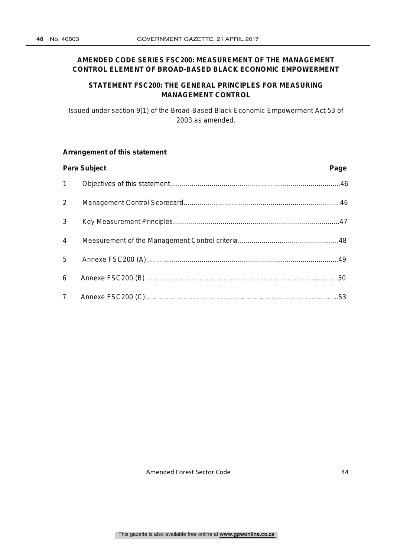# **AMENDED CODE SERIES FSC200: MEASUREMENT OF THE MANAGEMENT CONTROL ELEMENT OF BROAD-BASED BLACK ECONOMIC EMPOWERMENT**

### **STATEMENT FSC200: THE GENERAL PRINCIPLES FOR MEASURING MANAGEMENT CONTROL**

Issued under section 9(1) of the Broad-Based Black Economic Empowerment Act 53 of 2003 as amended.

#### **Arrangement of this statement**

|                | <b>Para Subject</b> | Page |
|----------------|---------------------|------|
|                |                     |      |
| $2^{\circ}$    |                     |      |
| 3 <sup>7</sup> |                     |      |
| $\overline{4}$ |                     |      |
|                |                     |      |
| 6              |                     |      |
|                |                     |      |

Amended Forest Sector Code **Communication** A4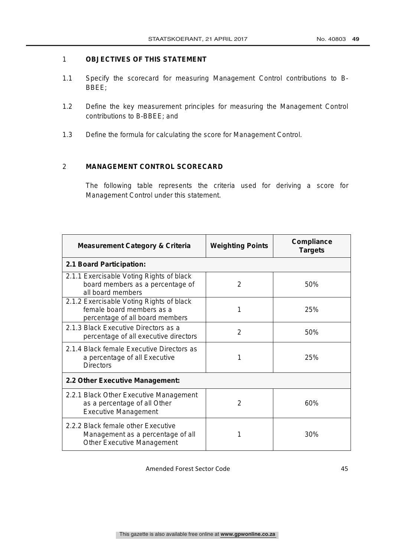### 1 **OBJECTIVES OF THIS STATEMENT**

- 1.1 Specify the scorecard for measuring Management Control contributions to B-BBEE;
- 1.2 Define the key measurement principles for measuring the Management Control contributions to B-BBEE; and
- 1.3 Define the formula for calculating the score for Management Control.

### 2 **MANAGEMENT CONTROL SCORECARD**

The following table represents the criteria used for deriving a score for Management Control under this statement.

| <b>Measurement Category &amp; Criteria</b>                                                                   | <b>Weighting Points</b> | <b>Compliance</b><br><b>Targets</b> |
|--------------------------------------------------------------------------------------------------------------|-------------------------|-------------------------------------|
| 2.1 Board Participation:                                                                                     |                         |                                     |
| 2.1.1 Exercisable Voting Rights of black<br>board members as a percentage of<br>all board members            | 2                       | 50%                                 |
| 2.1.2 Exercisable Voting Rights of black<br>female board members as a<br>percentage of all board members     | 1                       | 25%                                 |
| 2.1.3 Black Executive Directors as a<br>percentage of all executive directors                                | $\overline{2}$          | 50%                                 |
| 2.1.4 Black female Executive Directors as<br>a percentage of all Executive<br><b>Directors</b>               |                         | 25%                                 |
| 2.2 Other Executive Management:                                                                              |                         |                                     |
| 2.2.1 Black Other Executive Management<br>as a percentage of all Other<br><b>Executive Management</b>        | 2                       | 60%                                 |
| 2.2.2 Black female other Executive<br>Management as a percentage of all<br><b>Other Executive Management</b> |                         | 30%                                 |

Amended Forest Sector Code and the sector of the sector of the sector of the sector of the sector of the sector  $45$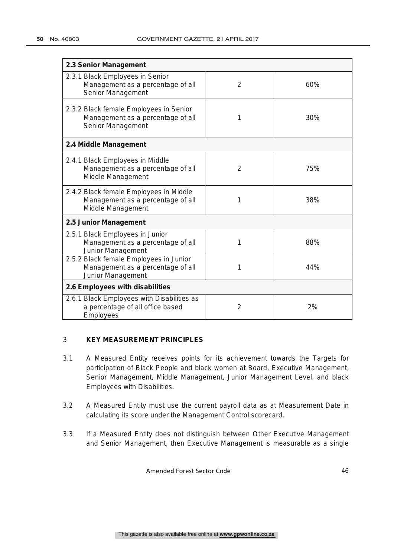| 2.3 Senior Management                                                                                   |                |     |  |  |  |  |  |
|---------------------------------------------------------------------------------------------------------|----------------|-----|--|--|--|--|--|
| 2.3.1 Black Employees in Senior<br>Management as a percentage of all<br>Senior Management               | 2              | 60% |  |  |  |  |  |
| 2.3.2 Black female Employees in Senior<br>Management as a percentage of all<br>Senior Management        | 1              | 30% |  |  |  |  |  |
| 2.4 Middle Management                                                                                   |                |     |  |  |  |  |  |
| 2.4.1 Black Employees in Middle<br>Management as a percentage of all<br>Middle Management               | 2              | 75% |  |  |  |  |  |
| 2.4.2 Black female Employees in Middle<br>Management as a percentage of all<br>Middle Management        | 1              | 38% |  |  |  |  |  |
| 2.5 Junior Management                                                                                   |                |     |  |  |  |  |  |
| 2.5.1 Black Employees in Junior<br>Management as a percentage of all<br>Junior Management               | 1              | 88% |  |  |  |  |  |
| 2.5.2 Black female Employees in Junior<br>Management as a percentage of all<br><b>Junior Management</b> | 1              | 44% |  |  |  |  |  |
| 2.6 Employees with disabilities                                                                         |                |     |  |  |  |  |  |
| 2.6.1 Black Employees with Disabilities as<br>a percentage of all office based<br><b>Employees</b>      | $\overline{2}$ | 2%  |  |  |  |  |  |

#### 3 **KEY MEASUREMENT PRINCIPLES**

- 3.1 A Measured Entity receives points for its achievement towards the Targets for participation of Black People and black women at Board, Executive Management, Senior Management, Middle Management, Junior Management Level, and black Employees with Disabilities.
- 3.2 A Measured Entity must use the current payroll data as at Measurement Date in calculating its score under the Management Control scorecard.
- 3.3 If a Measured Entity does not distinguish between Other Executive Management and Senior Management, then Executive Management is measurable as a single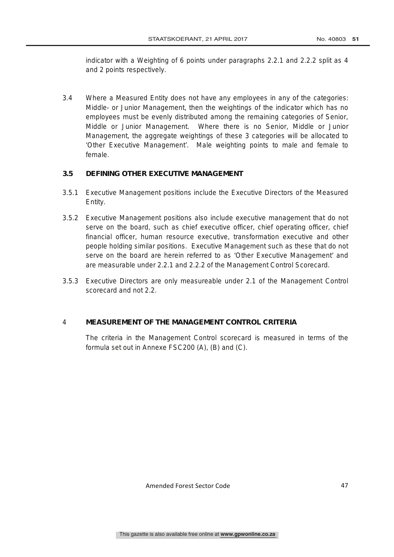indicator with a Weighting of 6 points under paragraphs 2.2.1 and 2.2.2 split as 4 and 2 points respectively.

3.4 Where a Measured Entity does not have any employees in any of the categories: Middle- or Junior Management, then the weightings of the indicator which has no employees must be evenly distributed among the remaining categories of Senior, Middle or Junior Management. Where there is no Senior, Middle or Junior Management, the aggregate weightings of these 3 categories will be allocated to 'Other Executive Management'. Male weighting points to male and female to female.

### **3.5 DEFINING OTHER EXECUTIVE MANAGEMENT**

- 3.5.1 Executive Management positions include the Executive Directors of the Measured Entity.
- 3.5.2 Executive Management positions also include executive management that do not serve on the board, such as chief executive officer, chief operating officer, chief financial officer, human resource executive, transformation executive and other people holding similar positions. Executive Management such as these that do not serve on the board are herein referred to as 'Other Executive Management' and are measurable under 2.2.1 and 2.2.2 of the Management Control Scorecard.
- 3.5.3 Executive Directors are only measureable under 2.1 of the Management Control scorecard and not 2.2.

### 4 **MEASUREMENT OF THE MANAGEMENT CONTROL CRITERIA**

The criteria in the Management Control scorecard is measured in terms of the formula set out in Annexe FSC200 (A), (B) and (C).

Amended Forest Sector Code and the sector of the sector of the sector of the sector of the sector of the sector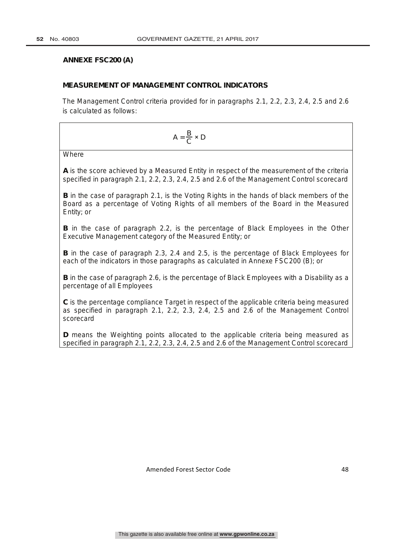### **ANNEXE FSC200 (A)**

### **MEASUREMENT OF MANAGEMENT CONTROL INDICATORS**

The Management Control criteria provided for in paragraphs 2.1, 2.2, 2.3, 2.4, 2.5 and 2.6 is calculated as follows:

 $A = \frac{B}{C} \times D$ 

**Where** 

**A** is the score achieved by a Measured Entity in respect of the measurement of the criteria specified in paragraph 2.1, 2.2, 2.3, 2.4, 2.5 and 2.6 of the Management Control scorecard

**B** in the case of paragraph 2.1, is the Voting Rights in the hands of black members of the Board as a percentage of Voting Rights of all members of the Board in the Measured Entity; or

**B** in the case of paragraph 2.2, is the percentage of Black Employees in the Other Executive Management category of the Measured Entity; or

**B** in the case of paragraph 2.3, 2.4 and 2.5, is the percentage of Black Employees for each of the indicators in those paragraphs as calculated in Annexe FSC200 (B); or

**B** in the case of paragraph 2.6, is the percentage of Black Employees with a Disability as a percentage of all Employees

**C** is the percentage compliance Target in respect of the applicable criteria being measured as specified in paragraph 2.1, 2.2, 2.3, 2.4, 2.5 and 2.6 of the Management Control scorecard

**D** means the Weighting points allocated to the applicable criteria being measured as specified in paragraph 2.1, 2.2, 2.3, 2.4, 2.5 and 2.6 of the Management Control scorecard

Amended Forest Sector Code **Communication** A8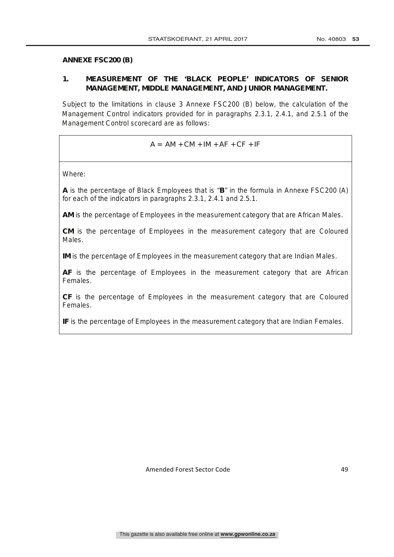### **ANNEXE FSC200 (B)**

# **1. MEASUREMENT OF THE 'BLACK PEOPLE' INDICATORS OF SENIOR MANAGEMENT, MIDDLE MANAGEMENT, AND JUNIOR MANAGEMENT.**

Subject to the limitations in clause 3 Annexe FSC200 (B) below, the calculation of the Management Control indicators provided for in paragraphs 2.3.1, 2.4.1, and 2.5.1 of the Management Control scorecard are as follows:

### *A = AM + CM + IM + AF + CF + IF*

Where:

*A* is the percentage of Black Employees that is "*B*" in the formula in Annexe FSC200 (A) for each of the indicators in paragraphs 2.3.1, 2.4.1 and 2.5.1.

AM is the percentage of Employees in the measurement category that are African Males.

*CM* is the percentage of Employees in the measurement category that are Coloured Males.

*IM* is the percentage of Employees in the measurement category that are Indian Males.

AF is the percentage of Employees in the measurement category that are African Females.

*CF* is the percentage of Employees in the measurement category that are Coloured Females.

*IF* is the percentage of Employees in the measurement category that are Indian Females.

Amended Forest Sector Code and the sector of the sector of the sector Code and the sector of the sector of the sector  $49$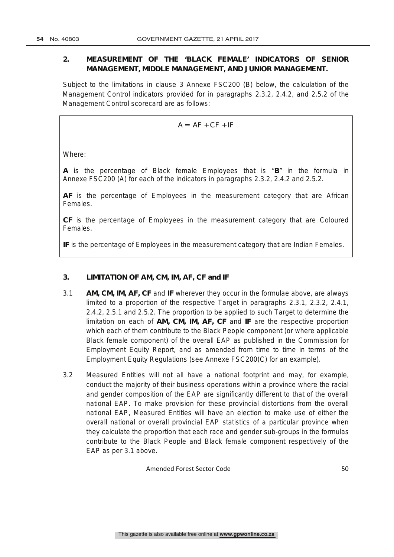# **2. MEASUREMENT OF THE 'BLACK FEMALE' INDICATORS OF SENIOR MANAGEMENT, MIDDLE MANAGEMENT, AND JUNIOR MANAGEMENT.**

Subject to the limitations in clause 3 Annexe FSC200 (B) below, the calculation of the Management Control indicators provided for in paragraphs 2.3.2, 2.4.2, and 2.5.2 of the Management Control scorecard are as follows:

$$
A = AF + CF + IF
$$

Where:

*A* is the percentage of Black female Employees that is "*B*" in the formula in Annexe FSC200 (A) for each of the indicators in paragraphs 2.3.2, 2.4.2 and 2.5.2.

AF is the percentage of Employees in the measurement category that are African Females.

*CF* is the percentage of Employees in the measurement category that are Coloured Females.

*IF* is the percentage of Employees in the measurement category that are Indian Females.

### **3. LIMITATION OF** *AM, CM, IM, AF, CF* **and** *IF*

- 3.1 *AM, CM, IM, AF, CF* and *IF* wherever they occur in the formulae above, are always limited to a proportion of the respective Target in paragraphs 2.3.1, 2.3.2, 2.4.1, 2.4.2, 2.5.1 and 2.5.2. The proportion to be applied to such Target to determine the limitation on each of *AM, CM, IM, AF, CF* and *IF* are the respective proportion which each of them contribute to the Black People component (or where applicable Black female component) of the overall EAP as published in the Commission for Employment Equity Report, and as amended from time to time in terms of the Employment Equity Regulations (see Annexe FSC200(C) for an example).
- 3.2 Measured Entities will not all have a national footprint and may, for example, conduct the majority of their business operations within a province where the racial and gender composition of the EAP are significantly different to that of the overall national EAP. To make provision for these provincial distortions from the overall national EAP, Measured Entities will have an election to make use of either the overall national or overall provincial EAP statistics of a particular province when they calculate the proportion that each race and gender sub-groups in the formulas contribute to the Black People and Black female component respectively of the EAP as per 3.1 above.

Amended Forest Sector Code **Base Community** 50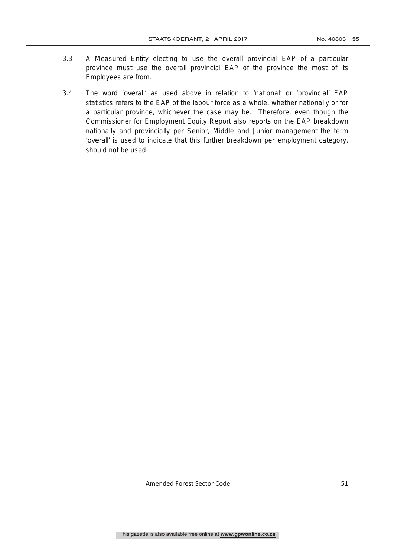- 3.3 A Measured Entity electing to use the overall provincial EAP of a particular province must use the overall provincial EAP of the province the most of its Employees are from.
- 3.4 The word '*overall*' as used above in relation to 'national' or 'provincial' EAP statistics refers to the EAP of the labour force as a whole, whether nationally or for a particular province, whichever the case may be. Therefore, even though the Commissioner for Employment Equity Report also reports on the EAP breakdown nationally and provincially per Senior, Middle and Junior management the term '*overall*' is used to indicate that this further breakdown per employment category, should not be used.

Amended 
Forest 
Sector 
Code 
 51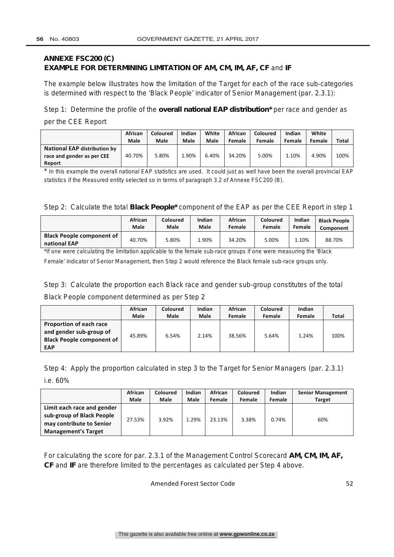# **ANNEXE FSC200 (C) EXAMPLE FOR DETERMINING LIMITATION OF** *AM, CM, IM, AF, CF* and *IF*

The example below illustrates how the limitation of the Target for each of the race sub-categories is determined with respect to the 'Black People' indicator of Senior Management (par. 2.3.1):

*Step 1: Determine the profile of the overall national EAP distribution\* per race and gender as per the CEE Report*

|                              | African<br>Male | Coloured<br>Male | Indian<br>Male | White<br>Male | African<br>Female | Coloured<br>Female | Indian<br>Female | White<br>Female | Total |
|------------------------------|-----------------|------------------|----------------|---------------|-------------------|--------------------|------------------|-----------------|-------|
| National EAP distribution by |                 |                  |                |               |                   |                    |                  |                 |       |
| race and gender as per CEE   | 40.70%          | 5.80%            | 1.90%          | 6.40%         | 34.20%            | 5.00%              | 1.10%            | 4.90%           | 100%  |
| Report                       |                 |                  |                |               |                   |                    |                  |                 |       |

*\* In this example the overall national EAP statistics are used. It could just as well have been the overall provincial EAP statistics if the Measured entity selected so in terms of paragraph 3.2 of Annexe FSC200 (B).*

*Step 2: Calculate the total Black People\* component of the EAP as per the CEE Report in step 1*

|                                                  | African     | Coloured | Indian      | African | Coloured | Indian | <b>Black People</b> |
|--------------------------------------------------|-------------|----------|-------------|---------|----------|--------|---------------------|
|                                                  | <b>Male</b> | Male     | <b>Male</b> | Female  | Female   | Female | Component           |
| <b>Black People component of</b><br>national EAP | 40.70%      | 5.80%    | 1.90%       | 34.20%  | 5.00%    | 1.10%  | 88.70%              |

*\*If one were calculating the limitation applicable to the female sub-race groups if one were measuring the 'Black* 

*Female' indicator of Senior Management, then Step 2 would reference the Black female sub-race groups only.* 

*Step 3: Calculate the proportion each Black race and gender sub-group constitutes of the total Black People component determined as per Step 2*

|                                                                                                      | African | <b>Coloured</b> | Indian | African | <b>Coloured</b> | Indian |              |
|------------------------------------------------------------------------------------------------------|---------|-----------------|--------|---------|-----------------|--------|--------------|
|                                                                                                      | Male    | Male            | Male   | Female  | Female          | Female | <b>Total</b> |
| Proportion of each race<br>and gender sub-group of<br><b>Black People component of</b><br><b>EAP</b> | 45.89%  | 6.54%           | 2.14%  | 38.56%  | 5.64%           | 1.24%  | 100%         |

*Step 4: Apply the proportion calculated in step 3 to the Target for Senior Managers (par. 2.3.1)*

*i.e. 60%*

|                            | African | Coloured | Indian | African       | <b>Coloured</b> | Indian | <b>Senior Management</b> |
|----------------------------|---------|----------|--------|---------------|-----------------|--------|--------------------------|
|                            | Male    | Male     | Male   | <b>Female</b> | Female          | Female | <b>Target</b>            |
| Limit each race and gender |         |          |        |               |                 |        |                          |
| sub-group of Black People  | 27.53%  |          | 1.29%  | 23.13%        |                 | 0.74%  |                          |
| may contribute to Senior   |         | 3.92%    |        |               | 3.38%           |        | 60%                      |
| <b>Management's Target</b> |         |          |        |               |                 |        |                          |

For calculating the score for par. 2.3.1 of the Management Control Scorecard *AM, CM, IM, AF, CF* and *IF* are therefore limited to the percentages as calculated per Step 4 above.

Amended Forest Sector Code **San American Code** 52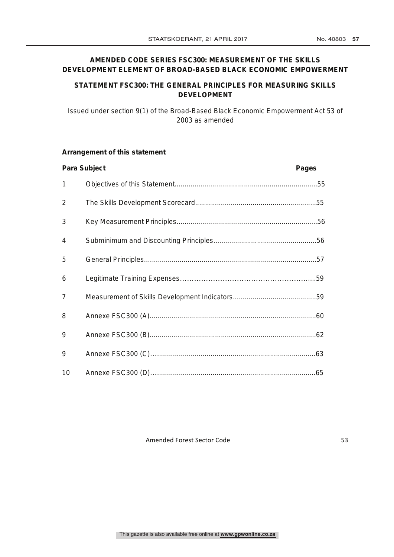## **AMENDED CODE SERIES FSC300: MEASUREMENT OF THE SKILLS DEVELOPMENT ELEMENT OF BROAD-BASED BLACK ECONOMIC EMPOWERMENT**

# **STATEMENT FSC300: THE GENERAL PRINCIPLES FOR MEASURING SKILLS DEVELOPMENT**

Issued under section 9(1) of the Broad-Based Black Economic Empowerment Act 53 of 2003 as amended

### **Arrangement of this statement**

|                | <b>Para Subject</b> | <b>Pages</b> |
|----------------|---------------------|--------------|
| 1              |                     |              |
| $\overline{2}$ |                     |              |
| 3              |                     |              |
| 4              |                     |              |
| 5              |                     |              |
| 6              |                     |              |
| $\overline{7}$ |                     |              |
| 8              |                     |              |
| 9              |                     |              |
| 9              |                     |              |
| 10             |                     |              |

Amended 
Forest 
Sector 
Code 
 53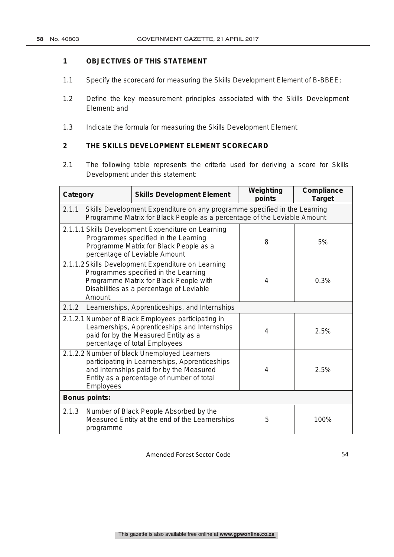#### **1 OBJECTIVES OF THIS STATEMENT**

- 1.1 Specify the scorecard for measuring the Skills Development Element of B-BBEE;
- 1.2 Define the key measurement principles associated with the Skills Development Element; and
- 1.3 Indicate the formula for measuring the Skills Development Element

### **2 THE SKILLS DEVELOPMENT ELEMENT SCORECARD**

2.1 The following table represents the criteria used for deriving a score for Skills Development under this statement:

| <b>Category</b>      |                                                                                                                                                       | <b>Skills Development Element</b>                                                                                                                                                      | Weighting<br>points | <b>Compliance</b><br><b>Target</b> |  |  |  |  |
|----------------------|-------------------------------------------------------------------------------------------------------------------------------------------------------|----------------------------------------------------------------------------------------------------------------------------------------------------------------------------------------|---------------------|------------------------------------|--|--|--|--|
| 2.1.1                | Skills Development Expenditure on any programme specified in the Learning<br>Programme Matrix for Black People as a percentage of the Leviable Amount |                                                                                                                                                                                        |                     |                                    |  |  |  |  |
|                      |                                                                                                                                                       | 2.1.1.1 Skills Development Expenditure on Learning<br>Programmes specified in the Learning<br>Programme Matrix for Black People as a<br>percentage of Leviable Amount                  | 8                   | 5%                                 |  |  |  |  |
| Amount               |                                                                                                                                                       | 2.1.1.2 Skills Development Expenditure on Learning<br>Programmes specified in the Learning<br>Programme Matrix for Black People with<br>Disabilities as a percentage of Leviable       | 4                   | 0.3%                               |  |  |  |  |
| 2.1.2                |                                                                                                                                                       | Learnerships, Apprenticeships, and Internships                                                                                                                                         |                     |                                    |  |  |  |  |
|                      |                                                                                                                                                       | 2.1.2.1 Number of Black Employees participating in<br>Learnerships, Apprenticeships and Internships<br>paid for by the Measured Entity as a<br>percentage of total Employees           | 4                   | 2.5%                               |  |  |  |  |
| Employees            |                                                                                                                                                       | 2.1.2.2 Number of black Unemployed Learners<br>participating in Learnerships, Apprenticeships<br>and Internships paid for by the Measured<br>Entity as a percentage of number of total | 4                   | 2.5%                               |  |  |  |  |
| <b>Bonus points:</b> |                                                                                                                                                       |                                                                                                                                                                                        |                     |                                    |  |  |  |  |
| 2.1.3<br>programme   |                                                                                                                                                       | Number of Black People Absorbed by the<br>Measured Entity at the end of the Learnerships                                                                                               | 5                   | 100%                               |  |  |  |  |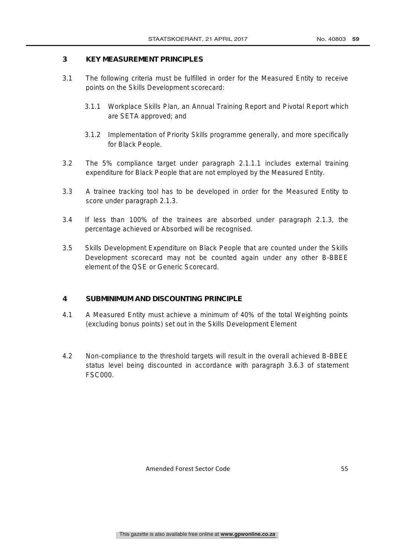### **3 KEY MEASUREMENT PRINCIPLES**

- 3.1 The following criteria must be fulfilled in order for the Measured Entity to receive points on the Skills Development scorecard:
	- 3.1.1 Workplace Skills Plan, an Annual Training Report and Pivotal Report which are SETA approved; and
	- 3.1.2 Implementation of Priority Skills programme generally, and more specifically for Black People.
- 3.2 The 5% compliance target under paragraph 2.1.1.1 includes external training expenditure for Black People that are not employed by the Measured Entity.
- 3.3 A trainee tracking tool has to be developed in order for the Measured Entity to score under paragraph 2.1.3.
- 3.4 If less than 100% of the trainees are absorbed under paragraph 2.1.3, the percentage achieved or Absorbed will be recognised.
- 3.5 Skills Development Expenditure on Black People that are counted under the Skills Development scorecard may not be counted again under any other B-BBEE element of the QSE or Generic Scorecard.

# **4 SUBMINIMUM AND DISCOUNTING PRINCIPLE**

- 4.1 A Measured Entity must achieve a minimum of 40% of the total Weighting points (excluding bonus points) set out in the Skills Development Element
- 4.2 Non-compliance to the threshold targets will result in the overall achieved B-BBEE status level being discounted in accordance with paragraph 3.6.3 of statement FSC000.

Amended Forest Sector Code **Sandware Sector** Code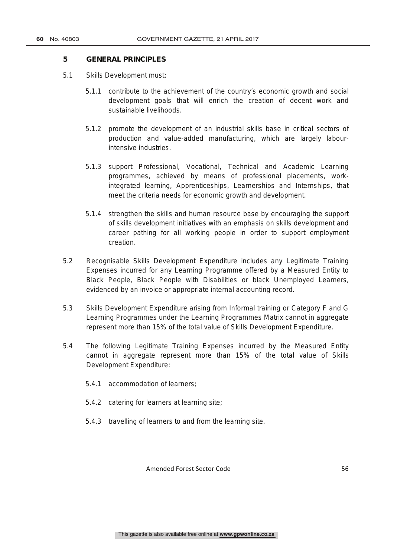### **5 GENERAL PRINCIPLES**

- 5.1 Skills Development must:
	- 5.1.1 contribute to the achievement of the country's economic growth and social development goals that will enrich the creation of decent work and sustainable livelihoods.
	- 5.1.2 promote the development of an industrial skills base in critical sectors of production and value-added manufacturing, which are largely labourintensive industries.
	- 5.1.3 support Professional, Vocational, Technical and Academic Learning programmes, achieved by means of professional placements, workintegrated learning, Apprenticeships, Learnerships and Internships, that meet the criteria needs for economic growth and development.
	- 5.1.4 strengthen the skills and human resource base by encouraging the support of skills development initiatives with an emphasis on skills development and career pathing for all working people in order to support employment creation.
- 5.2 Recognisable Skills Development Expenditure includes any Legitimate Training Expenses incurred for any Learning Programme offered by a Measured Entity to Black People, Black People with Disabilities or black Unemployed Learners, evidenced by an invoice or appropriate internal accounting record.
- 5.3 Skills Development Expenditure arising from Informal training or Category F and G Learning Programmes under the Learning Programmes Matrix cannot in aggregate represent more than 15% of the total value of Skills Development Expenditure.
- 5.4 The following Legitimate Training Expenses incurred by the Measured Entity cannot in aggregate represent more than 15% of the total value of Skills Development Expenditure:
	- 5.4.1 accommodation of learners;
	- 5.4.2 catering for learners at learning site;
	- 5.4.3 travelling of learners to and from the learning site.

Amended Forest Sector Code **Sector** Code **1999**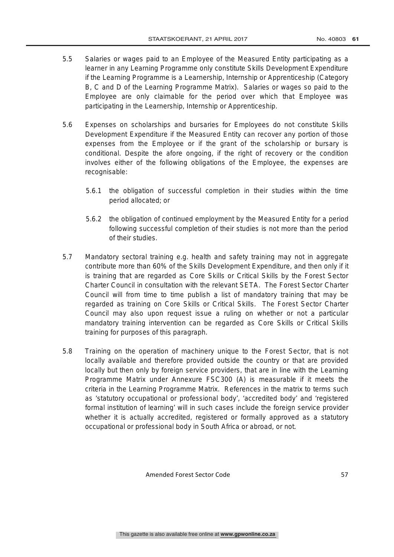- 5.5 Salaries or wages paid to an Employee of the Measured Entity participating as a learner in any Learning Programme only constitute Skills Development Expenditure if the Learning Programme is a Learnership, Internship or Apprenticeship (Category B, C and D of the Learning Programme Matrix). Salaries or wages so paid to the Employee are only claimable for the period over which that Employee was participating in the Learnership, Internship or Apprenticeship.
- 5.6 Expenses on scholarships and bursaries for Employees do not constitute Skills Development Expenditure if the Measured Entity can recover any portion of those expenses from the Employee or if the grant of the scholarship or bursary is conditional. Despite the afore ongoing, if the right of recovery or the condition involves either of the following obligations of the Employee, the expenses are recognisable:
	- 5.6.1 the obligation of successful completion in their studies within the time period allocated; or
	- 5.6.2 the obligation of continued employment by the Measured Entity for a period following successful completion of their studies is not more than the period of their studies.
- 5.7 Mandatory sectoral training e.g. health and safety training may not in aggregate contribute more than 60% of the Skills Development Expenditure, and then only if it is training that are regarded as Core Skills or Critical Skills by the Forest Sector Charter Council in consultation with the relevant SETA. The Forest Sector Charter Council will from time to time publish a list of mandatory training that may be regarded as training on Core Skills or Critical Skills. The Forest Sector Charter Council may also upon request issue a ruling on whether or not a particular mandatory training intervention can be regarded as Core Skills or Critical Skills training for purposes of this paragraph.
- 5.8 Training on the operation of machinery unique to the Forest Sector, that is not locally available and therefore provided outside the country or that are provided locally but then only by foreign service providers, that are in line with the Learning Programme Matrix under Annexure FSC300 (A) is measurable if it meets the criteria in the Learning Programme Matrix. References in the matrix to terms such as 'statutory occupational or professional body', 'accredited body' and 'registered formal institution of learning' will in such cases include the foreign service provider whether it is actually accredited, registered or formally approved as a statutory occupational or professional body in South Africa or abroad, or not.

Amended Forest Sector Code **Base 1996** ST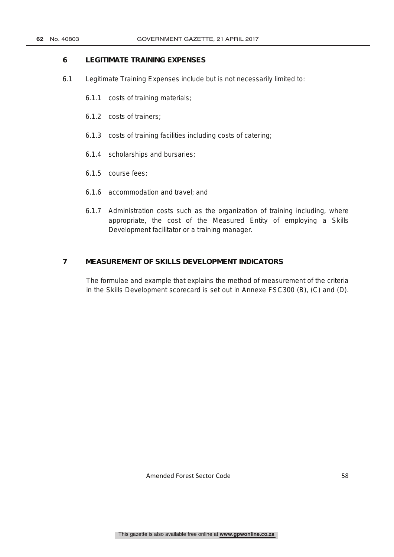#### **6 LEGITIMATE TRAINING EXPENSES**

- 6.1 Legitimate Training Expenses include but is not necessarily limited to:
	- 6.1.1 costs of training materials;
	- 6.1.2 costs of trainers;
	- 6.1.3 costs of training facilities including costs of catering;
	- 6.1.4 scholarships and bursaries;
	- 6.1.5 course fees;
	- 6.1.6 accommodation and travel; and
	- 6.1.7 Administration costs such as the organization of training including, where appropriate, the cost of the Measured Entity of employing a Skills Development facilitator or a training manager.

#### **7 MEASUREMENT OF SKILLS DEVELOPMENT INDICATORS**

The formulae and example that explains the method of measurement of the criteria in the Skills Development scorecard is set out in Annexe FSC300 (B), (C) and (D).

Amended Forest Sector Code **San Edge Structure Code**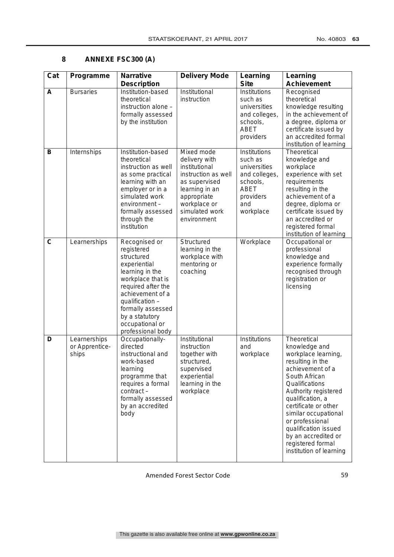# **8 ANNEXE FSC300 (A)**

| Cat         | Programme                               | <b>Narrative</b>                                                                                                                                                                                                                              | <b>Delivery Mode</b>                                                                                                                                                   | Learning                                                                                                             | Learning                                                                                                                                                                                                                                                                                                                                     |
|-------------|-----------------------------------------|-----------------------------------------------------------------------------------------------------------------------------------------------------------------------------------------------------------------------------------------------|------------------------------------------------------------------------------------------------------------------------------------------------------------------------|----------------------------------------------------------------------------------------------------------------------|----------------------------------------------------------------------------------------------------------------------------------------------------------------------------------------------------------------------------------------------------------------------------------------------------------------------------------------------|
|             |                                         | <b>Description</b>                                                                                                                                                                                                                            |                                                                                                                                                                        | <b>Site</b>                                                                                                          | <b>Achievement</b>                                                                                                                                                                                                                                                                                                                           |
| A           | <b>Bursaries</b>                        | Institution-based<br>theoretical<br>instruction alone -<br>formally assessed<br>by the institution                                                                                                                                            | Institutional<br>instruction                                                                                                                                           | Institutions<br>such as<br>universities<br>and colleges,<br>schools,<br><b>ABET</b><br>providers                     | Recognised<br>theoretical<br>knowledge resulting<br>in the achievement of<br>a degree, diploma or<br>certificate issued by<br>an accredited formal<br>institution of learning                                                                                                                                                                |
| $\mathbf B$ | Internships                             | Institution-based<br>theoretical<br>instruction as well<br>as some practical<br>learning with an<br>employer or in a<br>simulated work<br>$environment -$<br>formally assessed<br>through the<br>institution                                  | Mixed mode<br>delivery with<br>institutional<br>instruction as well<br>as supervised<br>learning in an<br>appropriate<br>workplace or<br>simulated work<br>environment | Institutions<br>such as<br>universities<br>and colleges,<br>schools,<br><b>ABET</b><br>providers<br>and<br>workplace | Theoretical<br>knowledge and<br>workplace<br>experience with set<br>requirements<br>resulting in the<br>achievement of a<br>degree, diploma or<br>certificate issued by<br>an accredited or<br>registered formal<br>institution of learning                                                                                                  |
| $\mathbf c$ | Learnerships                            | Recognised or<br>registered<br>structured<br>experiential<br>learning in the<br>workplace that is<br>required after the<br>achievement of a<br>qualification -<br>formally assessed<br>by a statutory<br>occupational or<br>professional body | Structured<br>learning in the<br>workplace with<br>mentoring or<br>coaching                                                                                            | Workplace                                                                                                            | Occupational or<br>professional<br>knowledge and<br>experience formally<br>recognised through<br>registration or<br>licensing                                                                                                                                                                                                                |
| D           | Learnerships<br>or Apprentice-<br>ships | Occupationally-<br>directed<br>instructional and<br>work-based<br>learning<br>programme that<br>requires a formal<br>$contract -$<br>formally assessed<br>by an accredited<br>body                                                            | Institutional<br>instruction<br>together with<br>structured,<br>supervised<br>experiential<br>learning in the<br>workplace                                             | Institutions<br>and<br>workplace                                                                                     | Theoretical<br>knowledge and<br>workplace learning,<br>resulting in the<br>achievement of a<br>South African<br>Qualifications<br>Authority registered<br>qualification, a<br>certificate or other<br>similar occupational<br>or professional<br>qualification issued<br>by an accredited or<br>registered formal<br>institution of learning |

Amended 
Forest 
Sector 
Code 
 59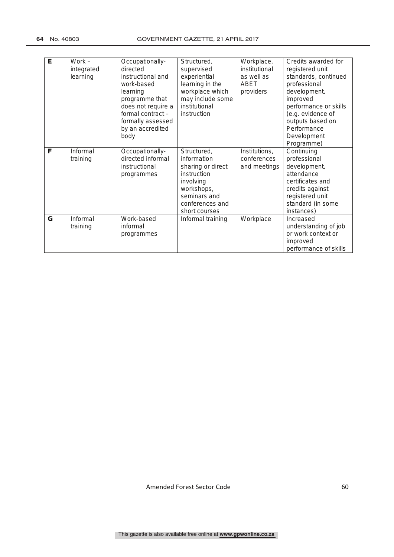| E | Work $-$   | Occupationally-    | Structured,       | Workplace,    | Credits awarded for   |
|---|------------|--------------------|-------------------|---------------|-----------------------|
|   | integrated | directed           | supervised        | institutional | registered unit       |
|   | learning   | instructional and  | experiential      | as well as    | standards, continued  |
|   |            | work-based         | learning in the   | ABET          | professional          |
|   |            | learning           | workplace which   | providers     | development,          |
|   |            | programme that     | may include some  |               | improved              |
|   |            | does not require a | institutional     |               | performance or skills |
|   |            | formal contract -  | instruction       |               | (e.g. evidence of     |
|   |            | formally assessed  |                   |               | outputs based on      |
|   |            | by an accredited   |                   |               | Performance           |
|   |            | body               |                   |               | Development           |
|   |            |                    |                   |               | Programme)            |
| F | Informal   | Occupationally-    | Structured,       | Institutions, | Continuing            |
|   | training   | directed informal  | information       | conferences   | professional          |
|   |            | instructional      | sharing or direct | and meetings  | development,          |
|   |            | programmes         | instruction       |               | attendance            |
|   |            |                    | involving         |               | certificates and      |
|   |            |                    | workshops,        |               | credits against       |
|   |            |                    | seminars and      |               | registered unit       |
|   |            |                    | conferences and   |               | standard (in some     |
|   |            |                    | short courses     |               | instances)            |
| G | Informal   | Work-based         | Informal training | Workplace     | Increased             |
|   | training   | informal           |                   |               | understanding of job  |
|   |            | programmes         |                   |               | or work context or    |
|   |            |                    |                   |               | improved              |
|   |            |                    |                   |               | performance of skills |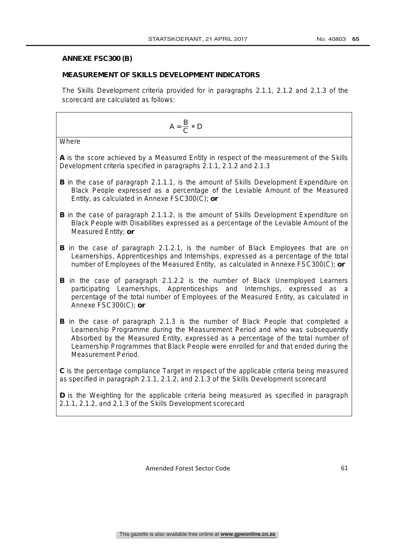# **ANNEXE FSC300 (B)**

# **MEASUREMENT OF SKILLS DEVELOPMENT INDICATORS**

The Skills Development criteria provided for in paragraphs 2.1.1, 2.1.2 and 2.1.3 of the scorecard are calculated as follows:

| Where<br>A is the score achieved by a Measured Entity in respect of the measurement of the Skills<br>Development criteria specified in paragraphs 2.1.1, 2.1.2 and 2.1.3                                                                                                                                                                                                          |  |
|-----------------------------------------------------------------------------------------------------------------------------------------------------------------------------------------------------------------------------------------------------------------------------------------------------------------------------------------------------------------------------------|--|
|                                                                                                                                                                                                                                                                                                                                                                                   |  |
|                                                                                                                                                                                                                                                                                                                                                                                   |  |
| <b>B</b> in the case of paragraph 2.1.1.1, is the amount of Skills Development Expenditure on<br>Black People expressed as a percentage of the Leviable Amount of the Measured<br>Entity, as calculated in Annexe FSC300(C); or                                                                                                                                                   |  |
| <b>B</b> in the case of paragraph 2.1.1.2, is the amount of Skills Development Expenditure on<br>Black People with Disabilities expressed as a percentage of the Leviable Amount of the<br>Measured Entity; or                                                                                                                                                                    |  |
| <b>B</b> in the case of paragraph 2.1.2.1, is the number of Black Employees that are on<br>Learnerships, Apprenticeships and Internships, expressed as a percentage of the total<br>number of Employees of the Measured Entity, as calculated in Annexe FSC300(C); or                                                                                                             |  |
| <b>B</b> in the case of paragraph 2.1.2.2 is the number of Black Unemployed Learners<br>participating Learnerships, Apprenticeships and Internships, expressed as a<br>percentage of the total number of Employees of the Measured Entity, as calculated in<br>Annexe FSC300(C); or                                                                                               |  |
| <b>B</b> in the case of paragraph 2.1.3 is the number of Black People that completed a<br>Learnership Programme during the Measurement Period and who was subsequently<br>Absorbed by the Measured Entity, expressed as a percentage of the total number of<br>Learnership Programmes that Black People were enrolled for and that ended during the<br><b>Measurement Period.</b> |  |
| C is the percentage compliance Target in respect of the applicable criteria being measured<br>as specified in paragraph 2.1.1, 2.1.2, and 2.1.3 of the Skills Development scorecard                                                                                                                                                                                               |  |
| D is the Weighting for the applicable criteria being measured as specified in paragraph<br>2.1.1, 2.1.2, and 2.1.3 of the Skills Development scorecard                                                                                                                                                                                                                            |  |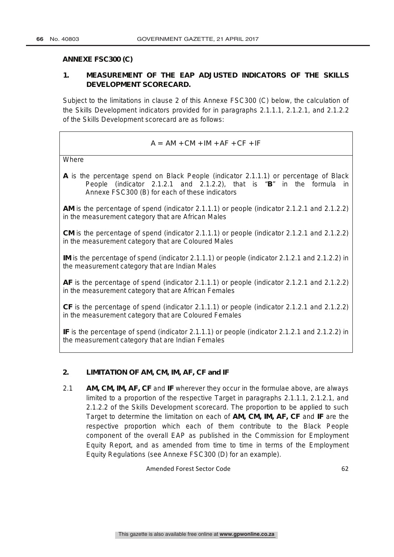#### **ANNEXE FSC300 (C)**

## **1. MEASUREMENT OF THE EAP ADJUSTED INDICATORS OF THE SKILLS DEVELOPMENT SCORECARD.**

Subject to the limitations in clause 2 of this Annexe FSC300 (C) below, the calculation of the Skills Development indicators provided for in paragraphs 2.1.1.1, 2.1.2.1, and 2.1.2.2 of the Skills Development scorecard are as follows:

$$
A = AM + CM + IM + AF + CF + IF
$$

Where

**A** is the percentage spend on Black People (indicator 2.1.1.1) or percentage of Black People (indicator 2.1.2.1 and 2.1.2.2), that is "*B*" in the formula in Annexe FSC300 (B) for each of these indicators

**AM** is the percentage of spend (indicator 2.1.1.1) or people (indicator 2.1.2.1 and 2.1.2.2) in the measurement category that are African Males

**CM** is the percentage of spend (indicator 2.1.1.1) or people (indicator 2.1.2.1 and 2.1.2.2) in the measurement category that are Coloured Males

**IM** is the percentage of spend (indicator 2.1.1.1) or people (indicator 2.1.2.1 and 2.1.2.2) in the measurement category that are Indian Males

**AF** is the percentage of spend (indicator 2.1.1.1) or people (indicator 2.1.2.1 and 2.1.2.2) in the measurement category that are African Females

**CF** is the percentage of spend (indicator 2.1.1.1) or people (indicator 2.1.2.1 and 2.1.2.2) in the measurement category that are Coloured Females

**IF** is the percentage of spend (indicator 2.1.1.1) or people (indicator 2.1.2.1 and 2.1.2.2) in the measurement category that are Indian Females

### **2. LIMITATION OF** *AM, CM, IM, AF, CF* **and** *IF*

2.1 *AM, CM, IM, AF, CF* and *IF* wherever they occur in the formulae above, are always limited to a proportion of the respective Target in paragraphs 2.1.1.1, 2.1.2.1, and 2.1.2.2 of the Skills Development scorecard. The proportion to be applied to such Target to determine the limitation on each of *AM, CM, IM, AF, CF* and *IF* are the respective proportion which each of them contribute to the Black People component of the overall EAP as published in the Commission for Employment Equity Report, and as amended from time to time in terms of the Employment Equity Regulations (see Annexe FSC300 (D) for an example).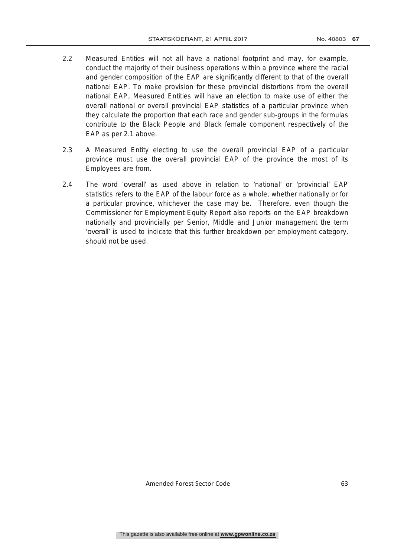- 2.2 Measured Entities will not all have a national footprint and may, for example, conduct the majority of their business operations within a province where the racial and gender composition of the EAP are significantly different to that of the overall national EAP. To make provision for these provincial distortions from the overall national EAP, Measured Entities will have an election to make use of either the overall national or overall provincial EAP statistics of a particular province when they calculate the proportion that each race and gender sub-groups in the formulas contribute to the Black People and Black female component respectively of the EAP as per 2.1 above.
- 2.3 A Measured Entity electing to use the overall provincial EAP of a particular province must use the overall provincial EAP of the province the most of its Employees are from.
- 2.4 The word '*overall*' as used above in relation to 'national' or 'provincial' EAP statistics refers to the EAP of the labour force as a whole, whether nationally or for a particular province, whichever the case may be. Therefore, even though the Commissioner for Employment Equity Report also reports on the EAP breakdown nationally and provincially per Senior, Middle and Junior management the term '*overall*' is used to indicate that this further breakdown per employment category, should not be used.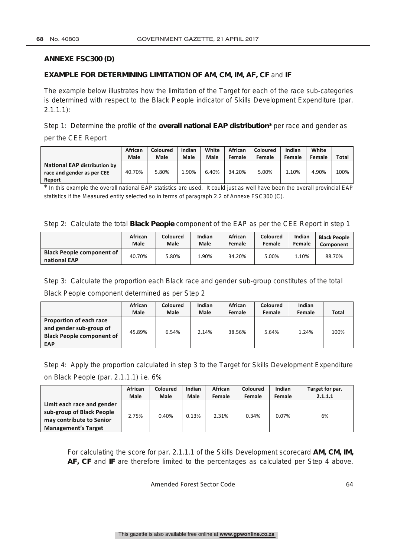### **ANNEXE FSC300 (D)**

### **EXAMPLE FOR DETERMINING LIMITATION OF** *AM, CM, IM, AF, CF* and *IF*

The example below illustrates how the limitation of the Target for each of the race sub-categories is determined with respect to the Black People indicator of Skills Development Expenditure (par. 2.1.1.1):

# *Step 1: Determine the profile of the overall national EAP distribution\* per race and gender as per the CEE Report*

|                                     | African<br>Male | Coloured<br>Male | Indian<br>Male | White<br>Male | African<br>Female | Coloured<br>Female | Indian<br>Female | White<br>Female | <b>Total</b> |
|-------------------------------------|-----------------|------------------|----------------|---------------|-------------------|--------------------|------------------|-----------------|--------------|
| <b>National EAP distribution by</b> |                 |                  |                |               |                   |                    |                  |                 |              |
| race and gender as per CEE          | 40.70%          | 5.80%            | 1.90%          | 6.40%         | 34.20%            | 5.00%              | 1.10%            | 4.90%           | 100%         |
| Report                              |                 |                  |                |               |                   |                    |                  |                 |              |

*\* In this example the overall national EAP statistics are used. It could just as well have been the overall provincial EAP statistics if the Measured entity selected so in terms of paragraph 2.2 of Annexe FSC300 (C).*

*Step 2: Calculate the total Black People component of the EAP as per the CEE Report in step 1*

|                                                  | African | Coloured | Indian | African | Coloured | Indian | <b>Black People</b> |
|--------------------------------------------------|---------|----------|--------|---------|----------|--------|---------------------|
|                                                  | Male    | Male     | Male   | Female  | Female   | Female | Component           |
| <b>Black People component of</b><br>national EAP | 40.70%  | 5.80%    | 90%،   | 34.20%  | 5.00%    | 1.10%  | 88.70%              |

*Step 3: Calculate the proportion each Black race and gender sub-group constitutes of the total* 

*Black People component determined as per Step 2*

|                                                                                                      | African | <b>Coloured</b> | Indian      | African | <b>Coloured</b> | Indian |              |
|------------------------------------------------------------------------------------------------------|---------|-----------------|-------------|---------|-----------------|--------|--------------|
|                                                                                                      | Male    | <b>Male</b>     | <b>Male</b> | Female  | Female          | Female | <b>Total</b> |
| <b>Proportion of each race</b><br>and gender sub-group of<br><b>Black People component of</b><br>EAP | 45.89%  | 6.54%           | 2.14%       | 38.56%  | 5.64%           | 1.24%  | 100%         |

*Step 4: Apply the proportion calculated in step 3 to the Target for Skills Development Expenditure on Black People (par. 2.1.1.1) i.e. 6%* 

|                            | African | <b>Coloured</b> | Indian | African | <b>Coloured</b> | Indian | Target for par. |
|----------------------------|---------|-----------------|--------|---------|-----------------|--------|-----------------|
|                            | Male    | <b>Male</b>     | Male   | Female  | Female          | Female | 2.1.1.1         |
| Limit each race and gender |         |                 |        |         |                 |        |                 |
| sub-group of Black People  | 2.75%   | 0.40%           | 0.13%  | 2.31%   | 0.34%           | 0.07%  | 6%              |
| may contribute to Senior   |         |                 |        |         |                 |        |                 |
| <b>Management's Target</b> |         |                 |        |         |                 |        |                 |

For calculating the score for par. 2.1.1.1 of the Skills Development scorecard *AM, CM, IM,*  AF, CF and IF are therefore limited to the percentages as calculated per Step 4 above.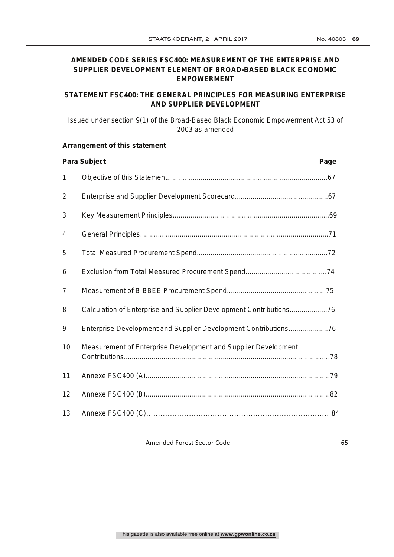# **AMENDED CODE SERIES FSC400: MEASUREMENT OF THE ENTERPRISE AND SUPPLIER DEVELOPMENT ELEMENT OF BROAD-BASED BLACK ECONOMIC EMPOWERMENT**

# **STATEMENT FSC400: THE GENERAL PRINCIPLES FOR MEASURING ENTERPRISE AND SUPPLIER DEVELOPMENT**

Issued under section 9(1) of the Broad-Based Black Economic Empowerment Act 53 of 2003 as amended

#### **Arrangement of this statement**

|                | <b>Para Subject</b><br>Page                                        |  |
|----------------|--------------------------------------------------------------------|--|
| $\mathbf{1}$   |                                                                    |  |
| $\overline{2}$ |                                                                    |  |
| 3              |                                                                    |  |
| 4              |                                                                    |  |
| 5              |                                                                    |  |
| 6              |                                                                    |  |
| $\overline{7}$ |                                                                    |  |
| 8              | Calculation of Enterprise and Supplier Development Contributions76 |  |
| 9              | Enterprise Development and Supplier Development Contributions76    |  |
| 10             | Measurement of Enterprise Development and Supplier Development     |  |
| 11             |                                                                    |  |
| 12             |                                                                    |  |
| 13             |                                                                    |  |
|                |                                                                    |  |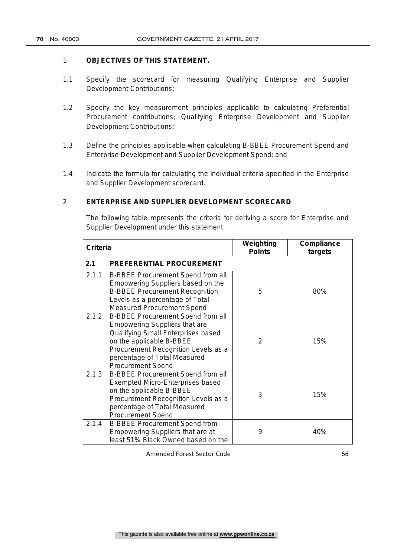#### 1 **OBJECTIVES OF THIS STATEMENT.**

- 1.1 Specify the scorecard for measuring Qualifying Enterprise and Supplier Development Contributions;
- 1.2 Specify the key measurement principles applicable to calculating Preferential Procurement contributions; Qualifying Enterprise Development and Supplier Development Contributions;
- 1.3 Define the principles applicable when calculating B-BBEE Procurement Spend and Enterprise Development and Supplier Development Spend; and
- 1.4 Indicate the formula for calculating the individual criteria specified in the Enterprise and Supplier Development scorecard.

### 2 **ENTERPRISE AND SUPPLIER DEVELOPMENT SCORECARD**

The following table represents the criteria for deriving a score for Enterprise and Supplier Development under this statement

| <b>Criteria</b> |                                                                                                                                                                                                                                                              | Weighting<br><b>Points</b> | <b>Compliance</b><br>targets |
|-----------------|--------------------------------------------------------------------------------------------------------------------------------------------------------------------------------------------------------------------------------------------------------------|----------------------------|------------------------------|
| 2.1             | PREFERENTIAL PROCUREMENT                                                                                                                                                                                                                                     |                            |                              |
| 2.1.1           | <b>B-BBEE Procurement Spend from all</b><br>Empowering Suppliers based on the<br><b>B-BBEE Procurement Recognition</b><br>Levels as a percentage of Total<br><b>Measured Procurement Spend</b>                                                               | 5                          | 80%                          |
| 2.1.2           | <b>B-BBEE Procurement Spend from all</b><br><b>Empowering Suppliers that are</b><br><b>Qualifying Small Enterprises based</b><br>on the applicable B-BBEE<br>Procurement Recognition Levels as a<br>percentage of Total Measured<br><b>Procurement Spend</b> | 2                          | 15%                          |
| 2.1.3           | <b>B-BBEE Procurement Spend from all</b><br><b>Exempted Micro-Enterprises based</b><br>on the applicable B-BBEE<br>Procurement Recognition Levels as a<br>percentage of Total Measured<br><b>Procurement Spend</b>                                           | 3                          | 15%                          |
| 2.1.4           | <b>B-BBEE Procurement Spend from</b><br>Empowering Suppliers that are at<br>least 51% Black Owned based on the                                                                                                                                               | 9                          | 40%                          |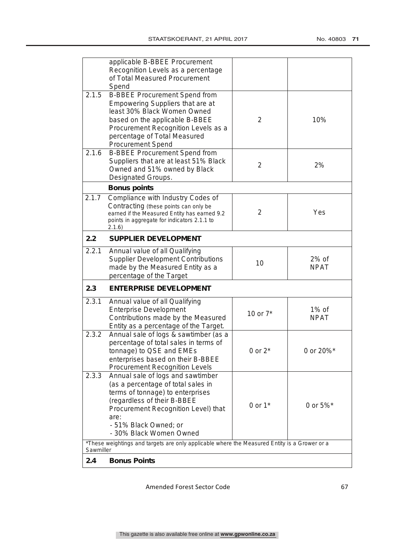|                    | applicable B-BBEE Procurement<br>Recognition Levels as a percentage<br>of Total Measured Procurement<br>Spend                                                                                                                                 |            |                         |
|--------------------|-----------------------------------------------------------------------------------------------------------------------------------------------------------------------------------------------------------------------------------------------|------------|-------------------------|
| 2.1.5              | <b>B-BBEE Procurement Spend from</b><br>Empowering Suppliers that are at<br>least 30% Black Women Owned<br>based on the applicable B-BBEE<br>Procurement Recognition Levels as a<br>percentage of Total Measured<br><b>Procurement Spend</b>  | 2          | 10%                     |
| 2.1.6              | <b>B-BBEE Procurement Spend from</b><br>Suppliers that are at least 51% Black<br>Owned and 51% owned by Black<br>Designated Groups.                                                                                                           | 2          | 2%                      |
|                    | <b>Bonus points</b>                                                                                                                                                                                                                           |            |                         |
| $\overline{2.1.7}$ | Compliance with Industry Codes of<br>Contracting (these points can only be<br>earned if the Measured Entity has earned 9.2<br>points in aggregate for indicators 2.1.1 to<br>2.1.6)                                                           | 2          | Yes                     |
| 2.2                | <b>SUPPLIER DEVELOPMENT</b>                                                                                                                                                                                                                   |            |                         |
| 2.2.1              | Annual value of all Qualifying<br><b>Supplier Development Contributions</b>                                                                                                                                                                   |            | $2%$ of                 |
|                    | made by the Measured Entity as a<br>percentage of the Target                                                                                                                                                                                  | 10         | <b>NPAT</b>             |
| 2.3                | <b>ENTERPRISE DEVELOPMENT</b>                                                                                                                                                                                                                 |            |                         |
| 2.3.1              | Annual value of all Qualifying<br><b>Enterprise Development</b><br>Contributions made by the Measured<br>Entity as a percentage of the Target.                                                                                                | 10 or 7*   | $1\%$ of<br><b>NPAT</b> |
| 2.3.2              | Annual sale of logs & sawtimber (as a<br>percentage of total sales in terms of<br>tonnage) to QSE and EMEs<br>enterprises based on their B-BBEE<br><b>Procurement Recognition Levels</b>                                                      | 0 or $2^*$ | 0 or 20%*               |
| 2.3.3              | Annual sale of logs and sawtimber<br>(as a percentage of total sales in<br>terms of tonnage) to enterprises<br>(regardless of their B-BBEE<br>Procurement Recognition Level) that<br>are:<br>- 51% Black Owned; or<br>- 30% Black Women Owned | 0 or 1*    | 0 or 5%*                |
| Sawmiller          | *These weightings and targets are only applicable where the Measured Entity is a Grower or a                                                                                                                                                  |            |                         |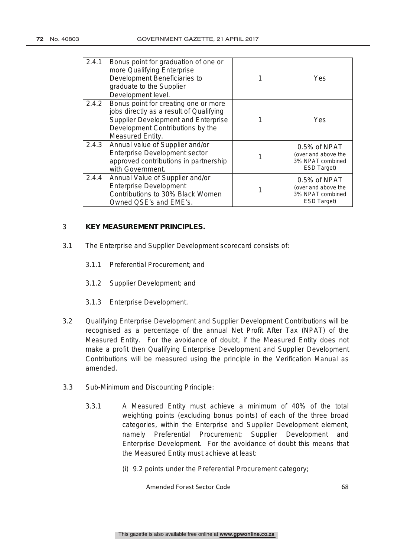| 2.4.1 | Bonus point for graduation of one or<br>more Qualifying Enterprise<br>Development Beneficiaries to<br>graduate to the Supplier<br>Development level.                                  | Yes                                                                              |
|-------|---------------------------------------------------------------------------------------------------------------------------------------------------------------------------------------|----------------------------------------------------------------------------------|
| 2.4.2 | Bonus point for creating one or more<br>jobs directly as a result of Qualifying<br><b>Supplier Development and Enterprise</b><br>Development Contributions by the<br>Measured Entity. | Yes                                                                              |
|       | 2.4.3 Annual value of Supplier and/or<br><b>Enterprise Development sector</b><br>approved contributions in partnership<br>with Government.                                            | $0.5\%$ of NPAT<br>(over and above the<br>3% NPAT combined<br><b>ESD Target)</b> |
|       | 2.4.4 Annual Value of Supplier and/or<br><b>Enterprise Development</b><br>Contributions to 30% Black Women<br>Owned QSE's and EME's.                                                  | $0.5\%$ of NPAT<br>(over and above the<br>3% NPAT combined<br><b>ESD Target)</b> |

### 3 **KEY MEASUREMENT PRINCIPLES.**

- 3.1 The Enterprise and Supplier Development scorecard consists of:
	- 3.1.1 Preferential Procurement; and
	- 3.1.2 Supplier Development; and
	- 3.1.3 Enterprise Development.
- 3.2 Qualifying Enterprise Development and Supplier Development Contributions will be recognised as a percentage of the annual Net Profit After Tax (NPAT) of the Measured Entity. For the avoidance of doubt, if the Measured Entity does not make a profit then Qualifying Enterprise Development and Supplier Development Contributions will be measured using the principle in the Verification Manual as amended.
- 3.3 Sub-Minimum and Discounting Principle:
	- 3.3.1 A Measured Entity must achieve a minimum of 40% of the total weighting points (excluding bonus points) of each of the three broad categories, within the Enterprise and Supplier Development element, namely Preferential Procurement; Supplier Development and Enterprise Development. For the avoidance of doubt this means that the Measured Entity must achieve at least:
		- (i) 9.2 points under the Preferential Procurement category;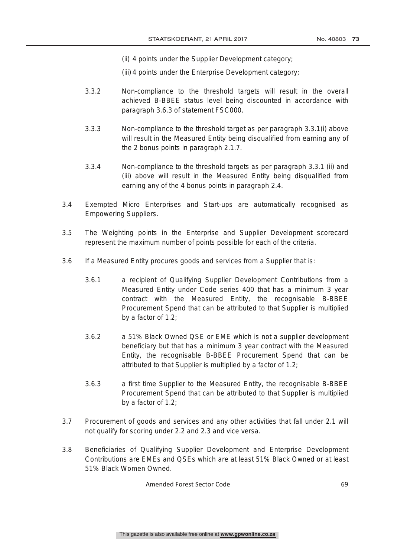- (ii) 4 points under the Supplier Development category;
- (iii) 4 points under the Enterprise Development category;
- 3.3.2 Non-compliance to the threshold targets will result in the overall achieved B-BBEE status level being discounted in accordance with paragraph 3.6.3 of statement FSC000.
- 3.3.3 Non-compliance to the threshold target as per paragraph 3.3.1(i) above will result in the Measured Entity being disqualified from earning any of the 2 bonus points in paragraph 2.1.7.
- 3.3.4 Non-compliance to the threshold targets as per paragraph 3.3.1 (ii) and (iii) above will result in the Measured Entity being disqualified from earning any of the 4 bonus points in paragraph 2.4.
- 3.4 Exempted Micro Enterprises and Start-ups are automatically recognised as Empowering Suppliers.
- 3.5 The Weighting points in the Enterprise and Supplier Development scorecard represent the maximum number of points possible for each of the criteria.
- 3.6 If a Measured Entity procures goods and services from a Supplier that is:
	- 3.6.1 a recipient of Qualifying Supplier Development Contributions from a Measured Entity under Code series 400 that has a minimum 3 year contract with the Measured Entity, the recognisable B-BBEE Procurement Spend that can be attributed to that Supplier is multiplied by a factor of 1.2;
	- 3.6.2 a 51% Black Owned QSE or EME which is not a supplier development beneficiary but that has a minimum 3 year contract with the Measured Entity, the recognisable B-BBEE Procurement Spend that can be attributed to that Supplier is multiplied by a factor of 1.2;
	- 3.6.3 a first time Supplier to the Measured Entity, the recognisable B-BBEE Procurement Spend that can be attributed to that Supplier is multiplied by a factor of 1.2;
- 3.7 Procurement of goods and services and any other activities that fall under 2.1 will not qualify for scoring under 2.2 and 2.3 and vice versa.
- 3.8 Beneficiaries of Qualifying Supplier Development and Enterprise Development Contributions are EMEs and QSEs which are at least 51% Black Owned or at least 51% Black Women Owned.

Amended 
Forest 
Sector 
Code 
 69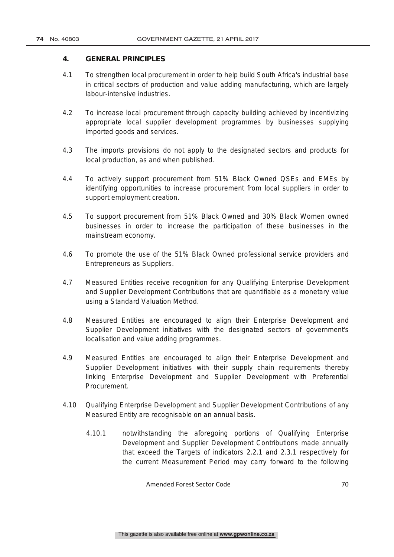#### **4. GENERAL PRINCIPLES**

- 4.1 To strengthen local procurement in order to help build South Africa's industrial base in critical sectors of production and value adding manufacturing, which are largely labour-intensive industries.
- 4.2 To increase local procurement through capacity building achieved by incentivizing appropriate local supplier development programmes by businesses supplying imported goods and services.
- 4.3 The imports provisions do not apply to the designated sectors and products for local production, as and when published.
- 4.4 To actively support procurement from 51% Black Owned QSEs and EMEs by identifying opportunities to increase procurement from local suppliers in order to support employment creation.
- 4.5 To support procurement from 51% Black Owned and 30% Black Women owned businesses in order to increase the participation of these businesses in the mainstream economy.
- 4.6 To promote the use of the 51% Black Owned professional service providers and Entrepreneurs as Suppliers.
- 4.7 Measured Entities receive recognition for any Qualifying Enterprise Development and Supplier Development Contributions that are quantifiable as a monetary value using a Standard Valuation Method.
- 4.8 Measured Entities are encouraged to align their Enterprise Development and Supplier Development initiatives with the designated sectors of government's localisation and value adding programmes.
- 4.9 Measured Entities are encouraged to align their Enterprise Development and Supplier Development initiatives with their supply chain requirements thereby linking Enterprise Development and Supplier Development with Preferential Procurement.
- 4.10 Qualifying Enterprise Development and Supplier Development Contributions of any Measured Entity are recognisable on an annual basis.
	- 4.10.1 notwithstanding the aforegoing portions of Qualifying Enterprise Development and Supplier Development Contributions made annually that exceed the Targets of indicators 2.2.1 and 2.3.1 respectively for the current Measurement Period may carry forward to the following

Amended Forest Sector Code **Communication** 20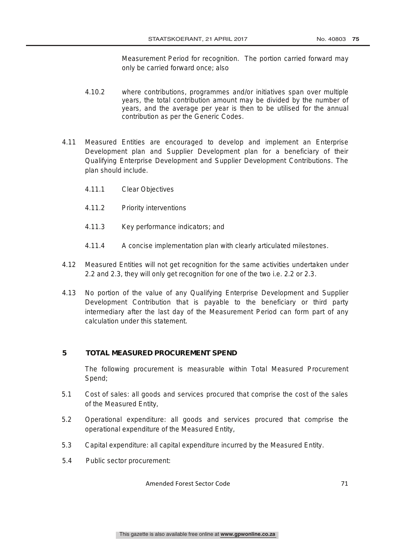Measurement Period for recognition. The portion carried forward may only be carried forward once; also

- 4.10.2 where contributions, programmes and/or initiatives span over multiple years, the total contribution amount may be divided by the number of years, and the average per year is then to be utilised for the annual contribution as per the Generic Codes.
- 4.11 Measured Entities are encouraged to develop and implement an Enterprise Development plan and Supplier Development plan for a beneficiary of their Qualifying Enterprise Development and Supplier Development Contributions. The plan should include.
	- 4.11.1 Clear Objectives
	- 4.11.2 Priority interventions
	- 4.11.3 Key performance indicators; and
	- 4.11.4 A concise implementation plan with clearly articulated milestones.
- 4.12 Measured Entities will not get recognition for the same activities undertaken under 2.2 and 2.3, they will only get recognition for one of the two i.e. 2.2 or 2.3.
- 4.13 No portion of the value of any Qualifying Enterprise Development and Supplier Development Contribution that is payable to the beneficiary or third party intermediary after the last day of the Measurement Period can form part of any calculation under this statement.

#### **5 TOTAL MEASURED PROCUREMENT SPEND**

The following procurement is measurable within Total Measured Procurement Spend;

- 5.1 Cost of sales: all goods and services procured that comprise the cost of the sales of the Measured Entity,
- 5.2 Operational expenditure: all goods and services procured that comprise the operational expenditure of the Measured Entity,
- 5.3 Capital expenditure: all capital expenditure incurred by the Measured Entity.
- 5.4 Public sector procurement: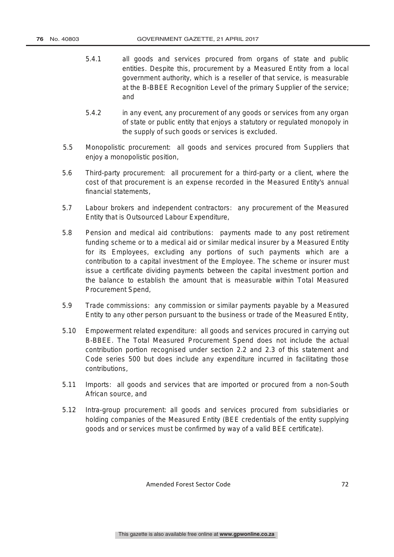- 5.4.1 all goods and services procured from organs of state and public entities. Despite this, procurement by a Measured Entity from a local government authority, which is a reseller of that service, is measurable at the B-BBEE Recognition Level of the primary Supplier of the service; and
- 5.4.2 in any event, any procurement of any goods or services from any organ of state or public entity that enjoys a statutory or regulated monopoly in the supply of such goods or services is excluded.
- 5.5 Monopolistic procurement: all goods and services procured from Suppliers that enjoy a monopolistic position,
- 5.6 Third-party procurement: all procurement for a third-party or a client, where the cost of that procurement is an expense recorded in the Measured Entity's annual financial statements,
- 5.7 Labour brokers and independent contractors: any procurement of the Measured Entity that is Outsourced Labour Expenditure,
- 5.8 Pension and medical aid contributions: payments made to any post retirement funding scheme or to a medical aid or similar medical insurer by a Measured Entity for its Employees, excluding any portions of such payments which are a contribution to a capital investment of the Employee. The scheme or insurer must issue a certificate dividing payments between the capital investment portion and the balance to establish the amount that is measurable within Total Measured Procurement Spend,
- 5.9 Trade commissions: any commission or similar payments payable by a Measured Entity to any other person pursuant to the business or trade of the Measured Entity,
- 5.10 Empowerment related expenditure: all goods and services procured in carrying out B-BBEE. The Total Measured Procurement Spend does not include the actual contribution portion recognised under section 2.2 and 2.3 of this statement and Code series 500 but does include any expenditure incurred in facilitating those contributions,
- 5.11 Imports: all goods and services that are imported or procured from a non-South African source, and
- 5.12 Intra-group procurement: all goods and services procured from subsidiaries or holding companies of the Measured Entity (BEE credentials of the entity supplying goods and or services must be confirmed by way of a valid BEE certificate).

Amended Forest Sector Code **Communication** 22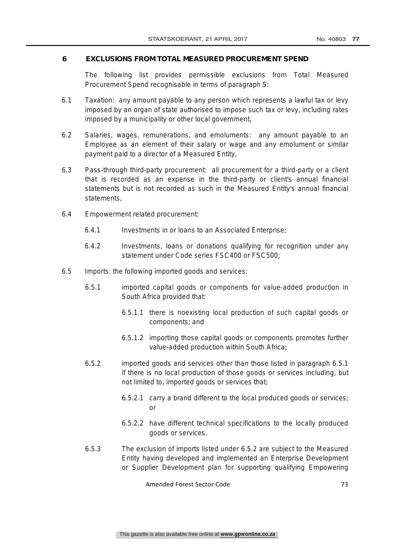### **6 EXCLUSIONS FROM TOTAL MEASURED PROCUREMENT SPEND**

The following list provides permissible exclusions from Total Measured Procurement Spend recognisable in terms of paragraph 5:

- 6.1 Taxation: any amount payable to any person which represents a lawful tax or levy imposed by an organ of state authorised to impose such tax or levy, including rates imposed by a municipality or other local government,
- 6.2 Salaries, wages, remunerations, and emoluments: any amount payable to an Employee as an element of their salary or wage and any emolument or similar payment paid to a director of a Measured Entity,
- 6.3 Pass-through third-party procurement: all procurement for a third-party or a client that is recorded as an expense in the third-party or client's annual financial statements but is not recorded as such in the Measured Entity's annual financial statements,
- 6.4 Empowerment related procurement:
	- 6.4.1 Investments in or loans to an Associated Enterprise;
	- 6.4.2 Investments, loans or donations qualifying for recognition under any statement under Code series FSC400 or FSC500;
- 6.5 Imports: the following imported goods and services:
	- 6.5.1 imported capital goods or components for value-added production in South Africa provided that:
		- 6.5.1.1 there is noexisting local production of such capital goods or components; and
		- 6.5.1.2 importing those capital goods or components promotes further value-added production within South Africa;
	- 6.5.2 imported goods and services other than those listed in paragraph 6.5.1 if there is no local production of those goods or services including, but not limited to, imported goods or services that;
		- 6.5.2.1 carry a brand different to the local produced goods or services; or
		- 6.5.2.2 have different technical specifications to the locally produced goods or services.
	- 6.5.3 The exclusion of imports listed under 6.5.2 are subject to the Measured Entity having developed and implemented an Enterprise Development or Supplier Development plan for supporting qualifying Empowering

Amended Forest Sector Code **Communication** 23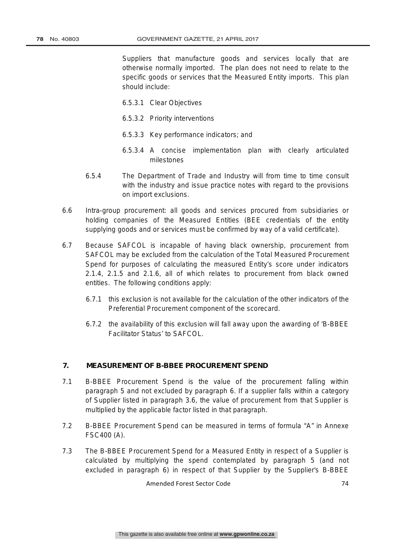Suppliers that manufacture goods and services locally that are otherwise normally imported. The plan does not need to relate to the specific goods or services that the Measured Entity imports. This plan should include:

- 6.5.3.1 Clear Objectives
- 6.5.3.2 Priority interventions
- 6.5.3.3 Key performance indicators; and
- 6.5.3.4 A concise implementation plan with clearly articulated milestones
- 6.5.4 The Department of Trade and Industry will from time to time consult with the industry and issue practice notes with regard to the provisions on import exclusions.
- 6.6 Intra-group procurement: all goods and services procured from subsidiaries or holding companies of the Measured Entities (BEE credentials of the entity supplying goods and or services must be confirmed by way of a valid certificate).
- 6.7 Because SAFCOL is incapable of having black ownership, procurement from SAFCOL may be excluded from the calculation of the Total Measured Procurement Spend for purposes of calculating the measured Entity's score under indicators 2.1.4, 2.1.5 and 2.1.6, all of which relates to procurement from black owned entities. The following conditions apply:
	- 6.7.1 this exclusion is not available for the calculation of the other indicators of the Preferential Procurement component of the scorecard.
	- 6.7.2 the availability of this exclusion will fall away upon the awarding of 'B-BBEE Facilitator Status' to SAFCOL.

#### **7. MEASUREMENT OF B-BBEE PROCUREMENT SPEND**

- 7.1 B-BBEE Procurement Spend is the value of the procurement falling within paragraph 5 and not excluded by paragraph 6. If a supplier falls within a category of Supplier listed in paragraph 3.6, the value of procurement from that Supplier is multiplied by the applicable factor listed in that paragraph.
- 7.2 B-BBEE Procurement Spend can be measured in terms of formula "A" in Annexe FSC400 (A).
- 7.3 The B-BBEE Procurement Spend for a Measured Entity in respect of a Supplier is calculated by multiplying the spend contemplated by paragraph 5 (and not excluded in paragraph 6) in respect of that Supplier by the Supplier's B-BBEE

Amended 
Forest 
Sector 
Code 
 74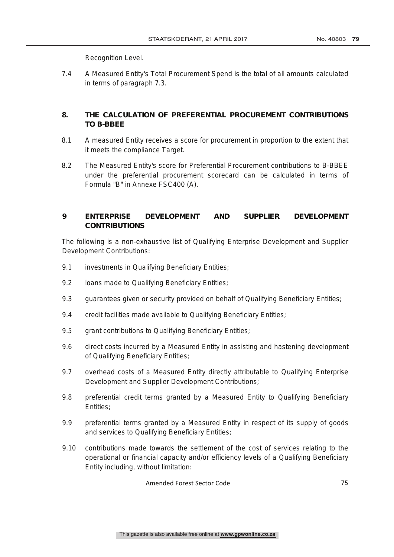Recognition Level.

7.4 A Measured Entity's Total Procurement Spend is the total of all amounts calculated in terms of paragraph 7.3.

### **8. THE CALCULATION OF PREFERENTIAL PROCUREMENT CONTRIBUTIONS TO B-BBEE**

- 8.1 A measured Entity receives a score for procurement in proportion to the extent that it meets the compliance Target.
- 8.2 The Measured Entity's score for Preferential Procurement contributions to B-BBEE under the preferential procurement scorecard can be calculated in terms of Formula "B" in Annexe FSC400 (A).

## **9 ENTERPRISE DEVELOPMENT AND SUPPLIER DEVELOPMENT CONTRIBUTIONS**

The following is a non-exhaustive list of Qualifying Enterprise Development and Supplier Development Contributions:

- 9.1 investments in Qualifying Beneficiary Entities;
- 9.2 loans made to Qualifying Beneficiary Entities;
- 9.3 guarantees given or security provided on behalf of Qualifying Beneficiary Entities;
- 9.4 credit facilities made available to Qualifying Beneficiary Entities;
- 9.5 grant contributions to Qualifying Beneficiary Entities;
- 9.6 direct costs incurred by a Measured Entity in assisting and hastening development of Qualifying Beneficiary Entities;
- 9.7 overhead costs of a Measured Entity directly attributable to Qualifying Enterprise Development and Supplier Development Contributions;
- 9.8 preferential credit terms granted by a Measured Entity to Qualifying Beneficiary Entities;
- 9.9 preferential terms granted by a Measured Entity in respect of its supply of goods and services to Qualifying Beneficiary Entities;
- 9.10 contributions made towards the settlement of the cost of services relating to the operational or financial capacity and/or efficiency levels of a Qualifying Beneficiary Entity including, without limitation:

Amended Forest Sector Code **Communication** 25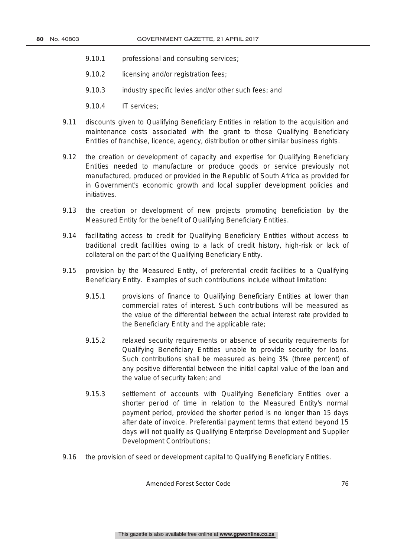- 9.10.1 professional and consulting services;
- 9.10.2 licensing and/or registration fees;
- 9.10.3 industry specific levies and/or other such fees; and
- 9.10.4 IT services;
- 9.11 discounts given to Qualifying Beneficiary Entities in relation to the acquisition and maintenance costs associated with the grant to those Qualifying Beneficiary Entities of franchise, licence, agency, distribution or other similar business rights.
- 9.12 the creation or development of capacity and expertise for Qualifying Beneficiary Entities needed to manufacture or produce goods or service previously not manufactured, produced or provided in the Republic of South Africa as provided for in Government's economic growth and local supplier development policies and initiatives.
- 9.13 the creation or development of new projects promoting beneficiation by the Measured Entity for the benefit of Qualifying Beneficiary Entities.
- 9.14 facilitating access to credit for Qualifying Beneficiary Entities without access to traditional credit facilities owing to a lack of credit history, high-risk or lack of collateral on the part of the Qualifying Beneficiary Entity.
- 9.15 provision by the Measured Entity, of preferential credit facilities to a Qualifying Beneficiary Entity. Examples of such contributions include without limitation:
	- 9.15.1 provisions of finance to Qualifying Beneficiary Entities at lower than commercial rates of interest. Such contributions will be measured as the value of the differential between the actual interest rate provided to the Beneficiary Entity and the applicable rate;
	- 9.15.2 relaxed security requirements or absence of security requirements for Qualifying Beneficiary Entities unable to provide security for loans. Such contributions shall be measured as being 3% (three percent) of any positive differential between the initial capital value of the loan and the value of security taken; and
	- 9.15.3 settlement of accounts with Qualifying Beneficiary Entities over a shorter period of time in relation to the Measured Entity's normal payment period, provided the shorter period is no longer than 15 days after date of invoice. Preferential payment terms that extend beyond 15 days will not qualify as Qualifying Enterprise Development and Supplier Development Contributions;
- 9.16 the provision of seed or development capital to Qualifying Beneficiary Entities.

Amended Forest Sector Code **Communication** 26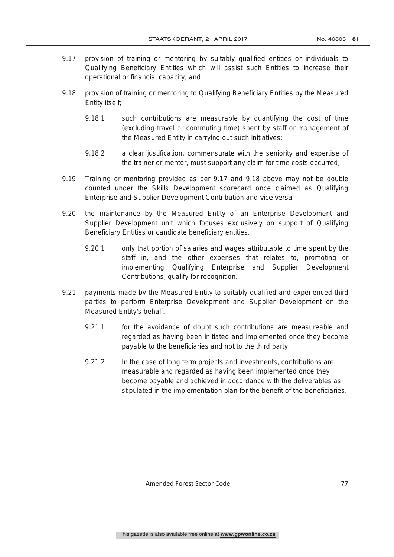- 9.17 provision of training or mentoring by suitably qualified entities or individuals to Qualifying Beneficiary Entities which will assist such Entities to increase their operational or financial capacity; and
- 9.18 provision of training or mentoring to Qualifying Beneficiary Entities by the Measured Entity itself;
	- 9.18.1 such contributions are measurable by quantifying the cost of time (excluding travel or commuting time) spent by staff or management of the Measured Entity in carrying out such initiatives;
	- 9.18.2 a clear justification, commensurate with the seniority and expertise of the trainer or mentor, must support any claim for time costs occurred;
- 9.19 Training or mentoring provided as per 9.17 and 9.18 above may not be double counted under the Skills Development scorecard once claimed as Qualifying Enterprise and Supplier Development Contribution and *vice versa*.
- 9.20 the maintenance by the Measured Entity of an Enterprise Development and Supplier Development unit which focuses exclusively on support of Qualifying Beneficiary Entities or candidate beneficiary entities.
	- 9.20.1 only that portion of salaries and wages attributable to time spent by the staff in, and the other expenses that relates to, promoting or implementing Qualifying Enterprise and Supplier Development Contributions, qualify for recognition.
- 9.21 payments made by the Measured Entity to suitably qualified and experienced third parties to perform Enterprise Development and Supplier Development on the Measured Entity's behalf.
	- 9.21.1 for the avoidance of doubt such contributions are measureable and regarded as having been initiated and implemented once they become payable to the beneficiaries and not to the third party;
	- 9.21.2 In the case of long term projects and investments, contributions are measurable and regarded as having been implemented once they become payable and achieved in accordance with the deliverables as stipulated in the implementation plan for the benefit of the beneficiaries.

Amended Forest Sector Code **Communist Communist Communist Communist Communist Communist Communist Communist Co**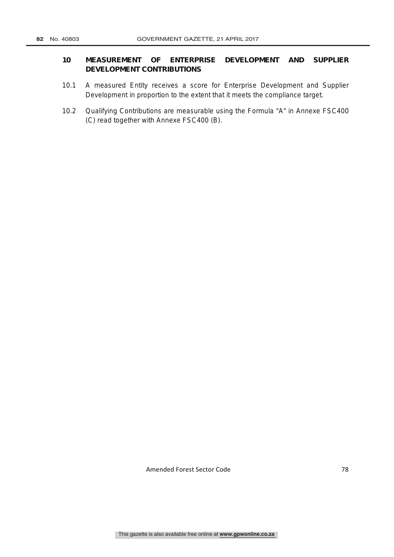### **10 MEASUREMENT OF ENTERPRISE DEVELOPMENT AND SUPPLIER DEVELOPMENT CONTRIBUTIONS**

- 10.1 A measured Entity receives a score for Enterprise Development and Supplier Development in proportion to the extent that it meets the compliance target.
- 10.2 Qualifying Contributions are measurable using the Formula "A" in Annexe FSC400 (C) read together with Annexe FSC400 (B).

Amended Forest Sector Code **Communist Communist Communist Communist Communist Communist Communist Communist Communist Communist Communist Communist Communist Communist Communist Communist Communist Communist Communist Comm**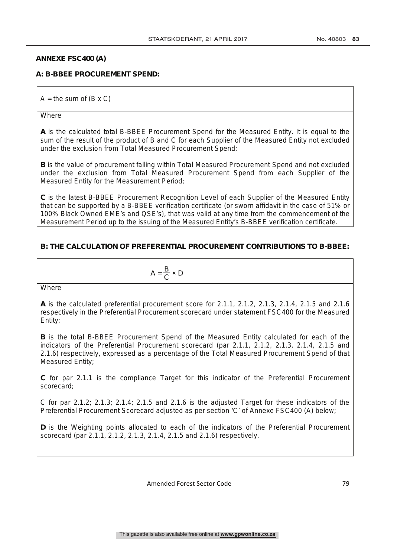### **ANNEXE FSC400 (A)**

### **A: B-BBEE PROCUREMENT SPEND:**

### $A =$  the sum of  $(B \times C)$

**Where** 

**A** is the calculated total B-BBEE Procurement Spend for the Measured Entity. It is equal to the sum of the result of the product of B and C for each Supplier of the Measured Entity not excluded under the exclusion from Total Measured Procurement Spend;

**B** is the value of procurement falling within Total Measured Procurement Spend and not excluded under the exclusion from Total Measured Procurement Spend from each Supplier of the Measured Entity for the Measurement Period;

**C** is the latest B-BBEE Procurement Recognition Level of each Supplier of the Measured Entity that can be supported by a B-BBEE verification certificate (or sworn affidavit in the case of 51% or 100% Black Owned EME's and QSE's), that was valid at any time from the commencement of the Measurement Period up to the issuing of the Measured Entity's B-BBEE verification certificate.

### **B: THE CALCULATION OF PREFERENTIAL PROCUREMENT CONTRIBUTIONS TO B-BBEE:**

 $A = \frac{B}{C} \times D$ 

**Where** 

**A** is the calculated preferential procurement score for 2.1.1, 2.1.2, 2.1.3, 2.1.4, 2.1.5 and 2.1.6 respectively in the Preferential Procurement scorecard under statement FSC400 for the Measured Entity;

**B** is the total B-BBEE Procurement Spend of the Measured Entity calculated for each of the indicators of the Preferential Procurement scorecard (par 2.1.1, 2.1.2, 2.1.3, 2.1.4, 2.1.5 and 2.1.6) respectively, expressed as a percentage of the Total Measured Procurement Spend of that Measured Entity;

**C** for par 2.1.1 is the compliance Target for this indicator of the Preferential Procurement scorecard;

C for par 2.1.2; 2.1.3; 2.1.4; 2.1.5 and 2.1.6 is the adjusted Target for these indicators of the Preferential Procurement Scorecard adjusted as per section 'C' of Annexe FSC400 (A) below;

**D** is the Weighting points allocated to each of the indicators of the Preferential Procurement scorecard (par 2.1.1, 2.1.2, 2.1.3, 2.1.4, 2.1.5 and 2.1.6) respectively.

Amended Forest Sector Code **Communication** 29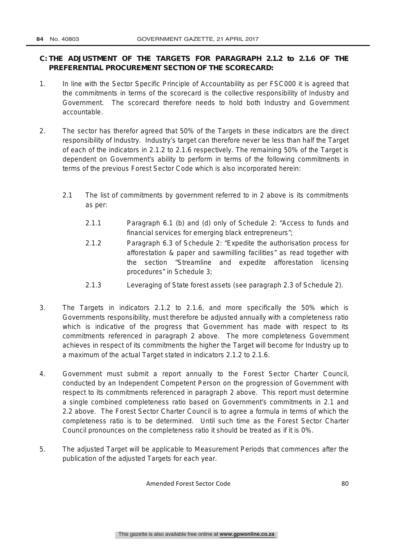## **C: THE ADJUSTMENT OF THE TARGETS FOR PARAGRAPH 2.1.2 to 2.1.6 OF THE PREFERENTIAL PROCUREMENT SECTION OF THE SCORECARD:**

- 1. In line with the Sector Specific Principle of Accountability as per FSC000 it is agreed that the commitments in terms of the scorecard is the collective responsibility of Industry and Government. The scorecard therefore needs to hold both Industry and Government accountable.
- 2. The sector has therefor agreed that 50% of the Targets in these indicators are the direct responsibility of Industry. Industry's target can therefore never be less than half the Target of each of the indicators in 2.1.2 to 2.1.6 respectively. The remaining 50% of the Target is dependent on Government's ability to perform in terms of the following commitments in terms of the previous Forest Sector Code which is also incorporated herein:
	- 2.1 The list of commitments by government referred to in 2 above is its commitments as per:
		- 2.1.1 Paragraph 6.1 (b) and (d) only of Schedule 2: "*Access to funds and financial services for emerging black entrepreneurs*";
		- 2.1.2 Paragraph 6.3 of Schedule 2: "*Expedite the authorisation process for afforestation & paper and sawmilling facilities*" as read together with the section "*Streamline and expedite afforestation licensing procedures*" in Schedule 3;
		- 2.1.3 Leveraging of State forest assets (see paragraph 2.3 of Schedule 2).
- 3. The Targets in indicators 2.1.2 to 2.1.6, and more specifically the 50% which is Governments responsibility, must therefore be adjusted annually with a completeness ratio which is indicative of the progress that Government has made with respect to its commitments referenced in paragraph 2 above. The more completeness Government achieves in respect of its commitments the higher the Target will become for Industry up to a maximum of the actual Target stated in indicators 2.1.2 to 2.1.6.
- 4. Government must submit a report annually to the Forest Sector Charter Council, conducted by an Independent Competent Person on the progression of Government with respect to its commitments referenced in paragraph 2 above. This report must determine a single combined completeness ratio based on Government's commitments in 2.1 and 2.2 above. The Forest Sector Charter Council is to agree a formula in terms of which the completeness ratio is to be determined. Until such time as the Forest Sector Charter Council pronounces on the completeness ratio it should be treated as if it is 0%.
- 5. The adjusted Target will be applicable to Measurement Periods that commences after the publication of the adjusted Targets for each year.

Amended Forest Sector Code **Branch Code 1999**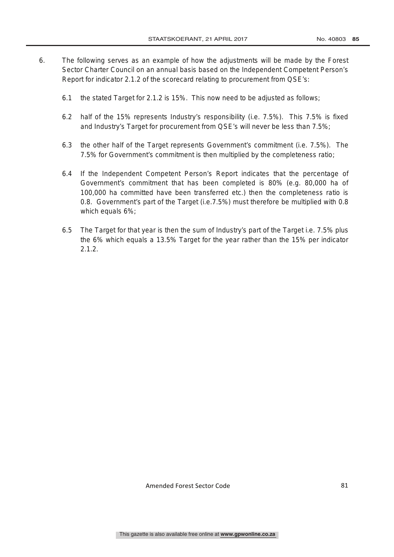- 6. The following serves as an example of how the adjustments will be made by the Forest Sector Charter Council on an annual basis based on the Independent Competent Person's Report for indicator 2.1.2 of the scorecard relating to procurement from QSE's:
	- 6.1 the stated Target for 2.1.2 is 15%. This now need to be adjusted as follows;
	- 6.2 half of the 15% represents Industry's responsibility (i.e. 7.5%). This 7.5% is fixed and Industry's Target for procurement from QSE's will never be less than 7.5%;
	- 6.3 the other half of the Target represents Government's commitment (i.e. 7.5%). The 7.5% for Government's commitment is then multiplied by the completeness ratio;
	- 6.4 If the Independent Competent Person's Report indicates that the percentage of Government's commitment that has been completed is 80% (e.g. 80,000 ha of 100,000 ha committed have been transferred etc.) then the completeness ratio is 0.8. Government's part of the Target (i.e.7.5%) must therefore be multiplied with 0.8 which equals 6%;
	- 6.5 The Target for that year is then the sum of Industry's part of the Target i.e. 7.5% plus the 6% which equals a 13.5% Target for the year rather than the 15% per indicator 2.1.2.

Amended Forest Sector Code and the sector of the S1 and the S1 and S1 and S1 and S1 and S1 and S1 and S1 and S1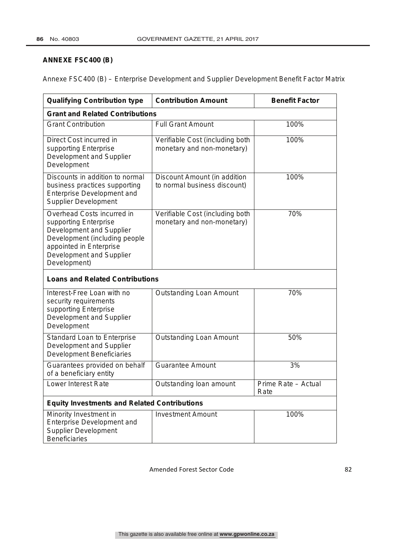## **ANNEXE FSC400 (B)**

Annexe FSC400 (B) – Enterprise Development and Supplier Development Benefit Factor Matrix

| <b>Qualifying Contribution type</b>                                                                                                                                                     | <b>Contribution Amount</b>                                    | <b>Benefit Factor</b>       |  |  |  |  |
|-----------------------------------------------------------------------------------------------------------------------------------------------------------------------------------------|---------------------------------------------------------------|-----------------------------|--|--|--|--|
|                                                                                                                                                                                         | <b>Grant and Related Contributions</b>                        |                             |  |  |  |  |
| <b>Grant Contribution</b>                                                                                                                                                               | <b>Full Grant Amount</b>                                      | 100%                        |  |  |  |  |
| Direct Cost incurred in<br>supporting Enterprise<br>Development and Supplier<br>Development                                                                                             | Verifiable Cost (including both<br>monetary and non-monetary) | 100%                        |  |  |  |  |
| Discounts in addition to normal<br>business practices supporting<br><b>Enterprise Development and</b><br><b>Supplier Development</b>                                                    | Discount Amount (in addition<br>to normal business discount)  | 100%                        |  |  |  |  |
| Overhead Costs incurred in<br>supporting Enterprise<br>Development and Supplier<br>Development (including people<br>appointed in Enterprise<br>Development and Supplier<br>Development) | Verifiable Cost (including both<br>monetary and non-monetary) | 70%                         |  |  |  |  |
| <b>Loans and Related Contributions</b>                                                                                                                                                  |                                                               |                             |  |  |  |  |
| Interest-Free Loan with no<br>security requirements<br>supporting Enterprise<br>Development and Supplier<br>Development                                                                 | <b>Outstanding Loan Amount</b>                                | 70%                         |  |  |  |  |
| Standard Loan to Enterprise<br>Development and Supplier<br><b>Development Beneficiaries</b>                                                                                             | <b>Outstanding Loan Amount</b>                                | 50%                         |  |  |  |  |
| Guarantees provided on behalf<br>of a beneficiary entity                                                                                                                                | <b>Guarantee Amount</b>                                       | 3%                          |  |  |  |  |
| <b>Lower Interest Rate</b>                                                                                                                                                              | Outstanding loan amount                                       | Prime Rate - Actual<br>Rate |  |  |  |  |
| <b>Equity Investments and Related Contributions</b>                                                                                                                                     |                                                               |                             |  |  |  |  |
| Minority Investment in<br><b>Enterprise Development and</b><br><b>Supplier Development</b><br><b>Beneficiaries</b>                                                                      | <b>Investment Amount</b>                                      | 100%                        |  |  |  |  |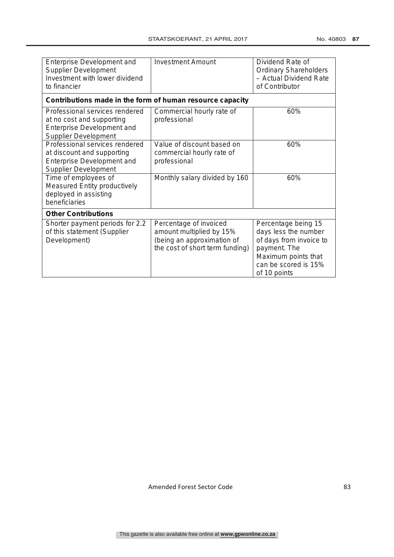| <b>Enterprise Development and</b><br><b>Supplier Development</b><br>Investment with lower dividend<br>to financier        | <b>Investment Amount</b>                                                                                            | Dividend Rate of<br><b>Ordinary Shareholders</b><br>- Actual Dividend Rate<br>of Contributor                                                          |
|---------------------------------------------------------------------------------------------------------------------------|---------------------------------------------------------------------------------------------------------------------|-------------------------------------------------------------------------------------------------------------------------------------------------------|
| Contributions made in the form of human resource capacity                                                                 |                                                                                                                     |                                                                                                                                                       |
| Professional services rendered<br>at no cost and supporting<br>Enterprise Development and<br><b>Supplier Development</b>  | Commercial hourly rate of<br>professional                                                                           | 60%                                                                                                                                                   |
| Professional services rendered<br>at discount and supporting<br>Enterprise Development and<br><b>Supplier Development</b> | Value of discount based on<br>commercial hourly rate of<br>professional                                             | 60%                                                                                                                                                   |
| Time of employees of<br><b>Measured Entity productively</b><br>deployed in assisting<br>beneficiaries                     | Monthly salary divided by 160                                                                                       | 60%                                                                                                                                                   |
| <b>Other Contributions</b>                                                                                                |                                                                                                                     |                                                                                                                                                       |
| Shorter payment periods for 2.2<br>of this statement (Supplier<br>Development)                                            | Percentage of invoiced<br>amount multiplied by 15%<br>(being an approximation of<br>the cost of short term funding) | Percentage being 15<br>days less the number<br>of days from invoice to<br>payment. The<br>Maximum points that<br>can be scored is 15%<br>of 10 points |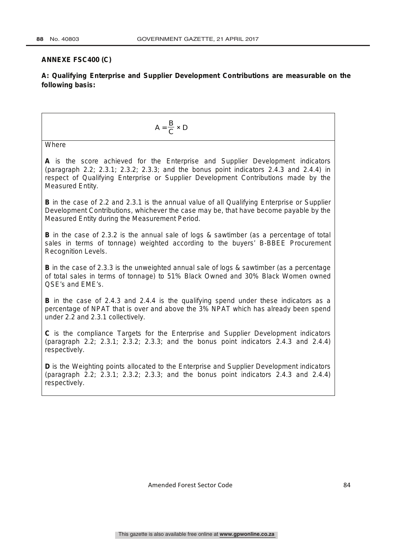### **ANNEXE FSC400 (C)**

**A: Qualifying Enterprise and Supplier Development Contributions are measurable on the following basis:**

$$
A = \frac{B}{C} \times D
$$

**Where** 

**A** is the score achieved for the Enterprise and Supplier Development indicators (paragraph 2.2; 2.3.1; 2.3.2; 2.3.3; and the bonus point indicators 2.4.3 and 2.4.4) in respect of Qualifying Enterprise or Supplier Development Contributions made by the Measured Entity.

**B** in the case of 2.2 and 2.3.1 is the annual value of all Qualifying Enterprise or Supplier Development Contributions, whichever the case may be, that have become payable by the Measured Entity during the Measurement Period.

**B** in the case of 2.3.2 is the annual sale of logs & sawtimber (as a percentage of total sales in terms of tonnage) weighted according to the buyers' B-BBEE Procurement Recognition Levels.

**B** in the case of 2.3.3 is the unweighted annual sale of logs & sawtimber (as a percentage of total sales in terms of tonnage) to 51% Black Owned and 30% Black Women owned QSE's and EME's.

**B** in the case of 2.4.3 and 2.4.4 is the qualifying spend under these indicators as a percentage of NPAT that is over and above the 3% NPAT which has already been spend under 2.2 and 2.3.1 collectively.

**C** is the compliance Targets for the Enterprise and Supplier Development indicators (paragraph 2.2; 2.3.1; 2.3.2; 2.3.3; and the bonus point indicators 2.4.3 and 2.4.4) respectively.

**D** is the Weighting points allocated to the Enterprise and Supplier Development indicators (paragraph 2.2; 2.3.1; 2.3.2; 2.3.3; and the bonus point indicators 2.4.3 and 2.4.4) respectively.

Amended Forest Sector Code and the sector of the sector of the sector of the sector of the sector of the sector  $84$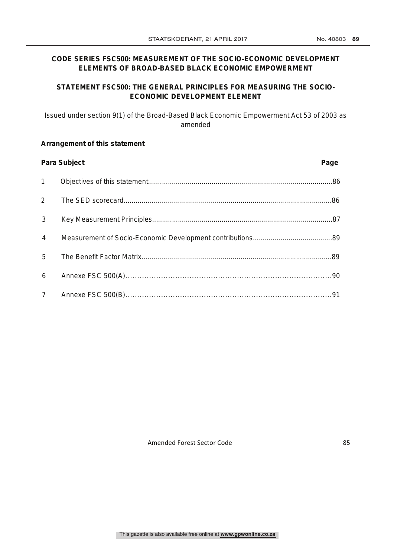## **CODE SERIES FSC500: MEASUREMENT OF THE SOCIO-ECONOMIC DEVELOPMENT ELEMENTS OF BROAD-BASED BLACK ECONOMIC EMPOWERMENT**

## **STATEMENT FSC500: THE GENERAL PRINCIPLES FOR MEASURING THE SOCIO-ECONOMIC DEVELOPMENT ELEMENT**

Issued under section 9(1) of the Broad-Based Black Economic Empowerment Act 53 of 2003 as amended

### **Arrangement of this statement**

## **Para Subject Page**

| 1 <sup>1</sup> |  |
|----------------|--|
| $\overline{2}$ |  |
| 3              |  |
| 4              |  |
| 5              |  |
| 6              |  |
|                |  |

Amended 
Forest 
Sector 
Code 
 85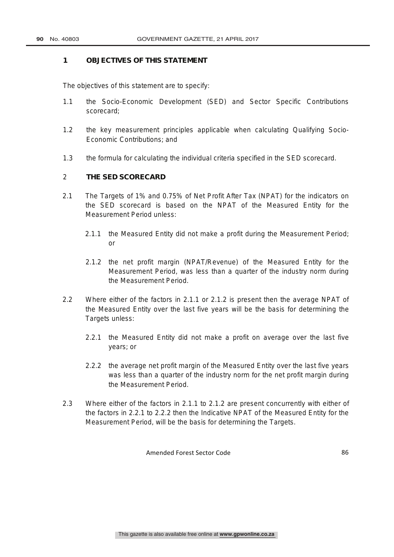#### **1 OBJECTIVES OF THIS STATEMENT**

The objectives of this statement are to specify:

- 1.1 the Socio-Economic Development (SED) and Sector Specific Contributions scorecard;
- 1.2 the key measurement principles applicable when calculating Qualifying Socio-Economic Contributions; and
- 1.3 the formula for calculating the individual criteria specified in the SED scorecard.

### 2 **THE SED SCORECARD**

- 2.1 The Targets of 1% and 0.75% of Net Profit After Tax (NPAT) for the indicators on the SED scorecard is based on the NPAT of the Measured Entity for the Measurement Period unless:
	- 2.1.1 the Measured Entity did not make a profit during the Measurement Period; or
	- 2.1.2 the net profit margin (NPAT/Revenue) of the Measured Entity for the Measurement Period, was less than a quarter of the industry norm during the Measurement Period.
- 2.2 Where either of the factors in 2.1.1 or 2.1.2 is present then the average NPAT of the Measured Entity over the last five years will be the basis for determining the Targets unless:
	- 2.2.1 the Measured Entity did not make a profit on average over the last five years; or
	- 2.2.2 the average net profit margin of the Measured Entity over the last five years was less than a quarter of the industry norm for the net profit margin during the Measurement Period.
- 2.3 Where either of the factors in 2.1.1 to 2.1.2 are present concurrently with either of the factors in 2.2.1 to 2.2.2 then the Indicative NPAT of the Measured Entity for the Measurement Period, will be the basis for determining the Targets.

Amended Forest Sector Code and the sector of the sector of the sector of the sector of the sector of the sector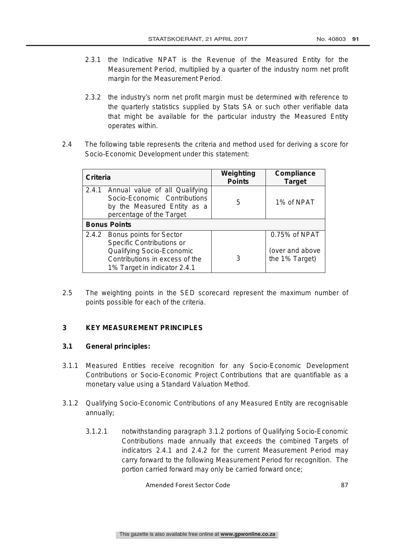- 2.3.1 the Indicative NPAT is the Revenue of the Measured Entity for the Measurement Period, multiplied by a quarter of the industry norm net profit margin for the Measurement Period.
- 2.3.2 the industry's norm net profit margin must be determined with reference to the quarterly statistics supplied by Stats SA or such other verifiable data that might be available for the particular industry the Measured Entity operates within.
- 2.4 The following table represents the criteria and method used for deriving a score for Socio-Economic Development under this statement:

| <b>Criteria</b> |                                                                                                                                 | Weighting<br><b>Points</b> | <b>Compliance</b><br><b>Target</b> |
|-----------------|---------------------------------------------------------------------------------------------------------------------------------|----------------------------|------------------------------------|
|                 | 2.4.1 Annual value of all Qualifying<br>Socio-Economic Contributions<br>by the Measured Entity as a<br>percentage of the Target | 5                          | 1% of NPAT                         |
|                 | <b>Bonus Points</b>                                                                                                             |                            |                                    |
|                 | 2.4.2 Bonus points for Sector<br>Specific Contributions or                                                                      |                            | 0.75% of NPAT                      |
|                 | Qualifying Socio-Economic                                                                                                       |                            | (over and above                    |
|                 | Contributions in excess of the                                                                                                  | 3                          | the 1% Target)                     |
|                 | 1% Target in indicator 2.4.1                                                                                                    |                            |                                    |

2.5 The weighting points in the SED scorecard represent the maximum number of points possible for each of the criteria.

### **3 KEY MEASUREMENT PRINCIPLES**

### **3.1 General principles:**

- 3.1.1 Measured Entities receive recognition for any Socio-Economic Development Contributions or Socio-Economic Project Contributions that are quantifiable as a monetary value using a Standard Valuation Method.
- 3.1.2 Qualifying Socio-Economic Contributions of any Measured Entity are recognisable annually;
	- 3.1.2.1 notwithstanding paragraph 3.1.2 portions of Qualifying Socio-Economic Contributions made annually that exceeds the combined Targets of indicators 2.4.1 and 2.4.2 for the current Measurement Period may carry forward to the following Measurement Period for recognition. The portion carried forward may only be carried forward once;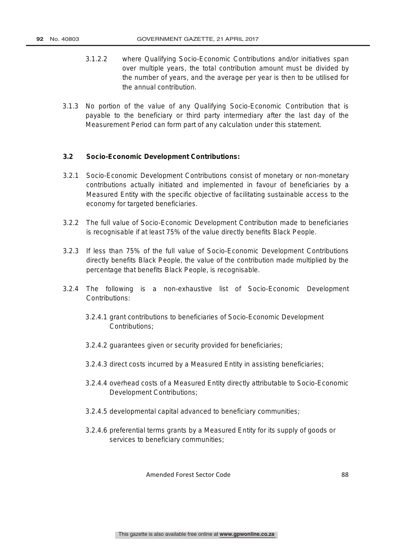- 3.1.2.2 where Qualifying Socio-Economic Contributions and/or initiatives span over multiple years, the total contribution amount must be divided by the number of years, and the average per year is then to be utilised for the annual contribution.
- 3.1.3 No portion of the value of any Qualifying Socio-Economic Contribution that is payable to the beneficiary or third party intermediary after the last day of the Measurement Period can form part of any calculation under this statement.

#### **3.2 Socio-Economic Development Contributions:**

- 3.2.1 Socio-Economic Development Contributions consist of monetary or non-monetary contributions actually initiated and implemented in favour of beneficiaries by a Measured Entity with the specific objective of facilitating sustainable access to the economy for targeted beneficiaries.
- 3.2.2 The full value of Socio-Economic Development Contribution made to beneficiaries is recognisable if at least 75% of the value directly benefits Black People.
- 3.2.3 If less than 75% of the full value of Socio-Economic Development Contributions directly benefits Black People, the value of the contribution made multiplied by the percentage that benefits Black People, is recognisable.
- 3.2.4 The following is a non-exhaustive list of Socio-Economic Development Contributions:
	- 3.2.4.1 grant contributions to beneficiaries of Socio-Economic Development Contributions;
	- 3.2.4.2 guarantees given or security provided for beneficiaries;
	- 3.2.4.3 direct costs incurred by a Measured Entity in assisting beneficiaries;
	- 3.2.4.4 overhead costs of a Measured Entity directly attributable to Socio-Economic Development Contributions;
	- 3.2.4.5 developmental capital advanced to beneficiary communities;
	- 3.2.4.6 preferential terms grants by a Measured Entity for its supply of goods or services to beneficiary communities;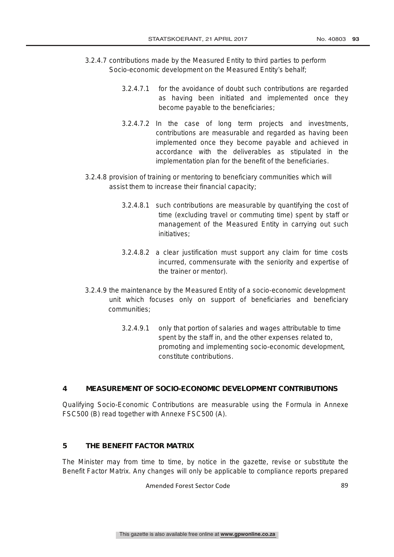- 3.2.4.7 contributions made by the Measured Entity to third parties to perform Socio-economic development on the Measured Entity's behalf;
	- 3.2.4.7.1 for the avoidance of doubt such contributions are regarded as having been initiated and implemented once they become payable to the beneficiaries;
	- 3.2.4.7.2 In the case of long term projects and investments, contributions are measurable and regarded as having been implemented once they become payable and achieved in accordance with the deliverables as stipulated in the implementation plan for the benefit of the beneficiaries.
- 3.2.4.8 provision of training or mentoring to beneficiary communities which will assist them to increase their financial capacity;
	- 3.2.4.8.1 such contributions are measurable by quantifying the cost of time (excluding travel or commuting time) spent by staff or management of the Measured Entity in carrying out such initiatives;
	- 3.2.4.8.2 a clear justification must support any claim for time costs incurred, commensurate with the seniority and expertise of the trainer or mentor).
- 3.2.4.9 the maintenance by the Measured Entity of a socio-economic development unit which focuses only on support of beneficiaries and beneficiary communities;
	- 3.2.4.9.1 only that portion of salaries and wages attributable to time spent by the staff in, and the other expenses related to, promoting and implementing socio-economic development, constitute contributions.

### **4 MEASUREMENT OF SOCIO-ECONOMIC DEVELOPMENT CONTRIBUTIONS**

Qualifying Socio-Economic Contributions are measurable using the Formula in Annexe FSC500 (B) read together with Annexe FSC500 (A).

### **5 THE BENEFIT FACTOR MATRIX**

The Minister may from time to time, by notice in the gazette, revise or substitute the Benefit Factor Matrix. Any changes will only be applicable to compliance reports prepared

Amended Forest Sector Code **Base Communication** 89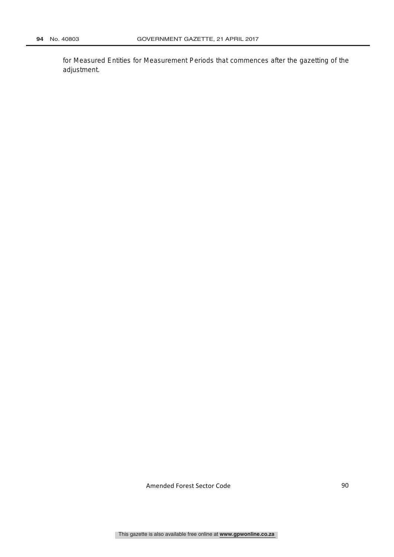for Measured Entities for Measurement Periods that commences after the gazetting of the adjustment.

Amended Forest Sector Code **Base 1988** 90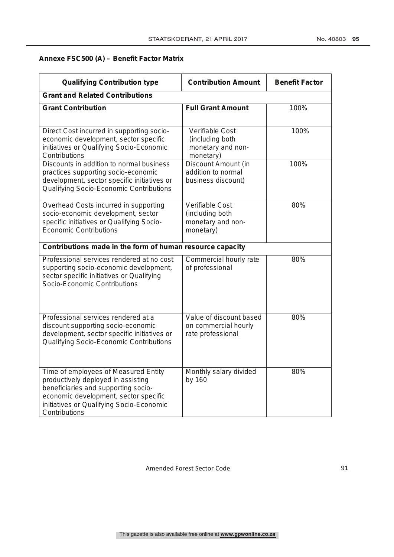# **Annexe FSC500 (A) – Benefit Factor Matrix**

| <b>Qualifying Contribution type</b>                                                                                                                                                                                     | <b>Contribution Amount</b>                                           | <b>Benefit Factor</b> |
|-------------------------------------------------------------------------------------------------------------------------------------------------------------------------------------------------------------------------|----------------------------------------------------------------------|-----------------------|
| <b>Grant and Related Contributions</b>                                                                                                                                                                                  |                                                                      |                       |
| <b>Grant Contribution</b>                                                                                                                                                                                               | <b>Full Grant Amount</b>                                             | 100%                  |
|                                                                                                                                                                                                                         |                                                                      |                       |
| Direct Cost incurred in supporting socio-<br>economic development, sector specific<br>initiatives or Qualifying Socio-Economic<br>Contributions                                                                         | Verifiable Cost<br>(including both<br>monetary and non-<br>monetary) | 100%                  |
| Discounts in addition to normal business<br>practices supporting socio-economic<br>development, sector specific initiatives or<br>Qualifying Socio-Economic Contributions                                               | Discount Amount (in<br>addition to normal<br>business discount)      | 100%                  |
| Overhead Costs incurred in supporting<br>socio-economic development, sector<br>specific initiatives or Qualifying Socio-<br><b>Economic Contributions</b>                                                               | Verifiable Cost<br>(including both<br>monetary and non-<br>monetary) | 80%                   |
| Contributions made in the form of human resource capacity                                                                                                                                                               |                                                                      |                       |
| Professional services rendered at no cost<br>supporting socio-economic development,<br>sector specific initiatives or Qualifying<br>Socio-Economic Contributions                                                        | Commercial hourly rate<br>of professional                            | 80%                   |
| Professional services rendered at a<br>discount supporting socio-economic<br>development, sector specific initiatives or<br>Qualifying Socio-Economic Contributions                                                     | Value of discount based<br>on commercial hourly<br>rate professional | 80%                   |
| Time of employees of Measured Entity<br>productively deployed in assisting<br>beneficiaries and supporting socio-<br>economic development, sector specific<br>initiatives or Qualifying Socio-Economic<br>Contributions | Monthly salary divided<br>by 160                                     | 80%                   |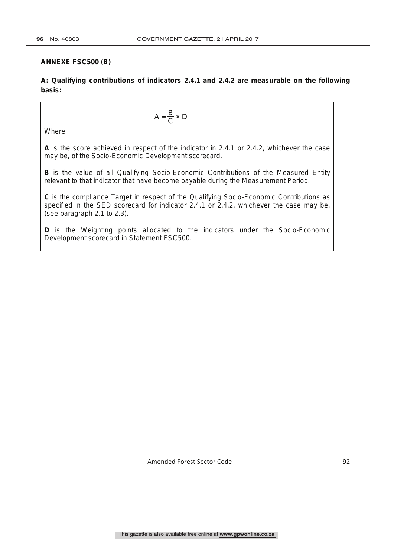### **ANNEXE FSC500 (B)**

## **A: Qualifying contributions of indicators 2.4.1 and 2.4.2 are measurable on the following basis:**

 $A = \frac{B}{C} \times D$ 

**Where** 

**A** is the score achieved in respect of the indicator in 2.4.1 or 2.4.2, whichever the case may be, of the Socio-Economic Development scorecard.

**B** is the value of all Qualifying Socio-Economic Contributions of the Measured Entity relevant to that indicator that have become payable during the Measurement Period.

**C** is the compliance Target in respect of the Qualifying Socio-Economic Contributions as specified in the SED scorecard for indicator 2.4.1 or 2.4.2, whichever the case may be, (see paragraph 2.1 to 2.3).

**D** is the Weighting points allocated to the indicators under the Socio-Economic Development scorecard in Statement FSC500.

Amended Forest Sector Code **Communist Sector** Code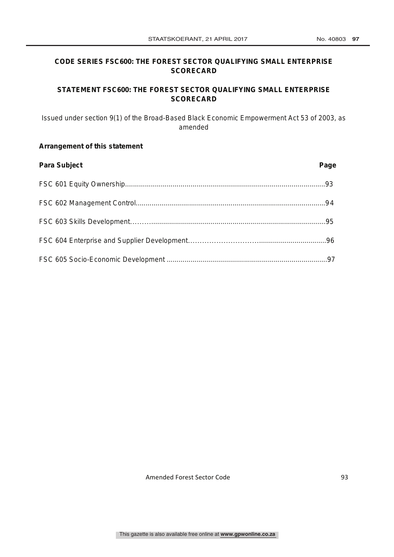## **CODE SERIES FSC600: THE FOREST SECTOR QUALIFYING SMALL ENTERPRISE SCORECARD**

## **STATEMENT FSC600: THE FOREST SECTOR QUALIFYING SMALL ENTERPRISE SCORECARD**

Issued under section 9(1) of the Broad-Based Black Economic Empowerment Act 53 of 2003, as amended

### **Arrangement of this statement**

| <b>Para Subject</b> | Page |
|---------------------|------|
|                     |      |
|                     |      |
|                     |      |
|                     |      |
|                     |      |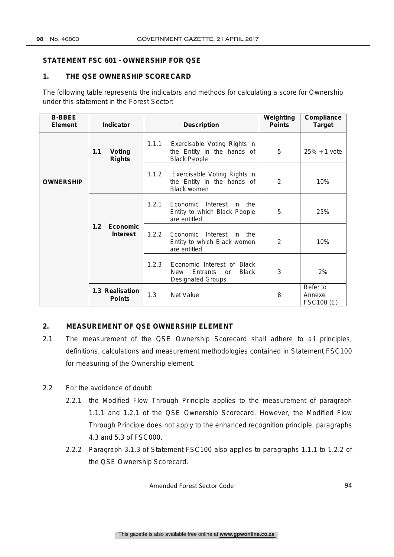### **STATEMENT FSC 601 - OWNERSHIP FOR QSE**

#### **1. THE QSE OWNERSHIP SCORECARD**

The following table represents the indicators and methods for calculating a score for Ownership under this statement in the Forest Sector:

| <b>B-BBEE</b><br><b>Element</b> |     | <b>Indicator</b>                 |                                                                                 | <b>Description</b>                                                                       | Weighting<br><b>Points</b> | <b>Compliance</b><br><b>Target</b>      |
|---------------------------------|-----|----------------------------------|---------------------------------------------------------------------------------|------------------------------------------------------------------------------------------|----------------------------|-----------------------------------------|
|                                 | 1.1 | <b>Voting</b><br><b>Rights</b>   | 1.1.1                                                                           | Exercisable Voting Rights in<br>the Entity in the hands of<br><b>Black People</b>        | 5                          | $25% + 1$ vote                          |
| <b>OWNERSHIP</b>                |     |                                  | 1.1.2                                                                           | Exercisable Voting Rights in<br>the Entity in the hands of<br><b>Black women</b>         | 2                          | 10%                                     |
|                                 |     | 1.2.1                            | Economic<br>Interest<br>in the<br>Entity to which Black People<br>are entitled. | 5                                                                                        | 25%                        |                                         |
|                                 | 1.2 | Economic<br><b>Interest</b>      | 1.2.2                                                                           | Economic<br>Interest in the<br>Entity to which Black women<br>are entitled.              | 2                          | 10%                                     |
|                                 |     |                                  | 1.2.3                                                                           | Economic Interest of Black<br>Entrants<br>Black<br>New<br>or<br><b>Designated Groups</b> | 3                          | 2%                                      |
|                                 |     | 1.3 Realisation<br><b>Points</b> | 1.3                                                                             | Net Value                                                                                | 8                          | Refer to<br>Annexe<br><b>FSC100 (E)</b> |

### **2. MEASUREMENT OF QSE OWNERSHIP ELEMENT**

- 2.1 The measurement of the QSE Ownership Scorecard shall adhere to all principles, definitions, calculations and measurement methodologies contained in Statement FSC100 for measuring of the Ownership element.
- 2.2 For the avoidance of doubt:
	- 2.2.1 the Modified Flow Through Principle applies to the measurement of paragraph 1.1.1 and 1.2.1 of the QSE Ownership Scorecard. However, the Modified Flow Through Principle does not apply to the enhanced recognition principle, paragraphs 4.3 and 5.3 of FSC000.
	- 2.2.2 Paragraph 3.1.3 of Statement FSC100 also applies to paragraphs 1.1.1 to 1.2.2 of the QSE Ownership Scorecard.

Amended Forest Sector Code and the sector of the SA and the SA and the SA and the SA and the SA and the SA and the SA and the SA and the SA and the SA and the SA and the SA and the SA and the SA and the SA and the SA and t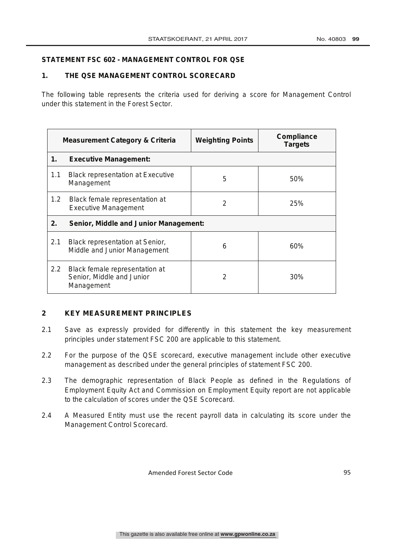## **STATEMENT FSC 602 - MANAGEMENT CONTROL FOR QSE**

### **1. THE QSE MANAGEMENT CONTROL SCORECARD**

The following table represents the criteria used for deriving a score for Management Control under this statement in the Forest Sector.

|               | <b>Measurement Category &amp; Criteria</b>                                | <b>Weighting Points</b> | <b>Compliance</b><br><b>Targets</b> |
|---------------|---------------------------------------------------------------------------|-------------------------|-------------------------------------|
| 1.            | <b>Executive Management:</b>                                              |                         |                                     |
| 1.1           | <b>Black representation at Executive</b><br>Management                    | 5                       | 50%                                 |
| 1.2           | Black female representation at<br><b>Executive Management</b>             | 2                       | <b>25%</b>                          |
| 2.            | <b>Senior, Middle and Junior Management:</b>                              |                         |                                     |
| 2.1           | Black representation at Senior,<br>Middle and Junior Management           | 6                       | 60%                                 |
| $2.2^{\circ}$ | Black female representation at<br>Senior, Middle and Junior<br>Management | 2                       | 30%                                 |

### **2 KEY MEASUREMENT PRINCIPLES**

- 2.1 Save as expressly provided for differently in this statement the key measurement principles under statement FSC 200 are applicable to this statement.
- 2.2 For the purpose of the QSE scorecard, executive management include other executive management as described under the general principles of statement FSC 200.
- 2.3 The demographic representation of Black People as defined in the Regulations of Employment Equity Act and Commission on Employment Equity report are not applicable to the calculation of scores under the QSE Scorecard.
- 2.4 A Measured Entity must use the recent payroll data in calculating its score under the Management Control Scorecard.

Amended Forest Sector Code 86 and 1995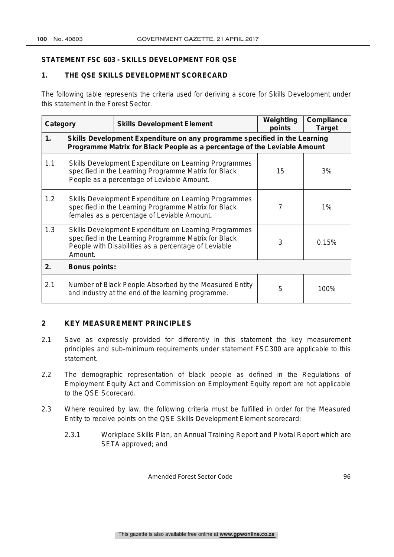### **STATEMENT FSC 603 - SKILLS DEVELOPMENT FOR QSE**

### **1. THE QSE SKILLS DEVELOPMENT SCORECARD**

The following table represents the criteria used for deriving a score for Skills Development under this statement in the Forest Sector.

| Category |                      | <b>Skills Development Element</b>                                                                                                                                     | Weighting<br>points | <b>Compliance</b><br><b>Target</b> |
|----------|----------------------|-----------------------------------------------------------------------------------------------------------------------------------------------------------------------|---------------------|------------------------------------|
| 1.       |                      | Skills Development Expenditure on any programme specified in the Learning<br>Programme Matrix for Black People as a percentage of the Leviable Amount                 |                     |                                    |
| 1.1      |                      | Skills Development Expenditure on Learning Programmes<br>specified in the Learning Programme Matrix for Black<br>People as a percentage of Leviable Amount.           | 15                  | 3%                                 |
| 1.2      |                      | Skills Development Expenditure on Learning Programmes<br>specified in the Learning Programme Matrix for Black<br>females as a percentage of Leviable Amount.          | 7                   | 1%                                 |
| 1.3      | Amount.              | Skills Development Expenditure on Learning Programmes<br>specified in the Learning Programme Matrix for Black<br>People with Disabilities as a percentage of Leviable | 3                   | 0.15%                              |
| 2.       | <b>Bonus points:</b> |                                                                                                                                                                       |                     |                                    |
| 2.1      |                      | Number of Black People Absorbed by the Measured Entity<br>and industry at the end of the learning programme.                                                          | 5                   | 100%                               |

### **2 KEY MEASUREMENT PRINCIPLES**

- 2.1 Save as expressly provided for differently in this statement the key measurement principles and sub-minimum requirements under statement FSC300 are applicable to this statement.
- 2.2 The demographic representation of black people as defined in the Regulations of Employment Equity Act and Commission on Employment Equity report are not applicable to the QSE Scorecard.
- 2.3 Where required by law, the following criteria must be fulfilled in order for the Measured Entity to receive points on the QSE Skills Development Element scorecard:
	- 2.3.1 Workplace Skills Plan, an Annual Training Report and Pivotal Report which are SETA approved; and

Amended Forest Sector Code 86 and 196 and 196 and 196 and 196 and 197 and 197 and 198 and 198 and 198 and 198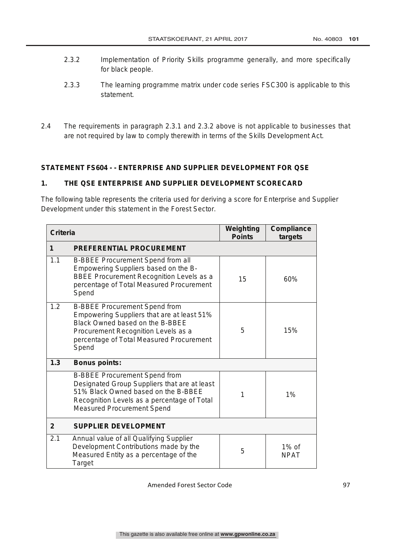- 2.3.2 Implementation of Priority Skills programme generally, and more specifically for black people.
- 2.3.3 The learning programme matrix under code series FSC300 is applicable to this statement.
- 2.4 The requirements in paragraph 2.3.1 and 2.3.2 above is not applicable to businesses that are not required by law to comply therewith in terms of the Skills Development Act.

### **STATEMENT FS604 - - ENTERPRISE AND SUPPLIER DEVELOPMENT FOR QSE**

### **1. THE QSE ENTERPRISE AND SUPPLIER DEVELOPMENT SCORECARD**

The following table represents the criteria used for deriving a score for Enterprise and Supplier Development under this statement in the Forest Sector.

| <b>Criteria</b> |                                                                                                                                                                                                                   | Weighting<br><b>Points</b> | <b>Compliance</b><br>targets |
|-----------------|-------------------------------------------------------------------------------------------------------------------------------------------------------------------------------------------------------------------|----------------------------|------------------------------|
| 1               | <b>PREFERENTIAL PROCUREMENT</b>                                                                                                                                                                                   |                            |                              |
| 1.1             | <b>B-BBEE Procurement Spend from all</b><br>Empowering Suppliers based on the B-<br>BBEE Procurement Recognition Levels as a<br>percentage of Total Measured Procurement<br>Spend                                 | 15                         | 60%                          |
| 1.2             | <b>B-BBEE Procurement Spend from</b><br>Empowering Suppliers that are at least 51%<br>Black Owned based on the B-BBEE<br>Procurement Recognition Levels as a<br>percentage of Total Measured Procurement<br>Spend | 5                          | 15%                          |
| 1.3             | <b>Bonus points:</b>                                                                                                                                                                                              |                            |                              |
|                 | <b>B-BBEE Procurement Spend from</b><br>Designated Group Suppliers that are at least<br>51% Black Owned based on the B-BBEE<br>Recognition Levels as a percentage of Total<br><b>Measured Procurement Spend</b>   | 1                          | 1%                           |
| $\mathbf{2}$    | <b>SUPPLIER DEVELOPMENT</b>                                                                                                                                                                                       |                            |                              |
| 2.1             | Annual value of all Qualifying Supplier<br>Development Contributions made by the<br>Measured Entity as a percentage of the<br>Target                                                                              | 5                          | 1% of<br><b>NPAT</b>         |

Amended Forest Sector Code **Base 1988** 87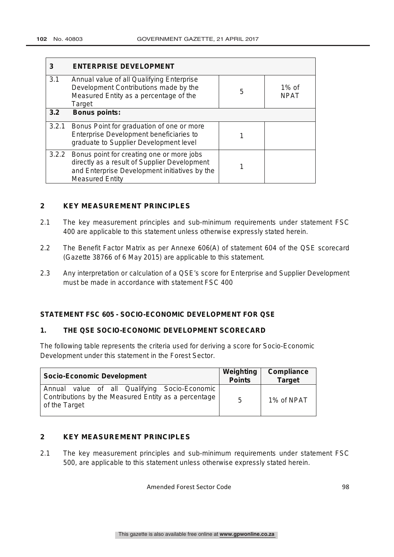| 3     | <b>ENTERPRISE DEVELOPMENT</b>                                                                                                                                        |   |                         |
|-------|----------------------------------------------------------------------------------------------------------------------------------------------------------------------|---|-------------------------|
| 3.1   | Annual value of all Qualifying Enterprise<br>Development Contributions made by the<br>Measured Entity as a percentage of the<br>Target                               | 5 | $1\%$ of<br><b>NPAT</b> |
| 3.2   | <b>Bonus points:</b>                                                                                                                                                 |   |                         |
| 3.2.1 | Bonus Point for graduation of one or more<br>Enterprise Development beneficiaries to<br>graduate to Supplier Development level                                       |   |                         |
| 3.2.2 | Bonus point for creating one or more jobs<br>directly as a result of Supplier Development<br>and Enterprise Development initiatives by the<br><b>Measured Entity</b> |   |                         |

### **2 KEY MEASUREMENT PRINCIPLES**

- 2.1 The key measurement principles and sub-minimum requirements under statement FSC 400 are applicable to this statement unless otherwise expressly stated herein.
- 2.2 The Benefit Factor Matrix as per Annexe 606(A) of statement 604 of the QSE scorecard (Gazette 38766 of 6 May 2015) are applicable to this statement.
- 2.3 Any interpretation or calculation of a QSE's score for Enterprise and Supplier Development must be made in accordance with statement FSC 400

### **STATEMENT FSC 605 - SOCIO-ECONOMIC DEVELOPMENT FOR QSE**

### **1. THE QSE SOCIO-ECONOMIC DEVELOPMENT SCORECARD**

The following table represents the criteria used for deriving a score for Socio-Economic Development under this statement in the Forest Sector.

| <b>Socio-Economic Development</b>                                                                                      | Weighting<br><b>Points</b> | <b>Compliance</b><br><b>Target</b> |
|------------------------------------------------------------------------------------------------------------------------|----------------------------|------------------------------------|
| Annual value of all Qualifying Socio-Economic<br>Contributions by the Measured Entity as a percentage<br>of the Target | 5                          | 1% of NPAT                         |

## **2 KEY MEASUREMENT PRINCIPLES**

2.1 The key measurement principles and sub-minimum requirements under statement FSC 500, are applicable to this statement unless otherwise expressly stated herein.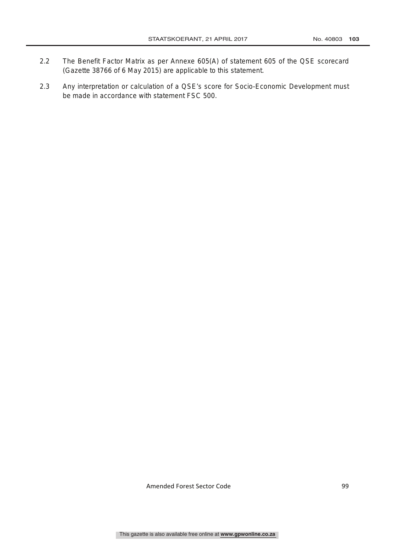- 2.2 The Benefit Factor Matrix as per Annexe 605(A) of statement 605 of the QSE scorecard (Gazette 38766 of 6 May 2015) are applicable to this statement.
- 2.3 Any interpretation or calculation of a QSE's score for Socio-Economic Development must be made in accordance with statement FSC 500.

Amended Forest Sector Code and the sector of the sector of the sector Code and the sector of the sector of the sector  $99$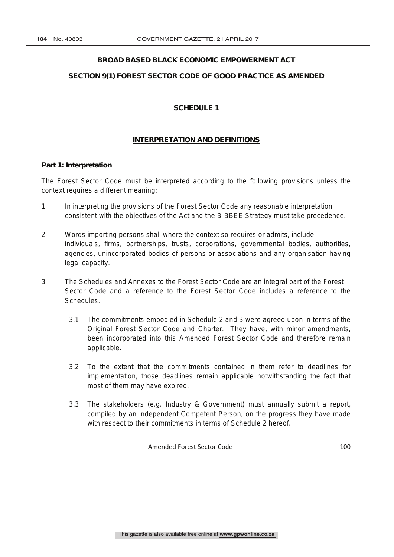#### **BROAD BASED BLACK ECONOMIC EMPOWERMENT ACT**

#### **SECTION 9(1) FOREST SECTOR CODE OF GOOD PRACTICE AS AMENDED**

#### **SCHEDULE 1**

#### **INTERPRETATION AND DEFINITIONS**

#### **Part 1: Interpretation**

The Forest Sector Code must be interpreted according to the following provisions unless the context requires a different meaning:

- 1 In interpreting the provisions of the Forest Sector Code any reasonable interpretation consistent with the objectives of the Act and the B-BBEE Strategy must take precedence.
- 2 Words importing persons shall where the context so requires or admits, include individuals, firms, partnerships, trusts, corporations, governmental bodies, authorities, agencies, unincorporated bodies of persons or associations and any organisation having legal capacity.
- 3 The Schedules and Annexes to the Forest Sector Code are an integral part of the Forest Sector Code and a reference to the Forest Sector Code includes a reference to the Schedules.
	- 3.1 The commitments embodied in Schedule 2 and 3 were agreed upon in terms of the Original Forest Sector Code and Charter. They have, with minor amendments, been incorporated into this Amended Forest Sector Code and therefore remain applicable.
	- 3.2 To the extent that the commitments contained in them refer to deadlines for implementation, those deadlines remain applicable notwithstanding the fact that most of them may have expired.
	- 3.3 The stakeholders (e.g. Industry & Government) must annually submit a report, compiled by an independent Competent Person, on the progress they have made with respect to their commitments in terms of Schedule 2 hereof.

Amended Forest Sector Code **Sector** Code **100**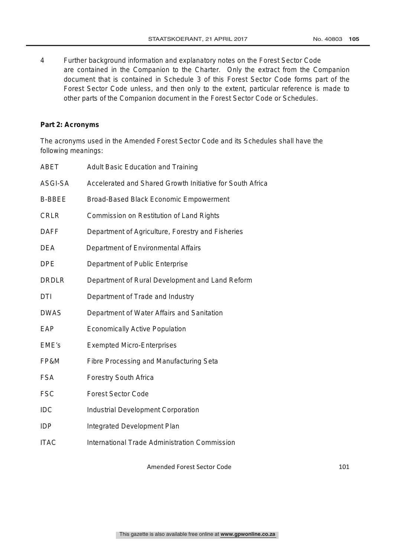4 Further background information and explanatory notes on the Forest Sector Code are contained in the Companion to the Charter. Only the extract from the Companion document that is contained in Schedule 3 of this Forest Sector Code forms part of the Forest Sector Code unless, and then only to the extent, particular reference is made to other parts of the Companion document in the Forest Sector Code or Schedules.

### **Part 2: Acronyms**

The acronyms used in the Amended Forest Sector Code and its Schedules shall have the following meanings:

| <b>ABET</b>   | <b>Adult Basic Education and Training</b>                 |
|---------------|-----------------------------------------------------------|
| ASGI-SA       | Accelerated and Shared Growth Initiative for South Africa |
| <b>B-BBEE</b> | <b>Broad-Based Black Economic Empowerment</b>             |
| <b>CRLR</b>   | Commission on Restitution of Land Rights                  |
| <b>DAFF</b>   | Department of Agriculture, Forestry and Fisheries         |
| <b>DEA</b>    | Department of Environmental Affairs                       |
| <b>DPE</b>    | Department of Public Enterprise                           |
| <b>DRDLR</b>  | Department of Rural Development and Land Reform           |
| DTI           | Department of Trade and Industry                          |
| <b>DWAS</b>   | Department of Water Affairs and Sanitation                |
| EAP           | <b>Economically Active Population</b>                     |
| EME's         | <b>Exempted Micro-Enterprises</b>                         |
| FP&M          | <b>Fibre Processing and Manufacturing Seta</b>            |
| <b>FSA</b>    | <b>Forestry South Africa</b>                              |
| <b>FSC</b>    | <b>Forest Sector Code</b>                                 |
| <b>IDC</b>    | <b>Industrial Development Corporation</b>                 |
| <b>IDP</b>    | Integrated Development Plan                               |
| <b>ITAC</b>   | <b>International Trade Administration Commission</b>      |
|               |                                                           |

Amended Forest Sector Code and the sector of the sector of the sector Code and the sector of the sector of the sector  $101$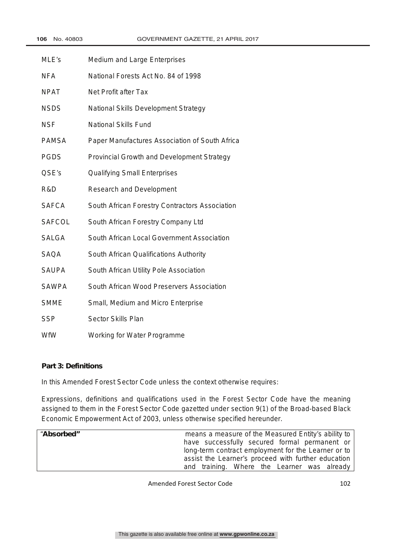| MLE's         | <b>Medium and Large Enterprises</b>               |  |
|---------------|---------------------------------------------------|--|
| <b>NFA</b>    | National Forests Act No. 84 of 1998               |  |
| <b>NPAT</b>   | <b>Net Profit after Tax</b>                       |  |
| <b>NSDS</b>   | <b>National Skills Development Strategy</b>       |  |
| <b>NSF</b>    | <b>National Skills Fund</b>                       |  |
| <b>PAMSA</b>  | Paper Manufactures Association of South Africa    |  |
| <b>PGDS</b>   | <b>Provincial Growth and Development Strategy</b> |  |
| QSE's         | <b>Qualifying Small Enterprises</b>               |  |
| R&D           | <b>Research and Development</b>                   |  |
| <b>SAFCA</b>  | South African Forestry Contractors Association    |  |
| <b>SAFCOL</b> | South African Forestry Company Ltd                |  |
| <b>SALGA</b>  | South African Local Government Association        |  |
| <b>SAQA</b>   | South African Qualifications Authority            |  |
| <b>SAUPA</b>  | South African Utility Pole Association            |  |
| <b>SAWPA</b>  | South African Wood Preservers Association         |  |
| <b>SMME</b>   | Small, Medium and Micro Enterprise                |  |
| <b>SSP</b>    | <b>Sector Skills Plan</b>                         |  |
| WfW           | <b>Working for Water Programme</b>                |  |

#### **Part 3: Definitions**

In this Amended Forest Sector Code unless the context otherwise requires:

Expressions, definitions and qualifications used in the Forest Sector Code have the meaning assigned to them in the Forest Sector Code gazetted under section 9(1) of the Broad-based Black Economic Empowerment Act of 2003, unless otherwise specified hereunder.

| "Absorbed" | means a measure of the Measured Entity's ability to |
|------------|-----------------------------------------------------|
|            | have successfully secured formal permanent or       |
|            | long-term contract employment for the Learner or to |
|            | assist the Learner's proceed with further education |
|            | and training. Where the Learner was already         |

Amended Forest Sector Code **Communist Communist Communist Communist Communist Communist Communist Communist Communist Communist Communist Communist Communist Communist Communist Communist Communist Communist Communist Comm**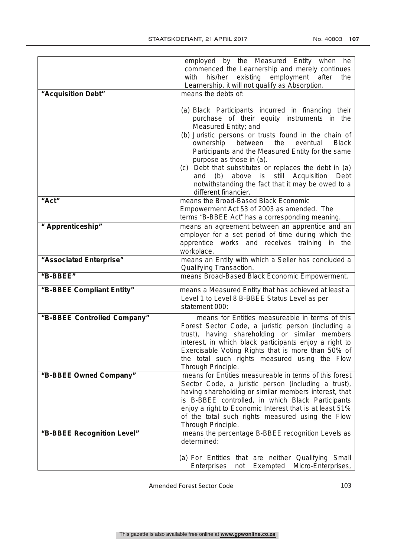|                             | employed by the Measured Entity when<br>he<br>commenced the Learnership and merely continues                                                                                                                                                                                                                                                                                                                                                                                                                                     |
|-----------------------------|----------------------------------------------------------------------------------------------------------------------------------------------------------------------------------------------------------------------------------------------------------------------------------------------------------------------------------------------------------------------------------------------------------------------------------------------------------------------------------------------------------------------------------|
|                             | existing employment<br>his/her<br>after<br>with<br>the<br>Learnership, it will not qualify as Absorption.                                                                                                                                                                                                                                                                                                                                                                                                                        |
| "Acquisition Debt"          | means the debts of:                                                                                                                                                                                                                                                                                                                                                                                                                                                                                                              |
|                             | (a) Black Participants incurred in financing their<br>purchase of their equity instruments in the<br>Measured Entity; and<br>(b) Juristic persons or trusts found in the chain of<br>between<br><b>Black</b><br>ownership<br>the<br>eventual<br>Participants and the Measured Entity for the same<br>purpose as those in (a).<br>(c) Debt that substitutes or replaces the debt in (a)<br>above<br>is<br>still<br>Acquisition<br>(b)<br>Debt<br>and<br>notwithstanding the fact that it may be owed to a<br>different financier. |
| "Act"                       | means the Broad-Based Black Economic<br>Empowerment Act 53 of 2003 as amended. The<br>terms "B-BBEE Act" has a corresponding meaning.                                                                                                                                                                                                                                                                                                                                                                                            |
| " Apprenticeship"           | means an agreement between an apprentice and an<br>employer for a set period of time during which the<br>apprentice works and receives training in the<br>workplace.                                                                                                                                                                                                                                                                                                                                                             |
| "Associated Enterprise"     | means an Entity with which a Seller has concluded a<br>Qualifying Transaction.                                                                                                                                                                                                                                                                                                                                                                                                                                                   |
| "B-BBEE"                    | means Broad-Based Black Economic Empowerment.                                                                                                                                                                                                                                                                                                                                                                                                                                                                                    |
| "B-BBEE Compliant Entity"   | means a Measured Entity that has achieved at least a<br>Level 1 to Level 8 B-BBEE Status Level as per<br>statement 000;                                                                                                                                                                                                                                                                                                                                                                                                          |
| "B-BBEE Controlled Company" | means for Entities measureable in terms of this<br>Forest Sector Code, a juristic person (including a<br>trust), having shareholding or similar members<br>interest, in which black participants enjoy a right to<br>Exercisable Voting Rights that is more than 50% of<br>the total such rights measured using the Flow<br>Through Principle.                                                                                                                                                                                   |
| "B-BBEE Owned Company"      | means for Entities measureable in terms of this forest<br>Sector Code, a juristic person (including a trust),<br>having shareholding or similar members interest, that<br>is B-BBEE controlled, in which Black Participants<br>enjoy a right to Economic Interest that is at least 51%<br>of the total such rights measured using the Flow<br>Through Principle.                                                                                                                                                                 |
| "B-BBEE Recognition Level"  | means the percentage B-BBEE recognition Levels as<br>determined:<br>(a) For Entities that are neither Qualifying Small                                                                                                                                                                                                                                                                                                                                                                                                           |
|                             | Enterprises<br>Exempted<br>Micro-Enterprises,<br>not                                                                                                                                                                                                                                                                                                                                                                                                                                                                             |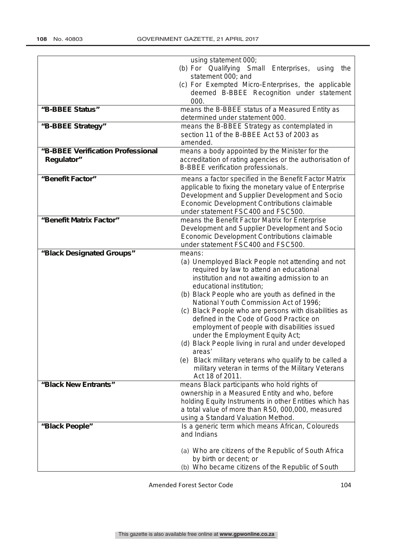|                                   | using statement 000;                                     |
|-----------------------------------|----------------------------------------------------------|
|                                   | (b) For Qualifying Small Enterprises, using the          |
|                                   | statement 000; and                                       |
|                                   | (c) For Exempted Micro-Enterprises, the applicable       |
|                                   | deemed B-BBEE Recognition under statement                |
|                                   | 000.                                                     |
| "B-BBEE Status"                   | means the B-BBEE status of a Measured Entity as          |
|                                   | determined under statement 000.                          |
| "B-BBEE Strategy"                 | means the B-BBEE Strategy as contemplated in             |
|                                   | section 11 of the B-BBEE Act 53 of 2003 as               |
|                                   | amended.                                                 |
| "B-BBEE Verification Professional | means a body appointed by the Minister for the           |
| Regulator"                        | accreditation of rating agencies or the authorisation of |
|                                   | <b>B-BBEE</b> verification professionals.                |
| "Benefit Factor"                  | means a factor specified in the Benefit Factor Matrix    |
|                                   | applicable to fixing the monetary value of Enterprise    |
|                                   | Development and Supplier Development and Socio           |
|                                   | Economic Development Contributions claimable             |
|                                   | under statement FSC400 and FSC500.                       |
| "Benefit Matrix Factor"           | means the Benefit Factor Matrix for Enterprise           |
|                                   | Development and Supplier Development and Socio           |
|                                   | Economic Development Contributions claimable             |
|                                   | under statement FSC400 and FSC500.                       |
| "Black Designated Groups"         | means:                                                   |
|                                   | (a) Unemployed Black People not attending and not        |
|                                   | required by law to attend an educational                 |
|                                   | institution and not awaiting admission to an             |
|                                   | educational institution;                                 |
|                                   | (b) Black People who are youth as defined in the         |
|                                   | National Youth Commission Act of 1996;                   |
|                                   | (c) Black People who are persons with disabilities as    |
|                                   | defined in the Code of Good Practice on                  |
|                                   | employment of people with disabilities issued            |
|                                   | under the Employment Equity Act;                         |
|                                   | (d) Black People living in rural and under developed     |
|                                   | areas'                                                   |
|                                   | (e) Black military veterans who qualify to be called a   |
|                                   | military veteran in terms of the Military Veterans       |
|                                   | Act 18 of 2011.                                          |
| "Black New Entrants"              | means Black participants who hold rights of              |
|                                   | ownership in a Measured Entity and who, before           |
|                                   | holding Equity Instruments in other Entities which has   |
|                                   | a total value of more than R50, 000,000, measured        |
|                                   | using a Standard Valuation Method.                       |
| "Black People"                    | Is a generic term which means African, Coloureds         |
|                                   | and Indians                                              |
|                                   | (a) Who are citizens of the Republic of South Africa     |
|                                   | by birth or decent; or                                   |
|                                   | (b) Who became citizens of the Republic of South         |
|                                   |                                                          |

Amended Forest Sector Code and the sector of the sector of the sector of the sector of the sector of the sector  $104$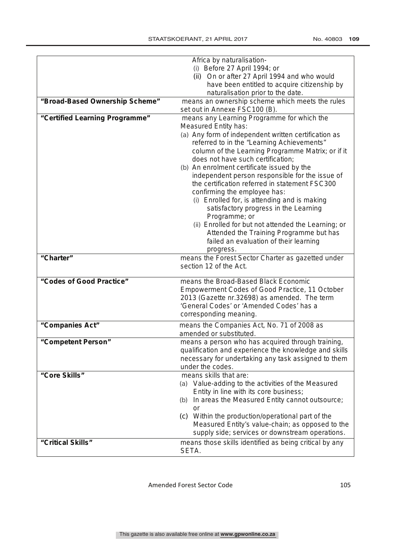|                                | Africa by naturalisation-                                                                    |
|--------------------------------|----------------------------------------------------------------------------------------------|
|                                | $(i)$ Before 27 April 1994; or                                                               |
|                                | (ii) On or after 27 April 1994 and who would                                                 |
|                                | have been entitled to acquire citizenship by                                                 |
|                                | naturalisation prior to the date.                                                            |
| "Broad-Based Ownership Scheme" | means an ownership scheme which meets the rules                                              |
|                                | set out in Annexe FSC100 (B).                                                                |
| "Certified Learning Programme" | means any Learning Programme for which the                                                   |
|                                | <b>Measured Entity has:</b>                                                                  |
|                                | (a) Any form of independent written certification as                                         |
|                                | referred to in the "Learning Achievements"                                                   |
|                                | column of the Learning Programme Matrix; or if it                                            |
|                                | does not have such certification;                                                            |
|                                | (b) An enrolment certificate issued by the                                                   |
|                                | independent person responsible for the issue of                                              |
|                                | the certification referred in statement FSC300                                               |
|                                | confirming the employee has:                                                                 |
|                                | (i) Enrolled for, is attending and is making                                                 |
|                                | satisfactory progress in the Learning                                                        |
|                                | Programme; or                                                                                |
|                                | (ii) Enrolled for but not attended the Learning; or                                          |
|                                | Attended the Training Programme but has                                                      |
|                                | failed an evaluation of their learning                                                       |
|                                | progress.                                                                                    |
|                                |                                                                                              |
| "Charter"                      | means the Forest Sector Charter as gazetted under                                            |
|                                | section 12 of the Act.                                                                       |
|                                |                                                                                              |
| "Codes of Good Practice"       | means the Broad-Based Black Economic                                                         |
|                                | <b>Empowerment Codes of Good Practice, 11 October</b>                                        |
|                                | 2013 (Gazette nr.32698) as amended. The term<br>'General Codes' or 'Amended Codes' has a     |
|                                |                                                                                              |
|                                | corresponding meaning.                                                                       |
| "Companies Act"                | means the Companies Act, No. 71 of 2008 as                                                   |
|                                | amended or substituted.                                                                      |
| "Competent Person"             | means a person who has acquired through training,                                            |
|                                | qualification and experience the knowledge and skills                                        |
|                                | necessary for undertaking any task assigned to them<br>under the codes.                      |
| "Core Skills"                  | means skills that are:                                                                       |
|                                |                                                                                              |
|                                | (a) Value-adding to the activities of the Measured<br>Entity in line with its core business; |
|                                | (b) In areas the Measured Entity cannot outsource;                                           |
|                                | or                                                                                           |
|                                | (c) Within the production/operational part of the                                            |
|                                | Measured Entity's value-chain; as opposed to the                                             |
|                                | supply side; services or downstream operations.                                              |
| "Critical Skills"              | means those skills identified as being critical by any                                       |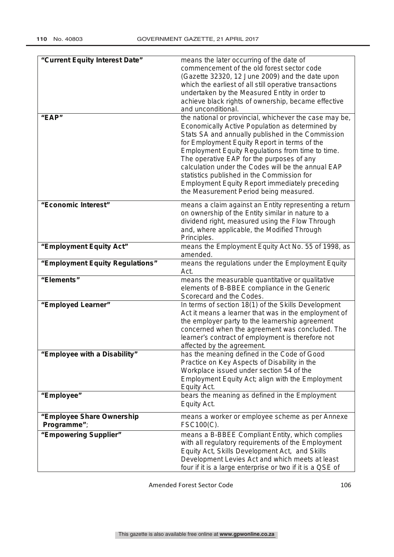| "Current Equity Interest Date"           | means the later occurring of the date of<br>commencement of the old forest sector code<br>(Gazette 32320, 12 June 2009) and the date upon<br>which the earliest of all still operative transactions<br>undertaken by the Measured Entity in order to<br>achieve black rights of ownership, became effective<br>and unconditional.                                                                                                                                                                                      |
|------------------------------------------|------------------------------------------------------------------------------------------------------------------------------------------------------------------------------------------------------------------------------------------------------------------------------------------------------------------------------------------------------------------------------------------------------------------------------------------------------------------------------------------------------------------------|
| "EAP"                                    | the national or provincial, whichever the case may be,<br>Economically Active Population as determined by<br>Stats SA and annually published in the Commission<br>for Employment Equity Report in terms of the<br>Employment Equity Regulations from time to time.<br>The operative EAP for the purposes of any<br>calculation under the Codes will be the annual EAP<br>statistics published in the Commission for<br><b>Employment Equity Report immediately preceding</b><br>the Measurement Period being measured. |
| "Economic Interest"                      | means a claim against an Entity representing a return<br>on ownership of the Entity similar in nature to a<br>dividend right, measured using the Flow Through<br>and, where applicable, the Modified Through<br>Principles.                                                                                                                                                                                                                                                                                            |
| "Employment Equity Act"                  | means the Employment Equity Act No. 55 of 1998, as<br>amended.                                                                                                                                                                                                                                                                                                                                                                                                                                                         |
| "Employment Equity Regulations"          | means the regulations under the Employment Equity<br>Act.                                                                                                                                                                                                                                                                                                                                                                                                                                                              |
| "Elements"                               | means the measurable quantitative or qualitative<br>elements of B-BBEE compliance in the Generic<br>Scorecard and the Codes.                                                                                                                                                                                                                                                                                                                                                                                           |
| "Employed Learner"                       | In terms of section 18(1) of the Skills Development<br>Act it means a learner that was in the employment of<br>the employer party to the learnership agreement<br>concerned when the agreement was concluded. The<br>learner's contract of employment is therefore not<br>affected by the agreement.                                                                                                                                                                                                                   |
| "Employee with a Disability"             | has the meaning defined in the Code of Good<br>Practice on Key Aspects of Disability in the<br>Workplace issued under section 54 of the<br>Employment Equity Act; align with the Employment<br>Equity Act.                                                                                                                                                                                                                                                                                                             |
| "Employee"                               | bears the meaning as defined in the Employment<br>Equity Act.                                                                                                                                                                                                                                                                                                                                                                                                                                                          |
| "Employee Share Ownership<br>Programme"; | means a worker or employee scheme as per Annexe<br>FSC100(C).                                                                                                                                                                                                                                                                                                                                                                                                                                                          |
| "Empowering Supplier"                    | means a B-BBEE Compliant Entity, which complies<br>with all regulatory requirements of the Employment<br>Equity Act, Skills Development Act, and Skills<br>Development Levies Act and which meets at least<br>four if it is a large enterprise or two if it is a QSE of                                                                                                                                                                                                                                                |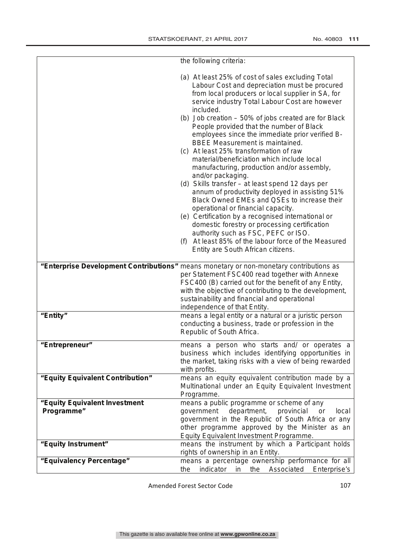|                                             | the following criteria:                                                                                                                                                                                                                                                                              |
|---------------------------------------------|------------------------------------------------------------------------------------------------------------------------------------------------------------------------------------------------------------------------------------------------------------------------------------------------------|
|                                             | (a) At least 25% of cost of sales excluding Total<br>Labour Cost and depreciation must be procured<br>from local producers or local supplier in SA, for<br>service industry Total Labour Cost are however<br>included.                                                                               |
|                                             | (b) Job creation – 50% of jobs created are for Black<br>People provided that the number of Black<br>employees since the immediate prior verified B-<br><b>BBEE</b> Measurement is maintained.                                                                                                        |
|                                             | (c) At least 25% transformation of raw<br>material/beneficiation which include local<br>manufacturing, production and/or assembly,<br>and/or packaging.                                                                                                                                              |
|                                             | (d) Skills transfer - at least spend 12 days per<br>annum of productivity deployed in assisting 51%<br>Black Owned EMEs and QSEs to increase their<br>operational or financial capacity.                                                                                                             |
|                                             | (e) Certification by a recognised international or<br>domestic forestry or processing certification                                                                                                                                                                                                  |
|                                             | authority such as FSC, PEFC or ISO.<br>At least 85% of the labour force of the Measured<br>(f)<br>Entity are South African citizens.                                                                                                                                                                 |
| "Enterprise Development Contributions"      | means monetary or non-monetary contributions as<br>per Statement FSC400 read together with Annexe<br>FSC400 (B) carried out for the benefit of any Entity,<br>with the objective of contributing to the development,<br>sustainability and financial and operational<br>independence of that Entity. |
| "Entity"                                    | means a legal entity or a natural or a juristic person<br>conducting a business, trade or profession in the<br>Republic of South Africa.                                                                                                                                                             |
| "Entrepreneur"                              | means a person who starts and/ or operates a<br>business which includes identifying opportunities in<br>the market, taking risks with a view of being rewarded<br>with profits.                                                                                                                      |
| "Equity Equivalent Contribution"            | means an equity equivalent contribution made by a<br>Multinational under an Equity Equivalent Investment<br>Programme.                                                                                                                                                                               |
| "Equity Equivalent Investment<br>Programme" | means a public programme or scheme of any<br>department,<br>provincial<br>government<br>local<br>or<br>government in the Republic of South Africa or any<br>other programme approved by the Minister as an<br>Equity Equivalent Investment Programme.                                                |
| "Equity Instrument"                         | means the instrument by which a Participant holds<br>rights of ownership in an Entity.                                                                                                                                                                                                               |
| "Equivalency Percentage"                    | means a percentage ownership performance for all<br>indicator<br>in<br>the<br>Associated<br>Enterprise's<br>the                                                                                                                                                                                      |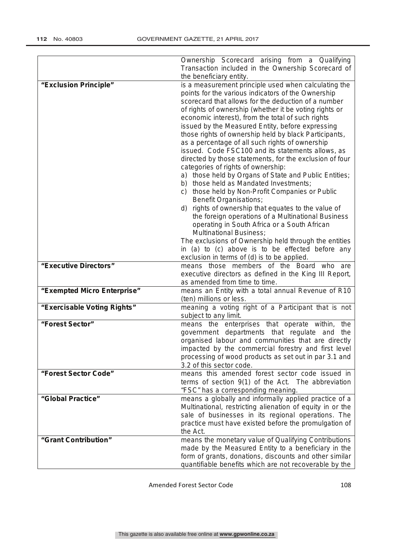|                             | Ownership Scorecard arising from a Qualifying<br>Transaction included in the Ownership Scorecard of                                                                                                                                                                                                                                                                                                                                                                                                                                                                                                                                                                                                                                                                                                                                                                                                                                                        |
|-----------------------------|------------------------------------------------------------------------------------------------------------------------------------------------------------------------------------------------------------------------------------------------------------------------------------------------------------------------------------------------------------------------------------------------------------------------------------------------------------------------------------------------------------------------------------------------------------------------------------------------------------------------------------------------------------------------------------------------------------------------------------------------------------------------------------------------------------------------------------------------------------------------------------------------------------------------------------------------------------|
|                             | the beneficiary entity.                                                                                                                                                                                                                                                                                                                                                                                                                                                                                                                                                                                                                                                                                                                                                                                                                                                                                                                                    |
| "Exclusion Principle"       | is a measurement principle used when calculating the<br>points for the various indicators of the Ownership<br>scorecard that allows for the deduction of a number<br>of rights of ownership (whether it be voting rights or<br>economic interest), from the total of such rights<br>issued by the Measured Entity, before expressing<br>those rights of ownership held by black Participants,<br>as a percentage of all such rights of ownership<br>issued. Code FSC100 and its statements allows, as<br>directed by those statements, for the exclusion of four<br>categories of rights of ownership:<br>a) those held by Organs of State and Public Entities;<br>b) those held as Mandated Investments;<br>c) those held by Non-Profit Companies or Public<br><b>Benefit Organisations;</b><br>d) rights of ownership that equates to the value of<br>the foreign operations of a Multinational Business<br>operating in South Africa or a South African |
|                             | <b>Multinational Business;</b><br>The exclusions of Ownership held through the entities<br>in (a) to (c) above is to be effected before any                                                                                                                                                                                                                                                                                                                                                                                                                                                                                                                                                                                                                                                                                                                                                                                                                |
|                             | exclusion in terms of (d) is to be applied.                                                                                                                                                                                                                                                                                                                                                                                                                                                                                                                                                                                                                                                                                                                                                                                                                                                                                                                |
| "Executive Directors"       | means those members of the Board<br>who are<br>executive directors as defined in the King III Report,<br>as amended from time to time.                                                                                                                                                                                                                                                                                                                                                                                                                                                                                                                                                                                                                                                                                                                                                                                                                     |
| "Exempted Micro Enterprise" | means an Entity with a total annual Revenue of R10<br>(ten) millions or less.                                                                                                                                                                                                                                                                                                                                                                                                                                                                                                                                                                                                                                                                                                                                                                                                                                                                              |
| "Exercisable Voting Rights" | meaning a voting right of a Participant that is not<br>subject to any limit.                                                                                                                                                                                                                                                                                                                                                                                                                                                                                                                                                                                                                                                                                                                                                                                                                                                                               |
| "Forest Sector"             | means the enterprises that operate within, the<br>government departments that regulate and<br>the<br>organised labour and communities that are directly<br>impacted by the commercial forestry and first level<br>processing of wood products as set out in par 3.1 and<br>3.2 of this sector code.                                                                                                                                                                                                                                                                                                                                                                                                                                                                                                                                                                                                                                                        |
| "Forest Sector Code"        | means this amended forest sector code issued in<br>terms of section 9(1) of the Act. The abbreviation<br>"FSC" has a corresponding meaning.                                                                                                                                                                                                                                                                                                                                                                                                                                                                                                                                                                                                                                                                                                                                                                                                                |
| "Global Practice"           | means a globally and informally applied practice of a<br>Multinational, restricting alienation of equity in or the<br>sale of businesses in its regional operations. The<br>practice must have existed before the promulgation of<br>the Act.                                                                                                                                                                                                                                                                                                                                                                                                                                                                                                                                                                                                                                                                                                              |
| "Grant Contribution"        | means the monetary value of Qualifying Contributions<br>made by the Measured Entity to a beneficiary in the<br>form of grants, donations, discounts and other similar<br>quantifiable benefits which are not recoverable by the                                                                                                                                                                                                                                                                                                                                                                                                                                                                                                                                                                                                                                                                                                                            |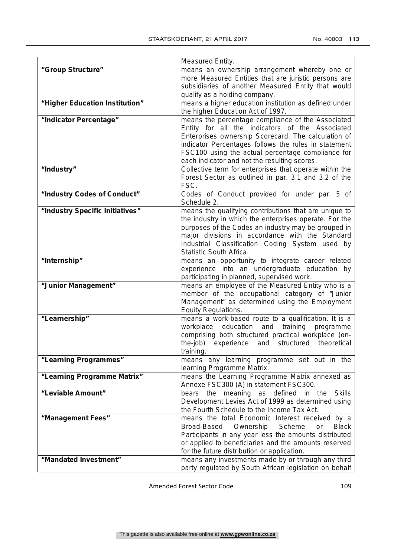|                                 | Measured Entity.                                                                                        |
|---------------------------------|---------------------------------------------------------------------------------------------------------|
| "Group Structure"               | means an ownership arrangement whereby one or                                                           |
|                                 | more Measured Entities that are juristic persons are                                                    |
|                                 | subsidiaries of another Measured Entity that would                                                      |
| "Higher Education Institution"  | qualify as a holding company.<br>means a higher education institution as defined under                  |
|                                 | the higher Education Act of 1997.                                                                       |
| "Indicator Percentage"          | means the percentage compliance of the Associated                                                       |
|                                 | Entity for all the indicators of the Associated                                                         |
|                                 | Enterprises ownership Scorecard. The calculation of                                                     |
|                                 | indicator Percentages follows the rules in statement                                                    |
|                                 | FSC100 using the actual percentage compliance for                                                       |
|                                 | each indicator and not the resulting scores.<br>Collective term for enterprises that operate within the |
| "Industry"                      | Forest Sector as outlined in par. 3.1 and 3.2 of the                                                    |
|                                 | FSC.                                                                                                    |
| "Industry Codes of Conduct"     | Codes of Conduct provided for under par. 5 of                                                           |
|                                 | Schedule 2.                                                                                             |
| "Industry Specific Initiatives" | means the qualifying contributions that are unique to                                                   |
|                                 | the industry in which the enterprises operate. For the                                                  |
|                                 | purposes of the Codes an industry may be grouped in                                                     |
|                                 | major divisions in accordance with the Standard<br>Industrial Classification Coding System used by      |
|                                 | Statistic South Africa.                                                                                 |
| "Internship"                    | means an opportunity to integrate career related                                                        |
|                                 | experience into an undergraduate education by                                                           |
|                                 | participating in planned, supervised work.                                                              |
| "Junior Management"             | means an employee of the Measured Entity who is a                                                       |
|                                 | member of the occupational category of "Junior<br>Management" as determined using the Employment        |
|                                 | <b>Equity Regulations.</b>                                                                              |
| "Learnership"                   | means a work-based route to a qualification. It is a                                                    |
|                                 | education<br>workplace<br>and<br>training<br>programme                                                  |
|                                 | comprising both structured practical workplace (on-                                                     |
|                                 | the-job)<br>experience<br>structured<br>and<br>theoretical                                              |
| "Learning Programmes"           | training.                                                                                               |
|                                 | means any learning programme set out in the<br>learning Programme Matrix.                               |
| "Learning Programme Matrix"     | means the Learning Programme Matrix annexed as                                                          |
|                                 | Annexe FSC300 (A) in statement FSC300.                                                                  |
| "Leviable Amount"               | meaning as defined in the<br><b>Skills</b><br>bears the                                                 |
|                                 | Development Levies Act of 1999 as determined using                                                      |
| "Management Fees"               | the Fourth Schedule to the Income Tax Act.<br>means the total Economic Interest received by a           |
|                                 | Broad-Based<br>Ownership<br>Scheme<br><b>Black</b><br>or                                                |
|                                 | Participants in any year less the amounts distributed                                                   |
|                                 | or applied to beneficiaries and the amounts reserved                                                    |
|                                 | for the future distribution or application.                                                             |
| "Mandated Investment"           | means any investments made by or through any third                                                      |
|                                 | party regulated by South African legislation on behalf                                                  |

Amended Forest Sector Code and the sector of the sector of the sector of the sector of the sector of the sector  $109$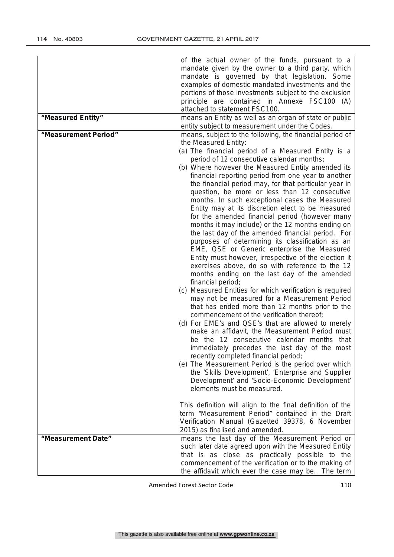| "Measured Entity"    | of the actual owner of the funds, pursuant to a<br>mandate given by the owner to a third party, which<br>mandate is governed by that legislation. Some<br>examples of domestic mandated investments and the<br>portions of those investments subject to the exclusion<br>principle are contained in Annexe FSC100 (A)<br>attached to statement FSC100.<br>means an Entity as well as an organ of state or public                                                                                                                                                                                                                                                                                                                                                                                                                                                                                                                                                                                                                                                                                                                                                                                                                                                                                                                                                                                                                                                                                                                                                                                                                                                                                                                                                                                                              |
|----------------------|-------------------------------------------------------------------------------------------------------------------------------------------------------------------------------------------------------------------------------------------------------------------------------------------------------------------------------------------------------------------------------------------------------------------------------------------------------------------------------------------------------------------------------------------------------------------------------------------------------------------------------------------------------------------------------------------------------------------------------------------------------------------------------------------------------------------------------------------------------------------------------------------------------------------------------------------------------------------------------------------------------------------------------------------------------------------------------------------------------------------------------------------------------------------------------------------------------------------------------------------------------------------------------------------------------------------------------------------------------------------------------------------------------------------------------------------------------------------------------------------------------------------------------------------------------------------------------------------------------------------------------------------------------------------------------------------------------------------------------------------------------------------------------------------------------------------------------|
|                      | entity subject to measurement under the Codes.                                                                                                                                                                                                                                                                                                                                                                                                                                                                                                                                                                                                                                                                                                                                                                                                                                                                                                                                                                                                                                                                                                                                                                                                                                                                                                                                                                                                                                                                                                                                                                                                                                                                                                                                                                                |
| "Measurement Period" | means, subject to the following, the financial period of<br>the Measured Entity:<br>(a) The financial period of a Measured Entity is a<br>period of 12 consecutive calendar months;<br>(b) Where however the Measured Entity amended its<br>financial reporting period from one year to another<br>the financial period may, for that particular year in<br>question, be more or less than 12 consecutive<br>months. In such exceptional cases the Measured<br>Entity may at its discretion elect to be measured<br>for the amended financial period (however many<br>months it may include) or the 12 months ending on<br>the last day of the amended financial period. For<br>purposes of determining its classification as an<br>EME, QSE or Generic enterprise the Measured<br>Entity must however, irrespective of the election it<br>exercises above, do so with reference to the 12<br>months ending on the last day of the amended<br>financial period;<br>(c) Measured Entities for which verification is required<br>may not be measured for a Measurement Period<br>that has ended more than 12 months prior to the<br>commencement of the verification thereof;<br>(d) For EME's and QSE's that are allowed to merely<br>make an affidavit, the Measurement Period must<br>be the 12 consecutive calendar months that<br>immediately precedes the last day of the most<br>recently completed financial period;<br>(e) The Measurement Period is the period over which<br>the 'Skills Development', 'Enterprise and Supplier<br>Development' and 'Socio-Economic Development'<br>elements must be measured.<br>This definition will align to the final definition of the<br>term "Measurement Period" contained in the Draft<br>Verification Manual (Gazetted 39378, 6 November<br>2015) as finalised and amended. |
| "Measurement Date"   | means the last day of the Measurement Period or<br>such later date agreed upon with the Measured Entity<br>that is as close as practically possible to the<br>commencement of the verification or to the making of<br>the affidavit which ever the case may be. The term                                                                                                                                                                                                                                                                                                                                                                                                                                                                                                                                                                                                                                                                                                                                                                                                                                                                                                                                                                                                                                                                                                                                                                                                                                                                                                                                                                                                                                                                                                                                                      |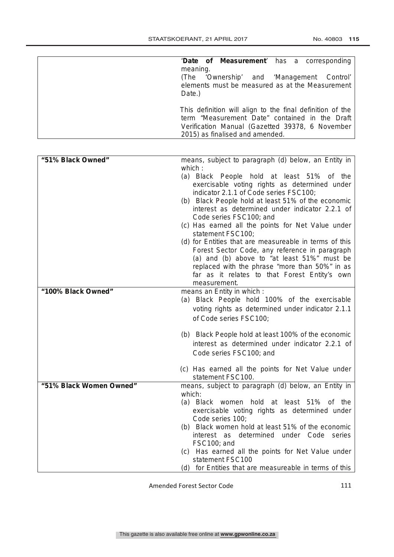|        | 'Date of Measurement' has a corresponding                                                                                                                      |
|--------|----------------------------------------------------------------------------------------------------------------------------------------------------------------|
|        |                                                                                                                                                                |
|        | meaning.                                                                                                                                                       |
| (The   | 'Ownership' and 'Management Control'                                                                                                                           |
| Date.) | elements must be measured as at the Measurement                                                                                                                |
|        | This definition will align to the final definition of the<br>term "Measurement Date" contained in the Draft<br>Verification Manual (Gazetted 39378, 6 November |
|        | 2015) as finalised and amended.                                                                                                                                |

| "51% Black Owned"       | means, subject to paragraph (d) below, an Entity in                    |
|-------------------------|------------------------------------------------------------------------|
|                         | which:                                                                 |
|                         | (a) Black People hold at least 51% of the                              |
|                         | exercisable voting rights as determined under                          |
|                         | indicator 2.1.1 of Code series FSC100;                                 |
|                         | (b) Black People hold at least 51% of the economic                     |
|                         | interest as determined under indicator 2.2.1 of                        |
|                         | Code series FSC100; and                                                |
|                         | (c) Has earned all the points for Net Value under<br>statement FSC100: |
|                         | (d) for Entities that are measureable in terms of this                 |
|                         | Forest Sector Code, any reference in paragraph                         |
|                         | (a) and (b) above to "at least 51%" must be                            |
|                         | replaced with the phrase "more than 50%" in as                         |
|                         | far as it relates to that Forest Entity's own                          |
|                         | measurement.                                                           |
| "100% Black Owned"      | means an Entity in which :                                             |
|                         | (a) Black People hold 100% of the exercisable                          |
|                         | voting rights as determined under indicator 2.1.1                      |
|                         | of Code series FSC100;                                                 |
|                         | (b) Black People hold at least 100% of the economic                    |
|                         | interest as determined under indicator 2.2.1 of                        |
|                         | Code series FSC100; and                                                |
|                         |                                                                        |
|                         | (c) Has earned all the points for Net Value under                      |
|                         | statement FSC100.                                                      |
| "51% Black Women Owned" | means, subject to paragraph (d) below, an Entity in                    |
|                         | which:<br>(a) Black women hold at least 51% of the                     |
|                         | exercisable voting rights as determined under                          |
|                         | Code series 100;                                                       |
|                         | (b) Black women hold at least 51% of the economic                      |
|                         | interest as determined under Code series                               |
|                         | <b>FSC100; and</b>                                                     |
|                         | (c) Has earned all the points for Net Value under                      |
|                         | statement FSC100                                                       |
|                         | (d) for Entities that are measureable in terms of this                 |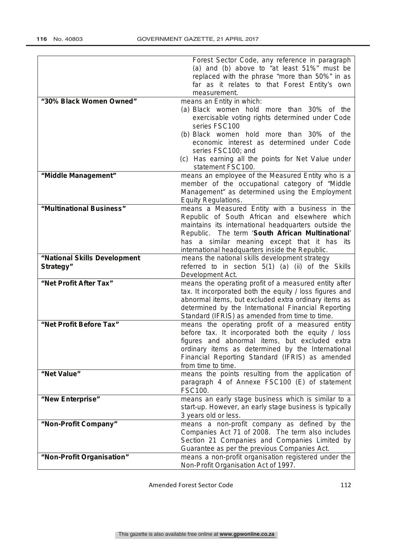|                              | Forest Sector Code, any reference in paragraph                                                        |
|------------------------------|-------------------------------------------------------------------------------------------------------|
|                              | (a) and (b) above to "at least $51\%$ " must be<br>replaced with the phrase "more than 50%" in as     |
|                              | far as it relates to that Forest Entity's own                                                         |
|                              | measurement.                                                                                          |
| "30% Black Women Owned"      | means an Entity in which:                                                                             |
|                              | (a) Black women hold more than 30% of the                                                             |
|                              | exercisable voting rights determined under Code                                                       |
|                              | series FSC100                                                                                         |
|                              | (b) Black women hold more than 30% of the<br>economic interest as determined under Code               |
|                              | series FSC100; and                                                                                    |
|                              | (c) Has earning all the points for Net Value under                                                    |
|                              | statement FSC100.                                                                                     |
| "Middle Management"          | means an employee of the Measured Entity who is a                                                     |
|                              | member of the occupational category of "Middle                                                        |
|                              | Management" as determined using the Employment                                                        |
| "Multinational Business"     | <b>Equity Regulations.</b><br>means a Measured Entity with a business in the                          |
|                              | Republic of South African and elsewhere which                                                         |
|                              | maintains its international headquarters outside the                                                  |
|                              | Republic. The term 'South African Multinational'                                                      |
|                              | has a similar meaning except that it has its                                                          |
|                              | international headquarters inside the Republic.                                                       |
| "National Skills Development | means the national skills development strategy                                                        |
| Strategy"                    | referred to in section 5(1) (a) (ii) of the Skills<br>Development Act.                                |
| "Net Profit After Tax"       | means the operating profit of a measured entity after                                                 |
|                              | tax. It incorporated both the equity / loss figures and                                               |
|                              | abnormal items, but excluded extra ordinary items as                                                  |
|                              | determined by the International Financial Reporting                                                   |
| "Net Profit Before Tax"      | Standard (IFRIS) as amended from time to time.                                                        |
|                              | means the operating profit of a measured entity<br>before tax. It incorporated both the equity / loss |
|                              | figures and abnormal items, but excluded extra                                                        |
|                              | ordinary items as determined by the International                                                     |
|                              | Financial Reporting Standard (IFRIS) as amended                                                       |
|                              | from time to time.                                                                                    |
| "Net Value"                  | means the points resulting from the application of                                                    |
|                              | paragraph 4 of Annexe FSC100 (E) of statement<br>FSC100.                                              |
| "New Enterprise"             | means an early stage business which is similar to a                                                   |
|                              | start-up. However, an early stage business is typically                                               |
|                              | 3 years old or less.                                                                                  |
| "Non-Profit Company"         | means a non-profit company as defined by the                                                          |
|                              | Companies Act 71 of 2008. The term also includes                                                      |
|                              | Section 21 Companies and Companies Limited by                                                         |
| "Non-Profit Organisation"    | Guarantee as per the previous Companies Act.                                                          |
|                              | means a non-profit organisation registered under the<br>Non-Profit Organisation Act of 1997.          |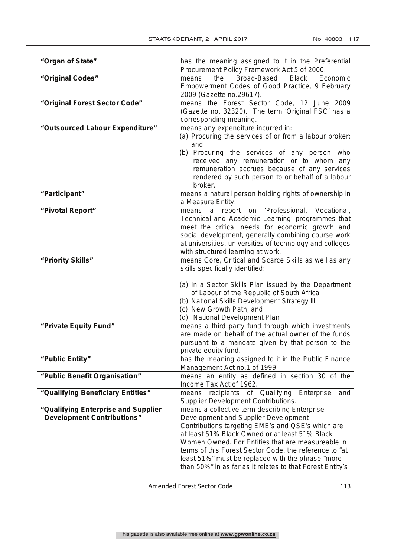| "Organ of State"                    | has the meaning assigned to it in the Preferential                                                     |
|-------------------------------------|--------------------------------------------------------------------------------------------------------|
| "Original Codes"                    | Procurement Policy Framework Act 5 of 2000.<br>the<br>Broad-Based<br><b>Black</b><br>Economic<br>means |
|                                     | Empowerment Codes of Good Practice, 9 February                                                         |
|                                     | 2009 (Gazette no.29617).                                                                               |
| "Original Forest Sector Code"       | means the Forest Sector Code, 12 June 2009                                                             |
|                                     | (Gazette no. 32320). The term 'Original FSC' has a                                                     |
|                                     | corresponding meaning.                                                                                 |
| "Outsourced Labour Expenditure"     | means any expenditure incurred in:                                                                     |
|                                     | (a) Procuring the services of or from a labour broker;                                                 |
|                                     | and                                                                                                    |
|                                     | (b) Procuring the services of any person who                                                           |
|                                     | received any remuneration or to whom any                                                               |
|                                     | remuneration accrues because of any services                                                           |
|                                     | rendered by such person to or behalf of a labour                                                       |
| "Participant"                       | broker.                                                                                                |
|                                     | means a natural person holding rights of ownership in<br>a Measure Entity.                             |
| "Pivotal Report"                    | on 'Professional, Vocational,<br>report<br>means<br>a                                                  |
|                                     | Technical and Academic Learning' programmes that                                                       |
|                                     | meet the critical needs for economic growth and                                                        |
|                                     | social development, generally combining course work                                                    |
|                                     | at universities, universities of technology and colleges                                               |
|                                     | with structured learning at work.                                                                      |
| "Priority Skills"                   | means Core, Critical and Scarce Skills as well as any                                                  |
|                                     | skills specifically identified:                                                                        |
|                                     | (a) In a Sector Skills Plan issued by the Department                                                   |
|                                     | of Labour of the Republic of South Africa                                                              |
|                                     | (b) National Skills Development Strategy III                                                           |
|                                     | (c) New Growth Path; and                                                                               |
|                                     | (d) National Development Plan                                                                          |
| "Private Equity Fund"               | means a third party fund through which investments                                                     |
|                                     | are made on behalf of the actual owner of the funds                                                    |
|                                     | pursuant to a mandate given by that person to the                                                      |
|                                     | private equity fund.                                                                                   |
| "Public Entity"                     | has the meaning assigned to it in the Public Finance                                                   |
| "Public Benefit Organisation"       | Management Act no.1 of 1999.                                                                           |
|                                     | means an entity as defined in section 30 of the<br>Income Tax Act of 1962.                             |
| "Qualifying Beneficiary Entities"   | recipients of Qualifying<br>Enterprise<br>means<br>and                                                 |
|                                     | <b>Supplier Development Contributions.</b>                                                             |
| "Qualifying Enterprise and Supplier | means a collective term describing Enterprise                                                          |
| <b>Development Contributions"</b>   | Development and Supplier Development                                                                   |
|                                     | Contributions targeting EME's and QSE's which are                                                      |
|                                     | at least 51% Black Owned or at least 51% Black                                                         |
|                                     | Women Owned. For Entities that are measureable in                                                      |
|                                     | terms of this Forest Sector Code, the reference to "at                                                 |
|                                     | least 51%" must be replaced with the phrase "more                                                      |
|                                     | than 50%" in as far as it relates to that Forest Entity's                                              |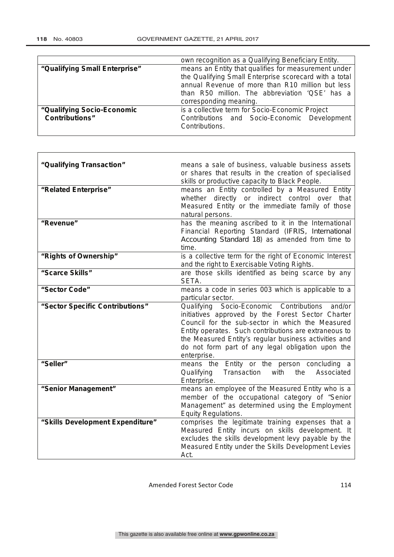|                                                     | own recognition as a Qualifying Beneficiary Entity.                                                                                                                                                                                            |
|-----------------------------------------------------|------------------------------------------------------------------------------------------------------------------------------------------------------------------------------------------------------------------------------------------------|
| "Qualifying Small Enterprise"                       | means an Entity that qualifies for measurement under<br>the Qualifying Small Enterprise scorecard with a total<br>annual Revenue of more than R10 million but less<br>than R50 million. The abbreviation 'QSE' has a<br>corresponding meaning. |
| "Qualifying Socio-Economic<br><b>Contributions"</b> | is a collective term for Socio-Economic Project<br>Contributions and Socio-Economic Development<br>Contributions.                                                                                                                              |

| "Qualifying Transaction"         | means a sale of business, valuable business assets      |
|----------------------------------|---------------------------------------------------------|
|                                  | or shares that results in the creation of specialised   |
|                                  | skills or productive capacity to Black People.          |
| "Related Enterprise"             | means an Entity controlled by a Measured Entity         |
|                                  | whether directly or indirect control over that          |
|                                  | Measured Entity or the immediate family of those        |
|                                  | natural persons.                                        |
| "Revenue"                        | has the meaning ascribed to it in the International     |
|                                  | Financial Reporting Standard (IFRIS, International      |
|                                  | Accounting Standard 18) as amended from time to         |
|                                  | time.                                                   |
| "Rights of Ownership"            | is a collective term for the right of Economic Interest |
|                                  | and the right to Exercisable Voting Rights.             |
| "Scarce Skills"                  | are those skills identified as being scarce by any      |
|                                  | SETA.                                                   |
| "Sector Code"                    | means a code in series 003 which is applicable to a     |
|                                  | particular sector.                                      |
| "Sector Specific Contributions"  | Socio-Economic Contributions and/or<br>Qualifying       |
|                                  | initiatives approved by the Forest Sector Charter       |
|                                  | Council for the sub-sector in which the Measured        |
|                                  | Entity operates. Such contributions are extraneous to   |
|                                  | the Measured Entity's regular business activities and   |
|                                  | do not form part of any legal obligation upon the       |
|                                  | enterprise.                                             |
| "Seller"                         | means the Entity or the person concluding a             |
|                                  | Associated<br>Transaction<br>Qualifying<br>with<br>the  |
|                                  | Enterprise.                                             |
| "Senior Management"              | means an employee of the Measured Entity who is a       |
|                                  | member of the occupational category of "Senior          |
|                                  | Management" as determined using the Employment          |
|                                  | Equity Regulations.                                     |
| "Skills Development Expenditure" | comprises the legitimate training expenses that a       |
|                                  | Measured Entity incurs on skills development. It        |
|                                  | excludes the skills development levy payable by the     |
|                                  | Measured Entity under the Skills Development Levies     |
|                                  | Act.                                                    |
|                                  |                                                         |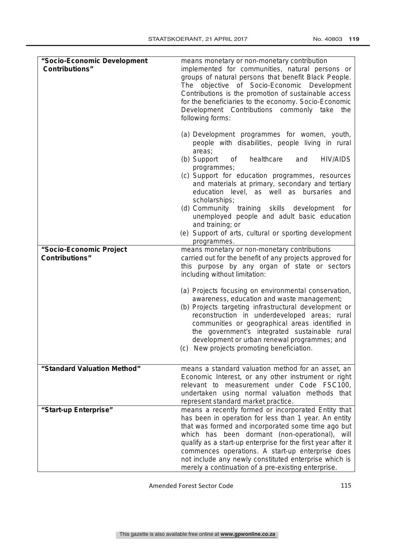| "Socio-Economic Development<br><b>Contributions"</b> | means monetary or non-monetary contribution<br>implemented for communities, natural persons or<br>groups of natural persons that benefit Black People.<br>The objective of Socio-Economic Development<br>Contributions is the promotion of sustainable access<br>for the beneficiaries to the economy. Socio-Economic<br>Development Contributions commonly take the<br>following forms:<br>(a) Development programmes for women, youth,<br>people with disabilities, people living in rural<br>areas;<br>of<br>healthcare<br><b>HIV/AIDS</b><br>(b) Support<br>and<br>programmes;<br>(c) Support for education programmes, resources<br>and materials at primary, secondary and tertiary |  |  |  |
|------------------------------------------------------|-------------------------------------------------------------------------------------------------------------------------------------------------------------------------------------------------------------------------------------------------------------------------------------------------------------------------------------------------------------------------------------------------------------------------------------------------------------------------------------------------------------------------------------------------------------------------------------------------------------------------------------------------------------------------------------------|--|--|--|
|                                                      | education level, as well as bursaries<br>and<br>scholarships;<br>(d) Community training skills development<br>for<br>unemployed people and adult basic education<br>and training; or<br>(e) Support of arts, cultural or sporting development<br>programmes.                                                                                                                                                                                                                                                                                                                                                                                                                              |  |  |  |
| "Socio-Economic Project<br><b>Contributions"</b>     | means monetary or non-monetary contributions<br>carried out for the benefit of any projects approved for<br>this purpose by any organ of state or sectors<br>including without limitation:                                                                                                                                                                                                                                                                                                                                                                                                                                                                                                |  |  |  |
|                                                      | (a) Projects focusing on environmental conservation,<br>awareness, education and waste management;<br>(b) Projects targeting infrastructural development or<br>reconstruction in underdeveloped areas; rural<br>communities or geographical areas identified in<br>the government's integrated sustainable rural<br>development or urban renewal programmes; and<br>(c) New projects promoting beneficiation.                                                                                                                                                                                                                                                                             |  |  |  |
| "Standard Valuation Method"                          | means a standard valuation method for an asset, an<br>Economic Interest, or any other instrument or right<br>relevant to measurement under Code FSC100,<br>undertaken using normal valuation methods that<br>represent standard market practice.                                                                                                                                                                                                                                                                                                                                                                                                                                          |  |  |  |
| "Start-up Enterprise"                                | means a recently formed or incorporated Entity that<br>has been in operation for less than 1 year. An entity<br>that was formed and incorporated some time ago but<br>which has been dormant (non-operational), will<br>qualify as a start-up enterprise for the first year after it<br>commences operations. A start-up enterprise does<br>not include any newly constituted enterprise which is<br>merely a continuation of a pre-existing enterprise.                                                                                                                                                                                                                                  |  |  |  |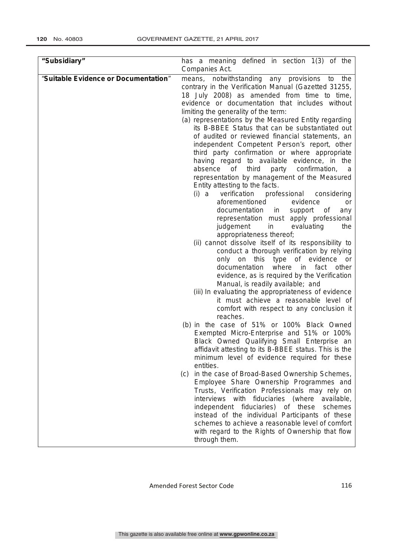| "Subsidiary"                         | has a meaning defined in section 1(3) of the                                                                                                                                                                                                                                                                                                                                                                                                                                                                                                                                                                                                                                                                                                                                                                                                                                                                                                                                                                                                                                                                                                                                                                                                                    |  |  |  |  |  |
|--------------------------------------|-----------------------------------------------------------------------------------------------------------------------------------------------------------------------------------------------------------------------------------------------------------------------------------------------------------------------------------------------------------------------------------------------------------------------------------------------------------------------------------------------------------------------------------------------------------------------------------------------------------------------------------------------------------------------------------------------------------------------------------------------------------------------------------------------------------------------------------------------------------------------------------------------------------------------------------------------------------------------------------------------------------------------------------------------------------------------------------------------------------------------------------------------------------------------------------------------------------------------------------------------------------------|--|--|--|--|--|
|                                      | Companies Act.                                                                                                                                                                                                                                                                                                                                                                                                                                                                                                                                                                                                                                                                                                                                                                                                                                                                                                                                                                                                                                                                                                                                                                                                                                                  |  |  |  |  |  |
| "Suitable Evidence or Documentation" | means, notwithstanding any provisions to the<br>contrary in the Verification Manual (Gazetted 31255,<br>18 July 2008) as amended from time to time,<br>evidence or documentation that includes without<br>limiting the generality of the term:<br>(a) representations by the Measured Entity regarding<br>its B-BBEE Status that can be substantiated out<br>of audited or reviewed financial statements, an<br>independent Competent Person's report, other<br>third party confirmation or where appropriate<br>having regard to available evidence, in the<br>of<br>third<br>party confirmation,<br>absence<br>a<br>representation by management of the Measured<br>Entity attesting to the facts.<br>verification<br>professional<br>$(i)$ a<br>considering<br>aforementioned<br>evidence<br>or<br>documentation<br>support<br>in.<br>οf<br>any<br>representation must apply professional<br>judgement<br>in<br>the<br>evaluating<br>appropriateness thereof;<br>(ii) cannot dissolve itself of its responsibility to<br>conduct a thorough verification by relying<br>only on<br>this<br>of<br>evidence<br>type<br>or<br>where<br>documentation<br>fact<br>in<br>other<br>evidence, as is required by the Verification<br>Manual, is readily available; and |  |  |  |  |  |
|                                      | (iii) In evaluating the appropriateness of evidence<br>it must achieve a reasonable level of<br>comfort with respect to any conclusion it<br>reaches.                                                                                                                                                                                                                                                                                                                                                                                                                                                                                                                                                                                                                                                                                                                                                                                                                                                                                                                                                                                                                                                                                                           |  |  |  |  |  |
|                                      | (b) in the case of 51% or 100% Black Owned<br>Exempted Micro-Enterprise and 51% or 100%<br>Black Owned Qualifying Small Enterprise an<br>affidavit attesting to its B-BBEE status. This is the<br>minimum level of evidence required for these<br>entities.                                                                                                                                                                                                                                                                                                                                                                                                                                                                                                                                                                                                                                                                                                                                                                                                                                                                                                                                                                                                     |  |  |  |  |  |
|                                      | in the case of Broad-Based Ownership Schemes,<br>(C)<br>Employee Share Ownership Programmes and<br>Trusts, Verification Professionals may rely on<br>interviews with fiduciaries (where available,<br>independent fiduciaries) of these<br>schemes<br>instead of the individual Participants of these<br>schemes to achieve a reasonable level of comfort<br>with regard to the Rights of Ownership that flow<br>through them.                                                                                                                                                                                                                                                                                                                                                                                                                                                                                                                                                                                                                                                                                                                                                                                                                                  |  |  |  |  |  |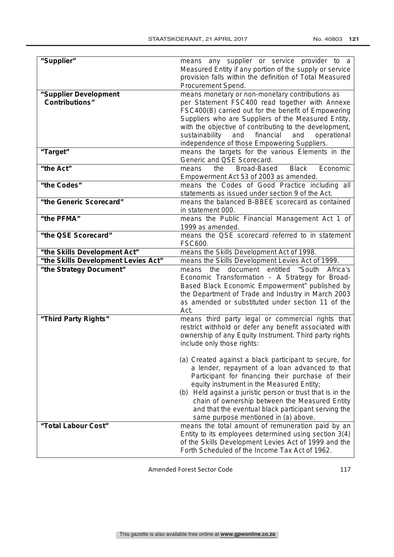| "Supplier"                          | means any supplier or service provider to a                                                                   |  |  |  |  |  |
|-------------------------------------|---------------------------------------------------------------------------------------------------------------|--|--|--|--|--|
|                                     | Measured Entity if any portion of the supply or service                                                       |  |  |  |  |  |
|                                     | provision falls within the definition of Total Measured                                                       |  |  |  |  |  |
|                                     | Procurement Spend.                                                                                            |  |  |  |  |  |
| "Supplier Development               | means monetary or non-monetary contributions as                                                               |  |  |  |  |  |
| <b>Contributions"</b>               | per Statement FSC400 read together with Annexe                                                                |  |  |  |  |  |
|                                     | FSC400(B) carried out for the benefit of Empowering                                                           |  |  |  |  |  |
|                                     | Suppliers who are Suppliers of the Measured Entity,                                                           |  |  |  |  |  |
|                                     | with the objective of contributing to the development,                                                        |  |  |  |  |  |
|                                     | financial<br>sustainability<br>and<br>and<br>operational                                                      |  |  |  |  |  |
|                                     | independence of those Empowering Suppliers.                                                                   |  |  |  |  |  |
| "Target"                            | means the targets for the various Elements in the                                                             |  |  |  |  |  |
|                                     | Generic and QSE Scorecard.                                                                                    |  |  |  |  |  |
| "the Act"                           | <b>Broad-Based</b><br><b>Black</b><br>Economic<br>the.<br>means                                               |  |  |  |  |  |
| "the Codes"                         | Empowerment Act 53 of 2003 as amended.                                                                        |  |  |  |  |  |
|                                     | means the Codes of Good Practice including all<br>statements as issued under section 9 of the Act.            |  |  |  |  |  |
| "the Generic Scorecard"             | means the balanced B-BBEE scorecard as contained                                                              |  |  |  |  |  |
|                                     | in statement 000.                                                                                             |  |  |  |  |  |
| "the PFMA"                          | means the Public Financial Management Act 1 of                                                                |  |  |  |  |  |
|                                     | 1999 as amended.                                                                                              |  |  |  |  |  |
| "the QSE Scorecard"                 | means the QSE scorecard referred to in statement                                                              |  |  |  |  |  |
|                                     | <b>FSC600.</b>                                                                                                |  |  |  |  |  |
| "the Skills Development Act"        | means the Skills Development Act of 1998.                                                                     |  |  |  |  |  |
| "the Skills Development Levies Act" | means the Skills Development Levies Act of 1999.                                                              |  |  |  |  |  |
| "the Strategy Document"             | "South<br>document<br>entitled<br>Africa's<br>the<br>means                                                    |  |  |  |  |  |
|                                     | Economic Transformation - A Strategy for Broad-                                                               |  |  |  |  |  |
|                                     | Based Black Economic Empowerment" published by                                                                |  |  |  |  |  |
|                                     | the Department of Trade and Industry in March 2003                                                            |  |  |  |  |  |
|                                     | as amended or substituted under section 11 of the                                                             |  |  |  |  |  |
|                                     | Act.                                                                                                          |  |  |  |  |  |
| "Third Party Rights"                | means third party legal or commercial rights that                                                             |  |  |  |  |  |
|                                     | restrict withhold or defer any benefit associated with                                                        |  |  |  |  |  |
|                                     | ownership of any Equity Instrument. Third party rights                                                        |  |  |  |  |  |
|                                     | include only those rights:                                                                                    |  |  |  |  |  |
|                                     |                                                                                                               |  |  |  |  |  |
|                                     | (a) Created against a black participant to secure, for                                                        |  |  |  |  |  |
|                                     | a lender, repayment of a loan advanced to that<br>Participant for financing their purchase of their           |  |  |  |  |  |
|                                     | equity instrument in the Measured Entity;                                                                     |  |  |  |  |  |
|                                     | (b) Held against a juristic person or trust that is in the                                                    |  |  |  |  |  |
|                                     | chain of ownership between the Measured Entity                                                                |  |  |  |  |  |
|                                     | and that the eventual black participant serving the                                                           |  |  |  |  |  |
|                                     | same purpose mentioned in (a) above.                                                                          |  |  |  |  |  |
| "Total Labour Cost"                 |                                                                                                               |  |  |  |  |  |
|                                     |                                                                                                               |  |  |  |  |  |
|                                     | means the total amount of remuneration paid by an                                                             |  |  |  |  |  |
|                                     | Entity to its employees determined using section 3(4)<br>of the Skills Development Levies Act of 1999 and the |  |  |  |  |  |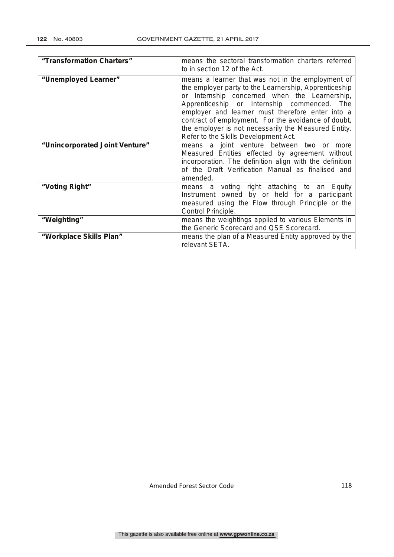| "Transformation Charters"      | means the sectoral transformation charters referred<br>to in section 12 of the Act.                                                                                                                                                                                                                                                                                                                                   |  |  |  |
|--------------------------------|-----------------------------------------------------------------------------------------------------------------------------------------------------------------------------------------------------------------------------------------------------------------------------------------------------------------------------------------------------------------------------------------------------------------------|--|--|--|
| "Unemployed Learner"           | means a learner that was not in the employment of<br>the employer party to the Learnership, Apprenticeship<br>or Internship concerned when the Learnership,<br>Apprenticeship or Internship commenced. The<br>employer and learner must therefore enter into a<br>contract of employment. For the avoidance of doubt,<br>the employer is not necessarily the Measured Entity.<br>Refer to the Skills Development Act. |  |  |  |
| "Unincorporated Joint Venture" | means a joint venture between two or more<br>Measured Entities effected by agreement without<br>incorporation. The definition align with the definition<br>of the Draft Verification Manual as finalised and<br>amended.                                                                                                                                                                                              |  |  |  |
| "Voting Right"                 | means a voting right attaching to an<br>Equity<br>Instrument owned by or held for a participant<br>measured using the Flow through Principle or the<br>Control Principle.                                                                                                                                                                                                                                             |  |  |  |
| "Weighting"                    | means the weightings applied to various Elements in<br>the Generic Scorecard and QSE Scorecard.                                                                                                                                                                                                                                                                                                                       |  |  |  |
| "Workplace Skills Plan"        | means the plan of a Measured Entity approved by the<br>relevant SETA.                                                                                                                                                                                                                                                                                                                                                 |  |  |  |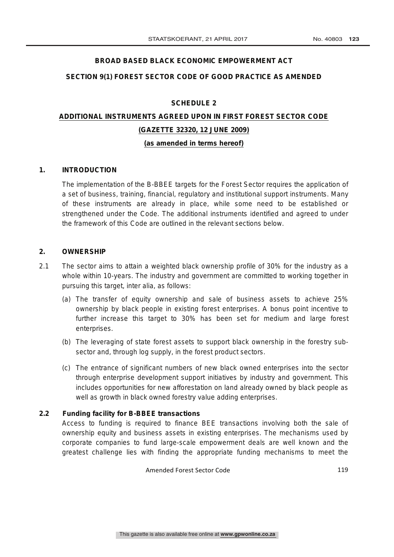#### **BROAD BASED BLACK ECONOMIC EMPOWERMENT ACT**

#### **SECTION 9(1) FOREST SECTOR CODE OF GOOD PRACTICE AS AMENDED**

#### **SCHEDULE 2**

# **ADDITIONAL INSTRUMENTS AGREED UPON IN FIRST FOREST SECTOR CODE (GAZETTE 32320, 12 JUNE 2009) (as amended in terms hereof)**

#### **1. INTRODUCTION**

The implementation of the B-BBEE targets for the Forest Sector requires the application of a set of business, training, financial, regulatory and institutional support instruments. Many of these instruments are already in place, while some need to be established or strengthened under the Code. The additional instruments identified and agreed to under the framework of this Code are outlined in the relevant sections below.

#### **2. OWNERSHIP**

- 2.1 The sector aims to attain a weighted black ownership profile of 30% for the industry as a whole within 10-years. The industry and government are committed to working together in pursuing this target, inter alia, as follows:
	- (a) The transfer of equity ownership and sale of business assets to achieve 25% ownership by black people in existing forest enterprises. A bonus point incentive to further increase this target to 30% has been set for medium and large forest enterprises.
	- (b) The leveraging of state forest assets to support black ownership in the forestry subsector and, through log supply, in the forest product sectors.
	- (c) The entrance of significant numbers of new black owned enterprises into the sector through enterprise development support initiatives by industry and government. This includes opportunities for new afforestation on land already owned by black people as well as growth in black owned forestry value adding enterprises.

#### **2.2 Funding facility for B-BBEE transactions**

Access to funding is required to finance BEE transactions involving both the sale of ownership equity and business assets in existing enterprises. The mechanisms used by corporate companies to fund large-scale empowerment deals are well known and the greatest challenge lies with finding the appropriate funding mechanisms to meet the

Amended 
 Forest 
 Sector 
 Code 
 119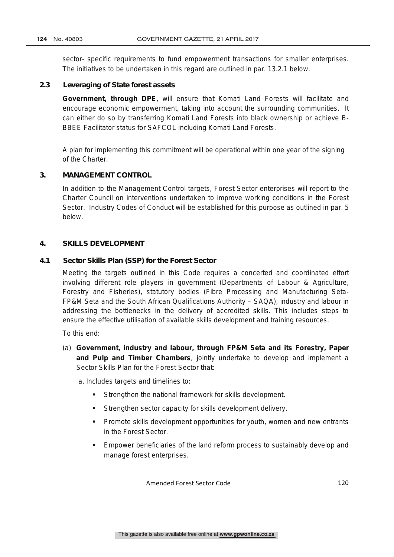sector- specific requirements to fund empowerment transactions for smaller enterprises. The initiatives to be undertaken in this regard are outlined in par. 13.2.1 below.

# **2.3 Leveraging of State forest assets**

*Government, through DPE*, will ensure that Komati Land Forests will facilitate and encourage economic empowerment, taking into account the surrounding communities. It can either do so by transferring Komati Land Forests into black ownership or achieve B-BBEE Facilitator status for SAFCOL including Komati Land Forests.

A plan for implementing this commitment will be operational within one year of the signing of the Charter.

#### **3. MANAGEMENT CONTROL**

In addition to the Management Control targets, Forest Sector enterprises will report to the Charter Council on interventions undertaken to improve working conditions in the Forest Sector. Industry Codes of Conduct will be established for this purpose as outlined in par. 5 below.

#### **4. SKILLS DEVELOPMENT**

#### **4.1 Sector Skills Plan (SSP) for the Forest Sector**

Meeting the targets outlined in this Code requires a concerted and coordinated effort involving different role players in government (Departments of Labour & Agriculture, Forestry and Fisheries), statutory bodies (Fibre Processing and Manufacturing Seta-FP&M Seta and the South African Qualifications Authority – SAQA), industry and labour in addressing the bottlenecks in the delivery of accredited skills. This includes steps to ensure the effective utilisation of available skills development and training resources.

To this end:

(a) *Government, industry and labour, through FP&M Seta and its Forestry, Paper and Pulp and Timber Chambers*, jointly undertake to develop and implement a Sector Skills Plan for the Forest Sector that:

a. Includes targets and timelines to:

- Strengthen the national framework for skills development.
- Strengthen sector capacity for skills development delivery.
- **•** Promote skills development opportunities for youth, women and new entrants in the Forest Sector.
- § Empower beneficiaries of the land reform process to sustainably develop and manage forest enterprises.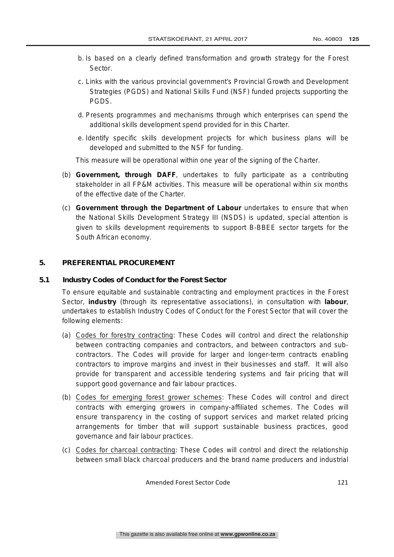- b. Is based on a clearly defined transformation and growth strategy for the Forest Sector.
- c. Links with the various provincial government's Provincial Growth and Development Strategies (PGDS) and National Skills Fund (NSF) funded projects supporting the PGDS.
- d. Presents programmes and mechanisms through which enterprises can spend the additional skills development spend provided for in this Charter.
- e. Identify specific skills development projects for which business plans will be developed and submitted to the NSF for funding.

This measure will be operational within one year of the signing of the Charter.

- (b) *Government, through DAFF*, undertakes to fully participate as a contributing stakeholder in all FP&M activities. This measure will be operational within six months of the effective date of the Charter.
- (c) *Government through the Department of Labour* undertakes to ensure that when the National Skills Development Strategy III (NSDS) is updated, special attention is given to skills development requirements to support B-BBEE sector targets for the South African economy.

#### **5. PREFERENTIAL PROCUREMENT**

#### **5.1 Industry Codes of Conduct for the Forest Sector**

To ensure equitable and sustainable contracting and employment practices in the Forest Sector, *industry* (through its representative associations), in consultation with *labour*, undertakes to establish Industry Codes of Conduct for the Forest Sector that will cover the following elements:

- (a) Codes for forestry contracting: These Codes will control and direct the relationship between contracting companies and contractors, and between contractors and subcontractors. The Codes will provide for larger and longer-term contracts enabling contractors to improve margins and invest in their businesses and staff. It will also provide for transparent and accessible tendering systems and fair pricing that will support good governance and fair labour practices.
- (b) Codes for emerging forest grower schemes: These Codes will control and direct contracts with emerging growers in company-affiliated schemes. The Codes will ensure transparency in the costing of support services and market related pricing arrangements for timber that will support sustainable business practices, good governance and fair labour practices.
- (c) Codes for charcoal contracting: These Codes will control and direct the relationship between small black charcoal producers and the brand name producers and industrial

Amended 
 Forest 
 Sector 
 Code 
 121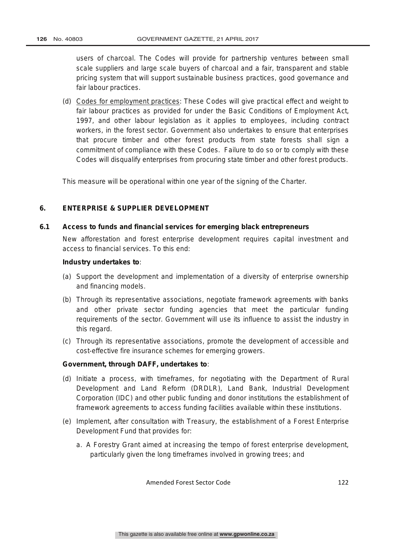users of charcoal. The Codes will provide for partnership ventures between small scale suppliers and large scale buyers of charcoal and a fair, transparent and stable pricing system that will support sustainable business practices, good governance and fair labour practices.

(d) Codes for employment practices: These Codes will give practical effect and weight to fair labour practices as provided for under the Basic Conditions of Employment Act, 1997, and other labour legislation as it applies to employees, including contract workers, in the forest sector. Government also undertakes to ensure that enterprises that procure timber and other forest products from state forests shall sign a commitment of compliance with these Codes. Failure to do so or to comply with these Codes will disqualify enterprises from procuring state timber and other forest products.

This measure will be operational within one year of the signing of the Charter.

#### **6. ENTERPRISE & SUPPLIER DEVELOPMENT**

#### **6.1 Access to funds and financial services for emerging black entrepreneurs**

New afforestation and forest enterprise development requires capital investment and access to financial services. To this end:

#### **Industry undertakes to**:

- (a) Support the development and implementation of a diversity of enterprise ownership and financing models.
- (b) Through its representative associations, negotiate framework agreements with banks and other private sector funding agencies that meet the particular funding requirements of the sector. Government will use its influence to assist the industry in this regard.
- (c) Through its representative associations, promote the development of accessible and cost-effective fire insurance schemes for emerging growers.

#### **Government, through DAFF, undertakes to**:

- (d) Initiate a process, with timeframes, for negotiating with the Department of Rural Development and Land Reform (DRDLR), Land Bank, Industrial Development Corporation (IDC) and other public funding and donor institutions the establishment of framework agreements to access funding facilities available within these institutions.
- (e) Implement, after consultation with Treasury, the establishment of a Forest Enterprise Development Fund that provides for:
	- a. A Forestry Grant aimed at increasing the tempo of forest enterprise development, particularly given the long timeframes involved in growing trees; and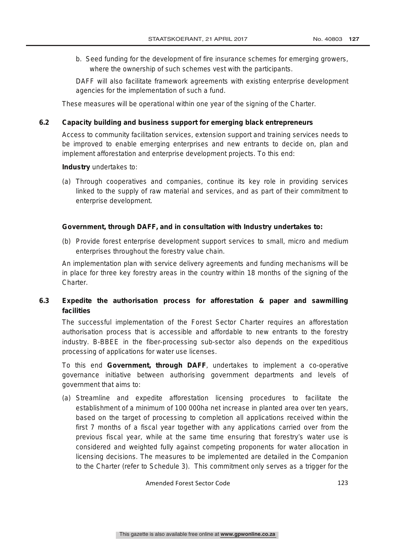b. Seed funding for the development of fire insurance schemes for emerging growers, where the ownership of such schemes vest with the participants.

DAFF will also facilitate framework agreements with existing enterprise development agencies for the implementation of such a fund.

These measures will be operational within one year of the signing of the Charter.

#### **6.2 Capacity building and business support for emerging black entrepreneurs**

Access to community facilitation services, extension support and training services needs to be improved to enable emerging enterprises and new entrants to decide on, plan and implement afforestation and enterprise development projects. To this end:

#### *Industry* undertakes to:

(a) Through cooperatives and companies, continue its key role in providing services linked to the supply of raw material and services, and as part of their commitment to enterprise development.

#### **Government, through DAFF, and in consultation with Industry undertakes to:**

(b) Provide forest enterprise development support services to small, micro and medium enterprises throughout the forestry value chain.

An implementation plan with service delivery agreements and funding mechanisms will be in place for three key forestry areas in the country within 18 months of the signing of the Charter.

# **6.3 Expedite the authorisation process for afforestation & paper and sawmilling facilities**

The successful implementation of the Forest Sector Charter requires an afforestation authorisation process that is accessible and affordable to new entrants to the forestry industry. B-BBEE in the fiber-processing sub-sector also depends on the expeditious processing of applications for water use licenses.

To this end *Government, through DAFF*, undertakes to implement a co-operative governance initiative between authorising government departments and levels of government that aims to:

(a) Streamline and expedite afforestation licensing procedures to facilitate the establishment of a minimum of 100 000ha net increase in planted area over ten years, based on the target of processing to completion all applications received within the first 7 months of a fiscal year together with any applications carried over from the previous fiscal year, while at the same time ensuring that forestry's water use is considered and weighted fully against competing proponents for water allocation in licensing decisions. The measures to be implemented are detailed in the Companion to the Charter (refer to Schedule 3). This commitment only serves as a trigger for the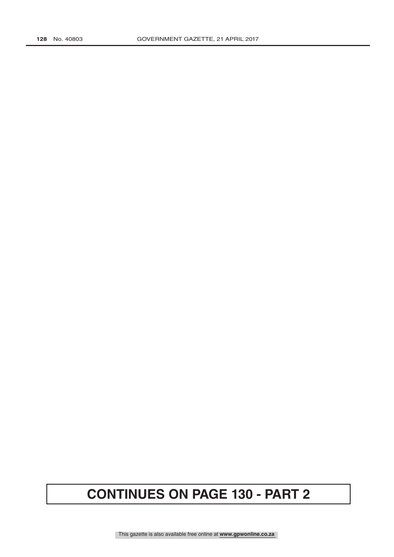# **CONTINUES ON PAGE 130 - PART 2**

This gazette is also available free online at **www.gpwonline.co.za**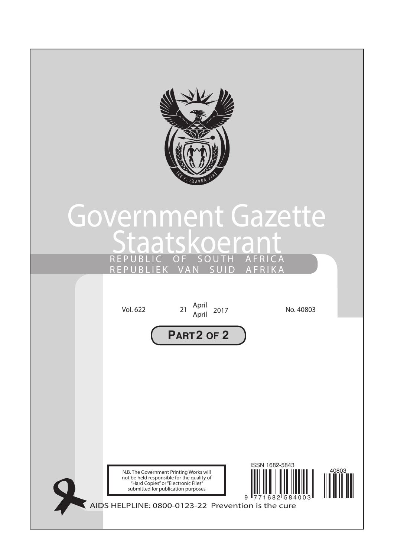

# Government Gazette Staatskoerant REPUBLIEK VAN SUID AFRIKA

| Vol. 622 | April<br>21<br>2017<br>April<br>PART2 OF 2                                                                                                                                                                               |                     | No. 40803                 |       |
|----------|--------------------------------------------------------------------------------------------------------------------------------------------------------------------------------------------------------------------------|---------------------|---------------------------|-------|
|          | N.B. The Government Printing Works will<br>not be held responsible for the quality of<br>"Hard Copies" or "Electronic Files"<br>submitted for publication purposes<br>AIDS HELPLINE: 0800-0123-22 Prevention is the cure | ISSN 1682-5843<br>9 | $1682$ <sup>1584003</sup> | 40803 |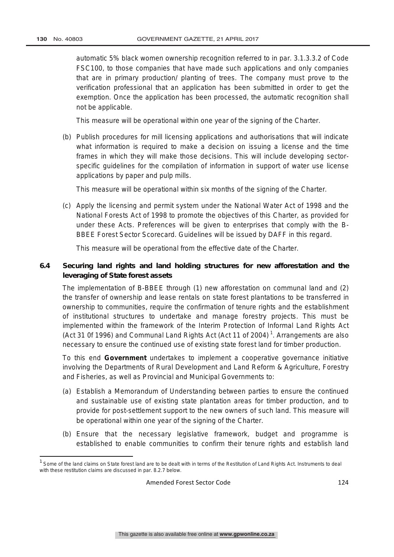automatic 5% black women ownership recognition referred to in par. 3.1.3.3.2 of Code FSC100, to those companies that have made such applications and only companies that are in primary production/ planting of trees. The company must prove to the verification professional that an application has been submitted in order to get the exemption. Once the application has been processed, the automatic recognition shall not be applicable.

This measure will be operational within one year of the signing of the Charter.

(b) Publish procedures for mill licensing applications and authorisations that will indicate what information is required to make a decision on issuing a license and the time frames in which they will make those decisions. This will include developing sectorspecific guidelines for the compilation of information in support of water use license applications by paper and pulp mills.

This measure will be operational within six months of the signing of the Charter.

(c) Apply the licensing and permit system under the National Water Act of 1998 and the National Forests Act of 1998 to promote the objectives of this Charter, as provided for under these Acts. Preferences will be given to enterprises that comply with the B-BBEE Forest Sector Scorecard. Guidelines will be issued by DAFF in this regard.

This measure will be operational from the effective date of the Charter.

# **6.4 Securing land rights and land holding structures for new afforestation and the leveraging of State forest assets**

The implementation of B-BBEE through (1) new afforestation on communal land and (2) the transfer of ownership and lease rentals on state forest plantations to be transferred in ownership to communities, require the confirmation of tenure rights and the establishment of institutional structures to undertake and manage forestry projects. This must be implemented within the framework of the Interim Protection of Informal Land Rights Act (Act 31 0f 1996) and Communal Land Rights Act (Act 11 of 2004)<sup>1</sup>. Arrangements are also necessary to ensure the continued use of existing state forest land for timber production.

To this end *Government* undertakes to implement a cooperative governance initiative involving the Departments of Rural Development and Land Reform & Agriculture, Forestry and Fisheries, as well as Provincial and Municipal Governments to:

- (a) Establish a Memorandum of Understanding between parties to ensure the continued and sustainable use of existing state plantation areas for timber production, and to provide for post-settlement support to the new owners of such land. This measure will be operational within one year of the signing of the Charter.
- (b) Ensure that the necessary legislative framework, budget and programme is established to enable communities to confirm their tenure rights and establish land

Amended 
 Forest 
 Sector 
 Code 
 124

 $1$  Some of the land claims on State forest land are to be dealt with in terms of the Restitution of Land Rights Act. Instruments to deal with these restitution claims are discussed in par. 8.2.7 below.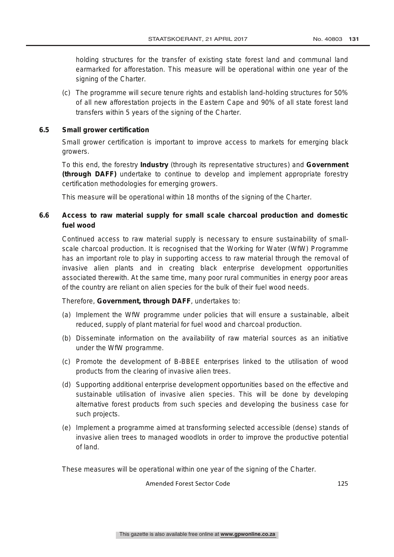holding structures for the transfer of existing state forest land and communal land earmarked for afforestation. This measure will be operational within one year of the signing of the Charter.

(c) The programme will secure tenure rights and establish land-holding structures for 50% of all new afforestation projects in the Eastern Cape and 90% of all state forest land transfers within 5 years of the signing of the Charter.

#### **6.5 Small grower certification**

Small grower certification is important to improve access to markets for emerging black growers.

To this end, the forestry *Industry* (through its representative structures) and *Government (through DAFF)* undertake to continue to develop and implement appropriate forestry certification methodologies for emerging growers.

This measure will be operational within 18 months of the signing of the Charter.

# **6.6 Access to raw material supply for small scale charcoal production and domestic fuel wood**

Continued access to raw material supply is necessary to ensure sustainability of smallscale charcoal production. It is recognised that the Working for Water (WfW) Programme has an important role to play in supporting access to raw material through the removal of invasive alien plants and in creating black enterprise development opportunities associated therewith. At the same time, many poor rural communities in energy poor areas of the country are reliant on alien species for the bulk of their fuel wood needs.

#### Therefore, *Government, through DAFF*, undertakes to:

- (a) Implement the WfW programme under policies that will ensure a sustainable, albeit reduced, supply of plant material for fuel wood and charcoal production.
- (b) Disseminate information on the availability of raw material sources as an initiative under the WfW programme.
- (c) Promote the development of B-BBEE enterprises linked to the utilisation of wood products from the clearing of invasive alien trees.
- (d) Supporting additional enterprise development opportunities based on the effective and sustainable utilisation of invasive alien species. This will be done by developing alternative forest products from such species and developing the business case for such projects.
- (e) Implement a programme aimed at transforming selected accessible (dense) stands of invasive alien trees to managed woodlots in order to improve the productive potential of land.

These measures will be operational within one year of the signing of the Charter.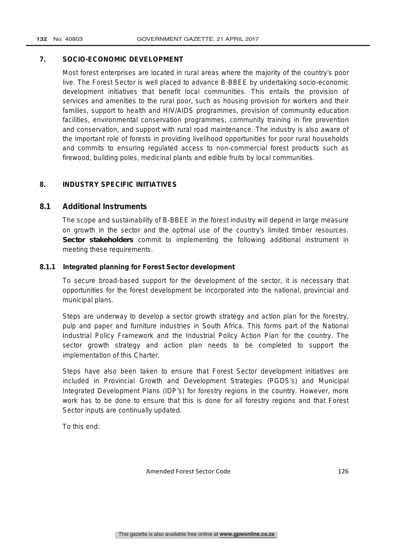#### **7. SOCIO-ECONOMIC DEVELOPMENT**

Most forest enterprises are located in rural areas where the majority of the country's poor live. The Forest Sector is well placed to advance B-BBEE by undertaking socio-economic development initiatives that benefit local communities. This entails the provision of services and amenities to the rural poor, such as housing provision for workers and their families, support to health and HIV/AIDS programmes, provision of community education facilities, environmental conservation programmes, community training in fire prevention and conservation, and support with rural road maintenance. The industry is also aware of the important role of forests in providing livelihood opportunities for poor rural households and commits to ensuring regulated access to non-commercial forest products such as firewood, building poles, medicinal plants and edible fruits by local communities.

#### **8. INDUSTRY SPECIFIC INITIATIVES**

#### **8.1 Additional Instruments**

The scope and sustainability of B-BBEE in the forest industry will depend in large measure on growth in the sector and the optimal use of the country's limited timber resources. *Sector stakeholders* commit to implementing the following additional instrument in meeting these requirements.

#### **8.1.1 Integrated planning for Forest Sector development**

To secure broad-based support for the development of the sector, it is necessary that opportunities for the forest development be incorporated into the national, provincial and municipal plans.

Steps are underway to develop a sector growth strategy and action plan for the forestry, pulp and paper and furniture industries in South Africa. This forms part of the National Industrial Policy Framework and the Industrial Policy Action Plan for the country. The sector growth strategy and action plan needs to be completed to support the implementation of this Charter.

Steps have also been taken to ensure that Forest Sector development initiatives are included in Provincial Growth and Development Strategies (PGDS's) and Municipal Integrated Development Plans (IDP's) for forestry regions in the country. However, more work has to be done to ensure that this is done for all forestry regions and that Forest Sector inputs are continually updated.

To this end:

Amended Forest Sector Code and the sector of the sector of the sector of the sector of the sector of the sector  $126$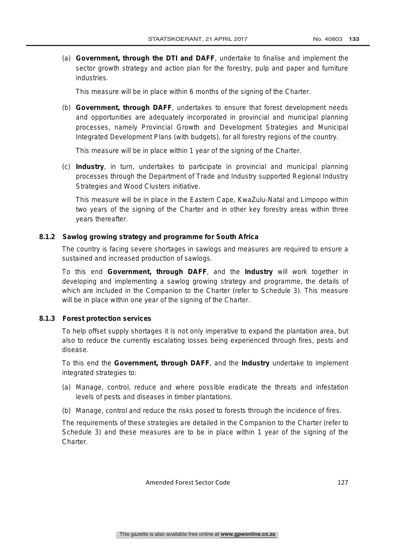(a) *Government, through the DTI and DAFF*, undertake to finalise and implement the sector growth strategy and action plan for the forestry, pulp and paper and furniture industries.

This measure will be in place within 6 months of the signing of the Charter.

(b) *Government, through DAFF*, undertakes to ensure that forest development needs and opportunities are adequately incorporated in provincial and municipal planning processes, namely Provincial Growth and Development Strategies and Municipal Integrated Development Plans (with budgets), for all forestry regions of the country.

This measure will be in place within 1 year of the signing of the Charter.

(c) *Industry*, in turn, undertakes to participate in provincial and municipal planning processes through the Department of Trade and Industry supported Regional Industry Strategies and Wood Clusters initiative.

This measure will be in place in the Eastern Cape, KwaZulu-Natal and Limpopo within two years of the signing of the Charter and in other key forestry areas within three years thereafter.

#### **8.1.2 Sawlog growing strategy and programme for South Africa**

The country is facing severe shortages in sawlogs and measures are required to ensure a sustained and increased production of sawlogs.

To this end *Government, through DAFF*, and the *Industry* will work together in developing and implementing a sawlog growing strategy and programme, the details of which are included in the Companion to the Charter (refer to Schedule 3). This measure will be in place within one year of the signing of the Charter.

#### **8.1.3 Forest protection services**

To help offset supply shortages it is not only imperative to expand the plantation area, but also to reduce the currently escalating losses being experienced through fires, pests and disease.

To this end the *Government, through DAFF*, and the *Industry* undertake to implement integrated strategies to:

- (a) Manage, control, reduce and where possible eradicate the threats and infestation levels of pests and diseases in timber plantations.
- (b) Manage, control and reduce the risks posed to forests through the incidence of fires.

The requirements of these strategies are detailed in the Companion to the Charter (refer to Schedule 3) and these measures are to be in place within 1 year of the signing of the Charter.

Amended 
 Forest 
 Sector 
 Code 
 127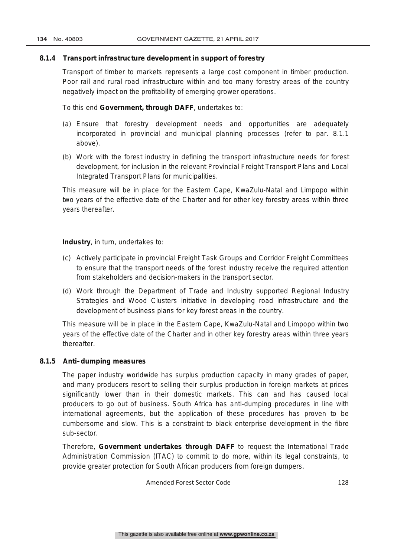#### **8.1.4 Transport infrastructure development in support of forestry**

Transport of timber to markets represents a large cost component in timber production. Poor rail and rural road infrastructure within and too many forestry areas of the country negatively impact on the profitability of emerging grower operations.

To this end *Government, through DAFF*, undertakes to:

- (a) Ensure that forestry development needs and opportunities are adequately incorporated in provincial and municipal planning processes (refer to par. 8.1.1 above).
- (b) Work with the forest industry in defining the transport infrastructure needs for forest development, for inclusion in the relevant Provincial Freight Transport Plans and Local Integrated Transport Plans for municipalities.

This measure will be in place for the Eastern Cape, KwaZulu-Natal and Limpopo within two years of the effective date of the Charter and for other key forestry areas within three years thereafter.

*Industry*, in turn, undertakes to:

- (c) Actively participate in provincial Freight Task Groups and Corridor Freight Committees to ensure that the transport needs of the forest industry receive the required attention from stakeholders and decision-makers in the transport sector.
- (d) Work through the Department of Trade and Industry supported Regional Industry Strategies and Wood Clusters initiative in developing road infrastructure and the development of business plans for key forest areas in the country.

This measure will be in place in the Eastern Cape, KwaZulu-Natal and Limpopo within two years of the effective date of the Charter and in other key forestry areas within three years thereafter.

#### **8.1.5 Anti–dumping measures**

The paper industry worldwide has surplus production capacity in many grades of paper, and many producers resort to selling their surplus production in foreign markets at prices significantly lower than in their domestic markets. This can and has caused local producers to go out of business. South Africa has anti-dumping procedures in line with international agreements, but the application of these procedures has proven to be cumbersome and slow. This is a constraint to black enterprise development in the fibre sub-sector.

Therefore, *Government undertakes through DAFF* to request the International Trade Administration Commission (ITAC) to commit to do more, within its legal constraints, to provide greater protection for South African producers from foreign dumpers.

Amended Forest Sector Code and the sector of the sector of the sector of the sector of the sector of the sector of the sector of the sector of the sector of the sector of the sector of the sector of the sector of the secto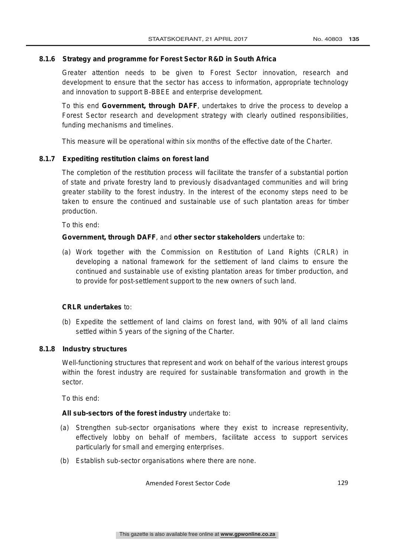#### **8.1.6 Strategy and programme for Forest Sector R&D in South Africa**

Greater attention needs to be given to Forest Sector innovation, research and development to ensure that the sector has access to information, appropriate technology and innovation to support B-BBEE and enterprise development.

To this end *Government, through DAFF*, undertakes to drive the process to develop a Forest Sector research and development strategy with clearly outlined responsibilities, funding mechanisms and timelines.

This measure will be operational within six months of the effective date of the Charter.

#### **8.1.7 Expediting restitution claims on forest land**

The completion of the restitution process will facilitate the transfer of a substantial portion of state and private forestry land to previously disadvantaged communities and will bring greater stability to the forest industry. In the interest of the economy steps need to be taken to ensure the continued and sustainable use of such plantation areas for timber production.

To this end:

#### *Government, through DAFF*, and *other sector stakeholders* undertake to:

(a) Work together with the Commission on Restitution of Land Rights (CRLR) in developing a national framework for the settlement of land claims to ensure the continued and sustainable use of existing plantation areas for timber production, and to provide for post-settlement support to the new owners of such land.

#### *CRLR undertakes* to:

(b) Expedite the settlement of land claims on forest land, with 90% of all land claims settled within 5 years of the signing of the Charter.

#### **8.1.8 Industry structures**

Well-functioning structures that represent and work on behalf of the various interest groups within the forest industry are required for sustainable transformation and growth in the sector.

To this end:

#### *All sub-sectors of the forest industry* undertake to:

- (a) Strengthen sub-sector organisations where they exist to increase representivity, effectively lobby on behalf of members, facilitate access to support services particularly for small and emerging enterprises.
- (b) Establish sub-sector organisations where there are none.

Amended Forest Sector Code **Communication** 129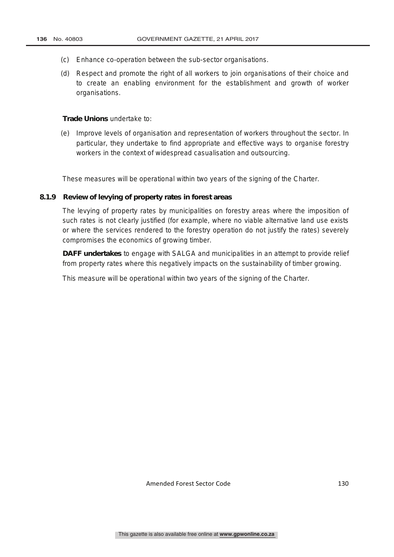- (c) Enhance co-operation between the sub-sector organisations.
- (d) Respect and promote the right of all workers to join organisations of their choice and to create an enabling environment for the establishment and growth of worker organisations.

#### *Trade Unions* undertake to:

(e) Improve levels of organisation and representation of workers throughout the sector. In particular, they undertake to find appropriate and effective ways to organise forestry workers in the context of widespread casualisation and outsourcing.

These measures will be operational within two years of the signing of the Charter.

#### **8.1.9 Review of levying of property rates in forest areas**

The levying of property rates by municipalities on forestry areas where the imposition of such rates is not clearly justified (for example, where no viable alternative land use exists or where the services rendered to the forestry operation do not justify the rates) severely compromises the economics of growing timber.

*DAFF undertakes* to engage with SALGA and municipalities in an attempt to provide relief from property rates where this negatively impacts on the sustainability of timber growing.

This measure will be operational within two years of the signing of the Charter.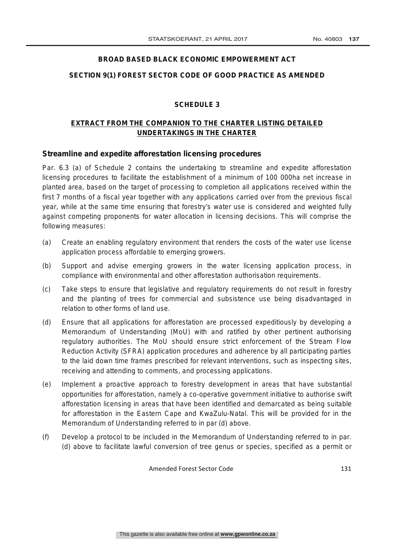#### **BROAD BASED BLACK ECONOMIC EMPOWERMENT ACT**

#### **SECTION 9(1) FOREST SECTOR CODE OF GOOD PRACTICE AS AMENDED**

#### **SCHEDULE 3**

# **EXTRACT FROM THE COMPANION TO THE CHARTER LISTING DETAILED UNDERTAKINGS IN THE CHARTER**

#### **Streamline and expedite afforestation licensing procedures**

Par. 6.3 (a) of Schedule 2 contains the undertaking to streamline and expedite afforestation licensing procedures to facilitate the establishment of a minimum of 100 000ha net increase in planted area, based on the target of processing to completion all applications received within the first 7 months of a fiscal year together with any applications carried over from the previous fiscal year, while at the same time ensuring that forestry's water use is considered and weighted fully against competing proponents for water allocation in licensing decisions. This will comprise the following measures:

- (a) Create an enabling regulatory environment that renders the costs of the water use license application process affordable to emerging growers.
- (b) Support and advise emerging growers in the water licensing application process, in compliance with environmental and other afforestation authorisation requirements.
- (c) Take steps to ensure that legislative and regulatory requirements do not result in forestry and the planting of trees for commercial and subsistence use being disadvantaged in relation to other forms of land use.
- (d) Ensure that all applications for afforestation are processed expeditiously by developing a Memorandum of Understanding (MoU) with and ratified by other pertinent authorising regulatory authorities. The MoU should ensure strict enforcement of the Stream Flow Reduction Activity (SFRA) application procedures and adherence by all participating parties to the laid down time frames prescribed for relevant interventions, such as inspecting sites, receiving and attending to comments, and processing applications.
- (e) Implement a proactive approach to forestry development in areas that have substantial opportunities for afforestation, namely a co-operative government initiative to authorise swift afforestation licensing in areas that have been identified and demarcated as being suitable for afforestation in the Eastern Cape and KwaZulu-Natal. This will be provided for in the Memorandum of Understanding referred to in par (d) above.
- (f) Develop a protocol to be included in the Memorandum of Understanding referred to in par. (d) above to facilitate lawful conversion of tree genus or species, specified as a permit or

Amended 
 Forest 
 Sector 
 Code 
 131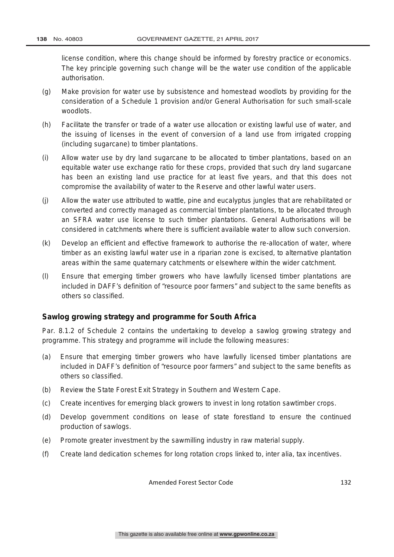license condition, where this change should be informed by forestry practice or economics. The key principle governing such change will be the water use condition of the applicable authorisation.

- (g) Make provision for water use by subsistence and homestead woodlots by providing for the consideration of a Schedule 1 provision and/or General Authorisation for such small-scale woodlots.
- (h) Facilitate the transfer or trade of a water use allocation or existing lawful use of water, and the issuing of licenses in the event of conversion of a land use from irrigated cropping (including sugarcane) to timber plantations.
- (i) Allow water use by dry land sugarcane to be allocated to timber plantations, based on an equitable water use exchange ratio for these crops, provided that such dry land sugarcane has been an existing land use practice for at least five years, and that this does not compromise the availability of water to the Reserve and other lawful water users.
- (j) Allow the water use attributed to wattle, pine and eucalyptus jungles that are rehabilitated or converted and correctly managed as commercial timber plantations, to be allocated through an SFRA water use license to such timber plantations. General Authorisations will be considered in catchments where there is sufficient available water to allow such conversion.
- (k) Develop an efficient and effective framework to authorise the re-allocation of water, where timber as an existing lawful water use in a riparian zone is excised, to alternative plantation areas within the same quaternary catchments or elsewhere within the wider catchment.
- (l) Ensure that emerging timber growers who have lawfully licensed timber plantations are included in DAFF's definition of "resource poor farmers" and subject to the same benefits as others so classified.

#### **Sawlog growing strategy and programme for South Africa**

Par. 8.1.2 of Schedule 2 contains the undertaking to develop a sawlog growing strategy and programme. This strategy and programme will include the following measures:

- (a) Ensure that emerging timber growers who have lawfully licensed timber plantations are included in DAFF's definition of "resource poor farmers" and subject to the same benefits as others so classified.
- (b) Review the State Forest Exit Strategy in Southern and Western Cape.
- (c) Create incentives for emerging black growers to invest in long rotation sawtimber crops.
- (d) Develop government conditions on lease of state forestland to ensure the continued production of sawlogs.
- (e) Promote greater investment by the sawmilling industry in raw material supply.
- (f) Create land dedication schemes for long rotation crops linked to, inter alia, tax incentives.

Amended 
 Forest 
 Sector 
 Code 
 132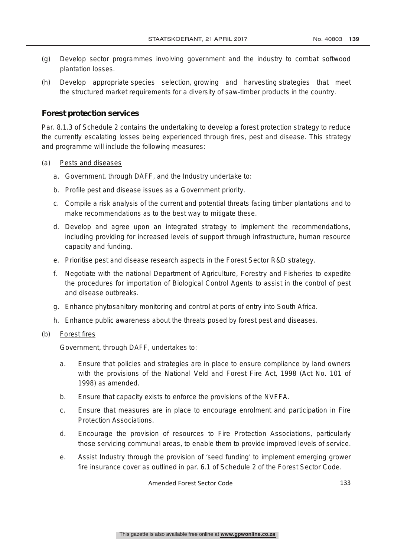- (g) Develop sector programmes involving government and the industry to combat softwood plantation losses.
- (h) Develop appropriate species selection, growing and harvesting strategies that meet the structured market requirements for a diversity of saw-timber products in the country.

### **Forest protection services**

Par. 8.1.3 of Schedule 2 contains the undertaking to develop a forest protection strategy to reduce the currently escalating losses being experienced through fires, pest and disease. This strategy and programme will include the following measures:

#### (a) Pests and diseases

- a. Government, through DAFF, and the Industry undertake to:
- b. Profile pest and disease issues as a Government priority.
- c. Compile a risk analysis of the current and potential threats facing timber plantations and to make recommendations as to the best way to mitigate these.
- d. Develop and agree upon an integrated strategy to implement the recommendations, including providing for increased levels of support through infrastructure, human resource capacity and funding.
- e. Prioritise pest and disease research aspects in the Forest Sector R&D strategy.
- f. Negotiate with the national Department of Agriculture, Forestry and Fisheries to expedite the procedures for importation of Biological Control Agents to assist in the control of pest and disease outbreaks.
- g. Enhance phytosanitory monitoring and control at ports of entry into South Africa.
- h. Enhance public awareness about the threats posed by forest pest and diseases.

#### (b) Forest fires

Government, through DAFF, undertakes to:

- a. Ensure that policies and strategies are in place to ensure compliance by land owners with the provisions of the National Veld and Forest Fire Act, 1998 (Act No. 101 of 1998) as amended.
- b. Ensure that capacity exists to enforce the provisions of the NVFFA.
- c. Ensure that measures are in place to encourage enrolment and participation in Fire Protection Associations.
- d. Encourage the provision of resources to Fire Protection Associations, particularly those servicing communal areas, to enable them to provide improved levels of service.
- e. Assist Industry through the provision of 'seed funding' to implement emerging grower fire insurance cover as outlined in par. 6.1 of Schedule 2 of the Forest Sector Code.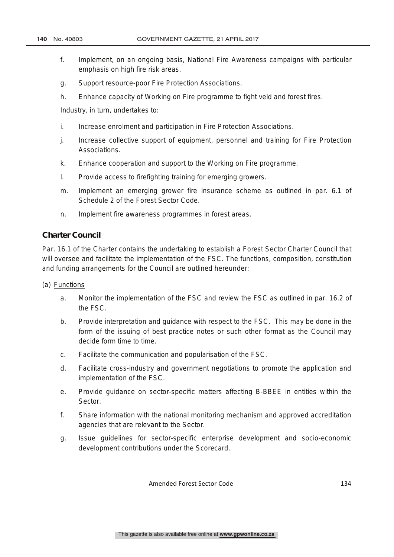- f. Implement, on an ongoing basis, National Fire Awareness campaigns with particular emphasis on high fire risk areas.
- g. Support resource-poor Fire Protection Associations.
- h. Enhance capacity of Working on Fire programme to fight veld and forest fires.

Industry, in turn, undertakes to:

- i. Increase enrolment and participation in Fire Protection Associations.
- j. Increase collective support of equipment, personnel and training for Fire Protection Associations.
- k. Enhance cooperation and support to the Working on Fire programme.
- l. Provide access to firefighting training for emerging growers.
- m. Implement an emerging grower fire insurance scheme as outlined in par. 6.1 of Schedule 2 of the Forest Sector Code.
- n. Implement fire awareness programmes in forest areas.

#### **Charter Council**

Par. 16.1 of the Charter contains the undertaking to establish a Forest Sector Charter Council that will oversee and facilitate the implementation of the FSC. The functions, composition, constitution and funding arrangements for the Council are outlined hereunder:

(a) Functions

- a. Monitor the implementation of the FSC and review the FSC as outlined in par. 16.2 of the FSC.
- b. Provide interpretation and guidance with respect to the FSC. This may be done in the form of the issuing of best practice notes or such other format as the Council may decide form time to time.
- c. Facilitate the communication and popularisation of the FSC.
- d. Facilitate cross-industry and government negotiations to promote the application and implementation of the FSC.
- e. Provide guidance on sector-specific matters affecting B-BBEE in entities within the Sector.
- f. Share information with the national monitoring mechanism and approved accreditation agencies that are relevant to the Sector.
- g. Issue guidelines for sector-specific enterprise development and socio-economic development contributions under the Scorecard.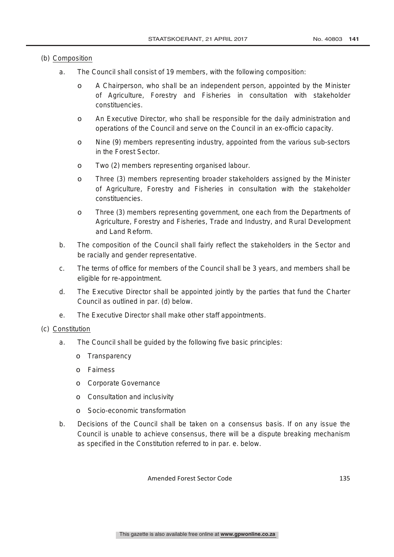### (b) Composition

- a. The Council shall consist of 19 members, with the following composition:
	- o A Chairperson, who shall be an independent person, appointed by the Minister of Agriculture, Forestry and Fisheries in consultation with stakeholder constituencies.
	- o An Executive Director, who shall be responsible for the daily administration and operations of the Council and serve on the Council in an ex-officio capacity.
	- o Nine (9) members representing industry, appointed from the various sub-sectors in the Forest Sector.
	- o Two (2) members representing organised labour.
	- o Three (3) members representing broader stakeholders assigned by the Minister of Agriculture, Forestry and Fisheries in consultation with the stakeholder constituencies.
	- o Three (3) members representing government, one each from the Departments of Agriculture, Forestry and Fisheries, Trade and Industry, and Rural Development and Land Reform.
- b. The composition of the Council shall fairly reflect the stakeholders in the Sector and be racially and gender representative.
- c. The terms of office for members of the Council shall be 3 years, and members shall be eligible for re-appointment.
- d. The Executive Director shall be appointed jointly by the parties that fund the Charter Council as outlined in par. (d) below.
- e. The Executive Director shall make other staff appointments.

# (c) Constitution

- a. The Council shall be guided by the following five basic principles:
	- o Transparency
	- o Fairness
	- o Corporate Governance
	- o Consultation and inclusivity
	- o Socio-economic transformation
- b. Decisions of the Council shall be taken on a consensus basis. If on any issue the Council is unable to achieve consensus, there will be a dispute breaking mechanism as specified in the Constitution referred to in par. e. below.

Amended Forest Sector Code and the sector of the sector of the sector Code and the sector of the sector of the sector  $135$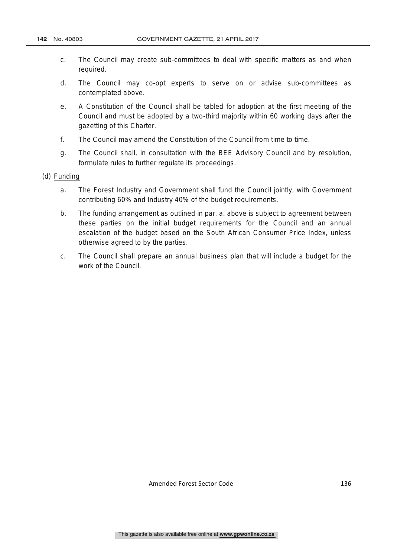- c. The Council may create sub-committees to deal with specific matters as and when required.
- d. The Council may co-opt experts to serve on or advise sub-committees as contemplated above.
- e. A Constitution of the Council shall be tabled for adoption at the first meeting of the Council and must be adopted by a two-third majority within 60 working days after the gazetting of this Charter.
- f. The Council may amend the Constitution of the Council from time to time.
- g. The Council shall, in consultation with the BEE Advisory Council and by resolution, formulate rules to further regulate its proceedings.

#### (d) Funding

- a. The Forest Industry and Government shall fund the Council jointly, with Government contributing 60% and Industry 40% of the budget requirements.
- b. The funding arrangement as outlined in par. a. above is subject to agreement between these parties on the initial budget requirements for the Council and an annual escalation of the budget based on the South African Consumer Price Index, unless otherwise agreed to by the parties.
- c. The Council shall prepare an annual business plan that will include a budget for the work of the Council.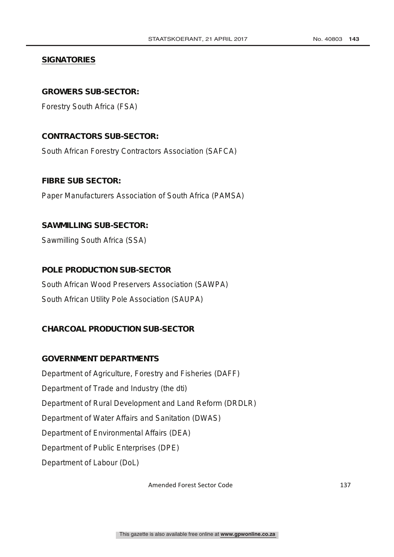# **SIGNATORIES**

# **GROWERS SUB-SECTOR:**

Forestry South Africa (FSA)

# **CONTRACTORS SUB-SECTOR:**

South African Forestry Contractors Association (SAFCA)

# **FIBRE SUB SECTOR:**

Paper Manufacturers Association of South Africa (PAMSA)

# **SAWMILLING SUB-SECTOR:**

Sawmilling South Africa (SSA)

# **POLE PRODUCTION SUB-SECTOR**

South African Wood Preservers Association (SAWPA) South African Utility Pole Association (SAUPA)

# **CHARCOAL PRODUCTION SUB-SECTOR**

# **GOVERNMENT DEPARTMENTS**

Department of Agriculture, Forestry and Fisheries (DAFF) Department of Trade and Industry (the dti) Department of Rural Development and Land Reform (DRDLR) Department of Water Affairs and Sanitation (DWAS) Department of Environmental Affairs (DEA) Department of Public Enterprises (DPE) Department of Labour (DoL)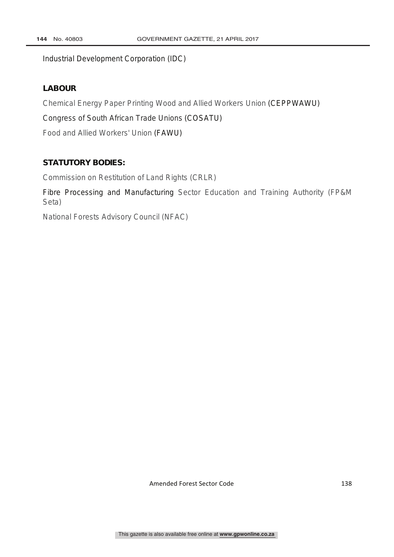Industrial Development Corporation (IDC)

# **LABOUR**

Chemical Energy Paper Printing Wood and Allied Workers Union (CEPPWAWU)

Congress of South African Trade Unions (COSATU)

Food and Allied Workers' Union (FAWU)

# **STATUTORY BODIES:**

Commission on Restitution of Land Rights (CRLR)

Fibre Processing and Manufacturing Sector Education and Training Authority (FP&M Seta)

National Forests Advisory Council (NFAC)

Amended Forest Sector Code **Communist Sector** Code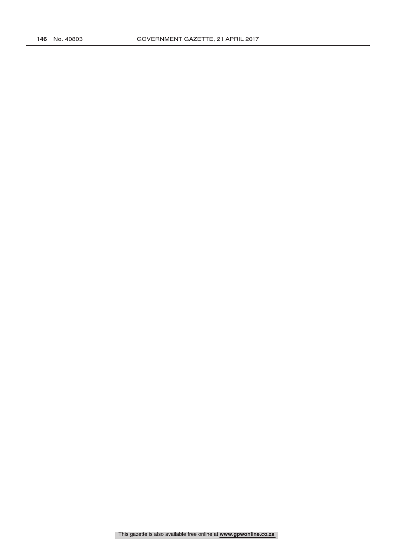This gazette is also available free online at **www.gpwonline.co.za**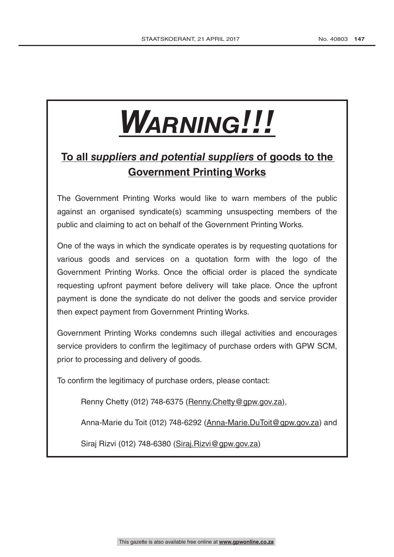## *Warning!!!*

## **To all** *suppliers and potential suppliers* **of goods to the Government Printing Works**

The Government Printing Works would like to warn members of the public against an organised syndicate(s) scamming unsuspecting members of the public and claiming to act on behalf of the Government Printing Works.

One of the ways in which the syndicate operates is by requesting quotations for various goods and services on a quotation form with the logo of the Government Printing Works. Once the official order is placed the syndicate requesting upfront payment before delivery will take place. Once the upfront payment is done the syndicate do not deliver the goods and service provider then expect payment from Government Printing Works.

Government Printing Works condemns such illegal activities and encourages service providers to confirm the legitimacy of purchase orders with GPW SCM, prior to processing and delivery of goods.

To confirm the legitimacy of purchase orders, please contact:

Renny Chetty (012) 748-6375 (Renny.Chetty@gpw.gov.za),

Anna-Marie du Toit (012) 748-6292 (Anna-Marie.DuToit@gpw.gov.za) and

Siraj Rizvi (012) 748-6380 (Siraj. Rizvi@gpw.gov.za)